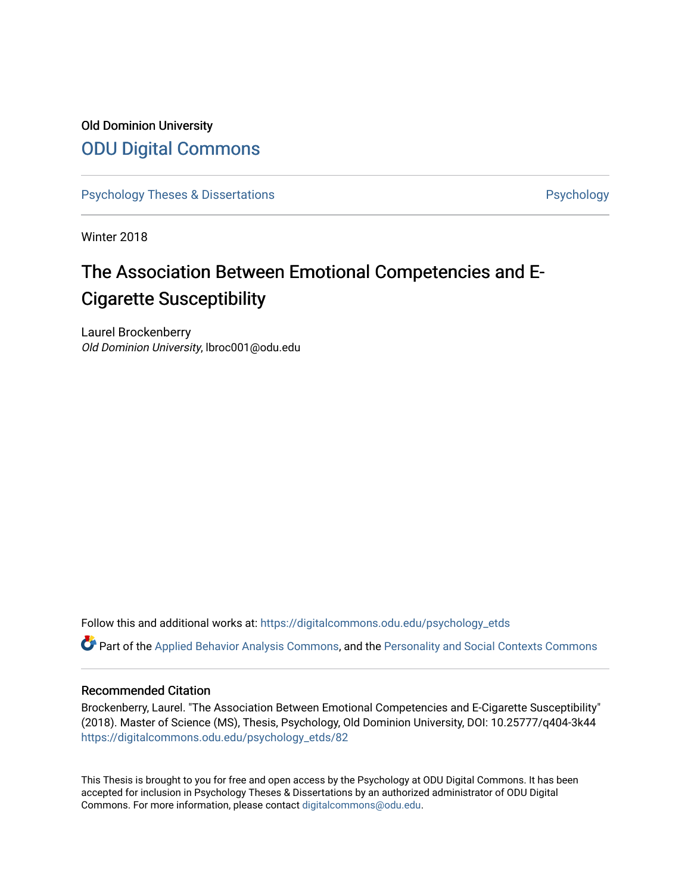# Old Dominion University [ODU Digital Commons](https://digitalcommons.odu.edu/)

[Psychology Theses & Dissertations](https://digitalcommons.odu.edu/psychology_etds) **Psychology** Psychology

Winter 2018

# The Association Between Emotional Competencies and E-Cigarette Susceptibility

Laurel Brockenberry Old Dominion University, lbroc001@odu.edu

Follow this and additional works at: [https://digitalcommons.odu.edu/psychology\\_etds](https://digitalcommons.odu.edu/psychology_etds?utm_source=digitalcommons.odu.edu%2Fpsychology_etds%2F82&utm_medium=PDF&utm_campaign=PDFCoverPages)

Part of the [Applied Behavior Analysis Commons](http://network.bepress.com/hgg/discipline/1235?utm_source=digitalcommons.odu.edu%2Fpsychology_etds%2F82&utm_medium=PDF&utm_campaign=PDFCoverPages), and the [Personality and Social Contexts Commons](http://network.bepress.com/hgg/discipline/413?utm_source=digitalcommons.odu.edu%2Fpsychology_etds%2F82&utm_medium=PDF&utm_campaign=PDFCoverPages) 

#### Recommended Citation

Brockenberry, Laurel. "The Association Between Emotional Competencies and E-Cigarette Susceptibility" (2018). Master of Science (MS), Thesis, Psychology, Old Dominion University, DOI: 10.25777/q404-3k44 [https://digitalcommons.odu.edu/psychology\\_etds/82](https://digitalcommons.odu.edu/psychology_etds/82?utm_source=digitalcommons.odu.edu%2Fpsychology_etds%2F82&utm_medium=PDF&utm_campaign=PDFCoverPages) 

This Thesis is brought to you for free and open access by the Psychology at ODU Digital Commons. It has been accepted for inclusion in Psychology Theses & Dissertations by an authorized administrator of ODU Digital Commons. For more information, please contact [digitalcommons@odu.edu](mailto:digitalcommons@odu.edu).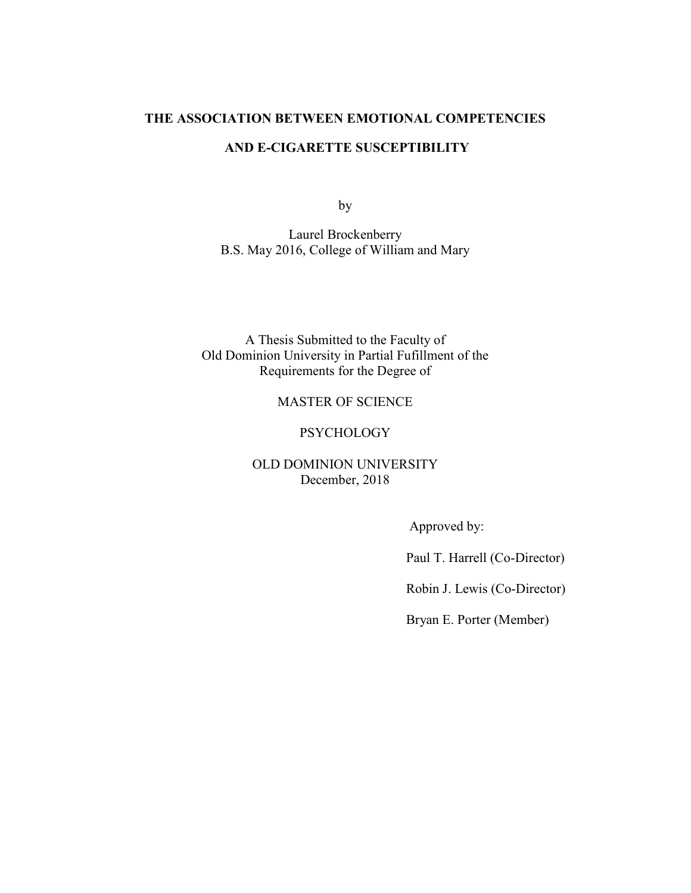#### **THE ASSOCIATION BETWEEN EMOTIONAL COMPETENCIES**

## **AND E-CIGARETTE SUSCEPTIBILITY**

by

Laurel Brockenberry B.S. May 2016, College of William and Mary

A Thesis Submitted to the Faculty of Old Dominion University in Partial Fufillment of the Requirements for the Degree of

# MASTER OF SCIENCE

#### **PSYCHOLOGY**

# OLD DOMINION UNIVERSITY December, 2018

Approved by:

Paul T. Harrell (Co-Director)

Robin J. Lewis (Co-Director)

Bryan E. Porter (Member)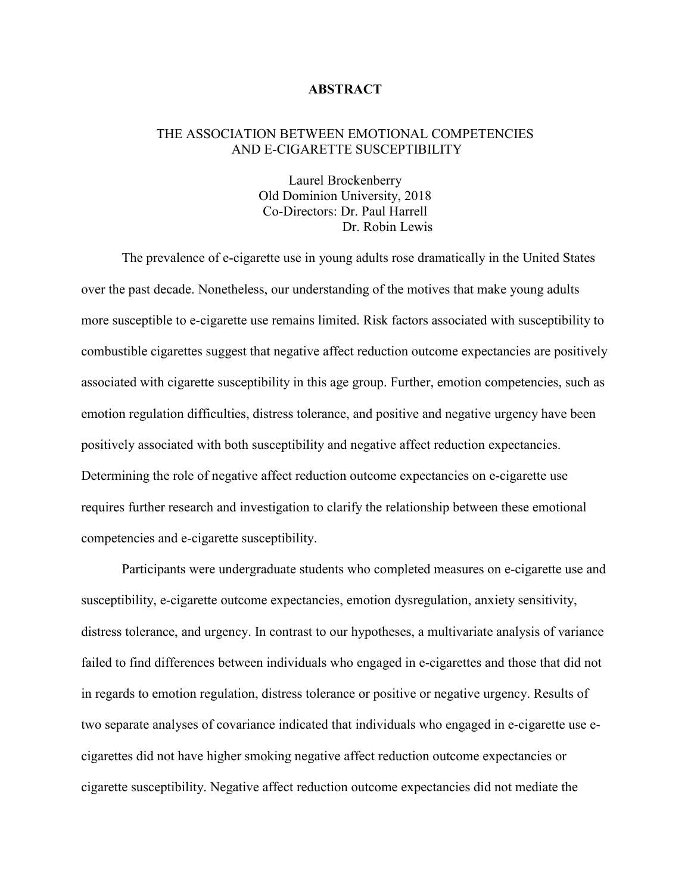## **ABSTRACT**

## THE ASSOCIATION BETWEEN EMOTIONAL COMPETENCIES AND E-CIGARETTE SUSCEPTIBILITY

Laurel Brockenberry Old Dominion University, 2018 Co-Directors: Dr. Paul Harrell Dr. Robin Lewis

The prevalence of e-cigarette use in young adults rose dramatically in the United States over the past decade. Nonetheless, our understanding of the motives that make young adults more susceptible to e-cigarette use remains limited. Risk factors associated with susceptibility to combustible cigarettes suggest that negative affect reduction outcome expectancies are positively associated with cigarette susceptibility in this age group. Further, emotion competencies, such as emotion regulation difficulties, distress tolerance, and positive and negative urgency have been positively associated with both susceptibility and negative affect reduction expectancies. Determining the role of negative affect reduction outcome expectancies on e-cigarette use requires further research and investigation to clarify the relationship between these emotional competencies and e-cigarette susceptibility.

Participants were undergraduate students who completed measures on e-cigarette use and susceptibility, e-cigarette outcome expectancies, emotion dysregulation, anxiety sensitivity, distress tolerance, and urgency. In contrast to our hypotheses, a multivariate analysis of variance failed to find differences between individuals who engaged in e-cigarettes and those that did not in regards to emotion regulation, distress tolerance or positive or negative urgency. Results of two separate analyses of covariance indicated that individuals who engaged in e-cigarette use ecigarettes did not have higher smoking negative affect reduction outcome expectancies or cigarette susceptibility. Negative affect reduction outcome expectancies did not mediate the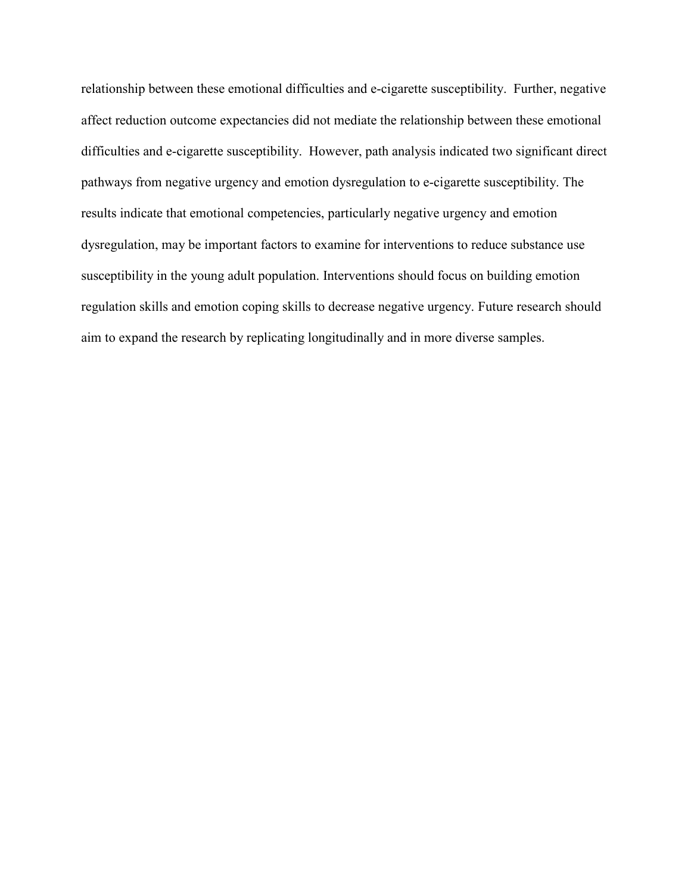relationship between these emotional difficulties and e-cigarette susceptibility. Further, negative affect reduction outcome expectancies did not mediate the relationship between these emotional difficulties and e-cigarette susceptibility. However, path analysis indicated two significant direct pathways from negative urgency and emotion dysregulation to e-cigarette susceptibility. The results indicate that emotional competencies, particularly negative urgency and emotion dysregulation, may be important factors to examine for interventions to reduce substance use susceptibility in the young adult population. Interventions should focus on building emotion regulation skills and emotion coping skills to decrease negative urgency. Future research should aim to expand the research by replicating longitudinally and in more diverse samples.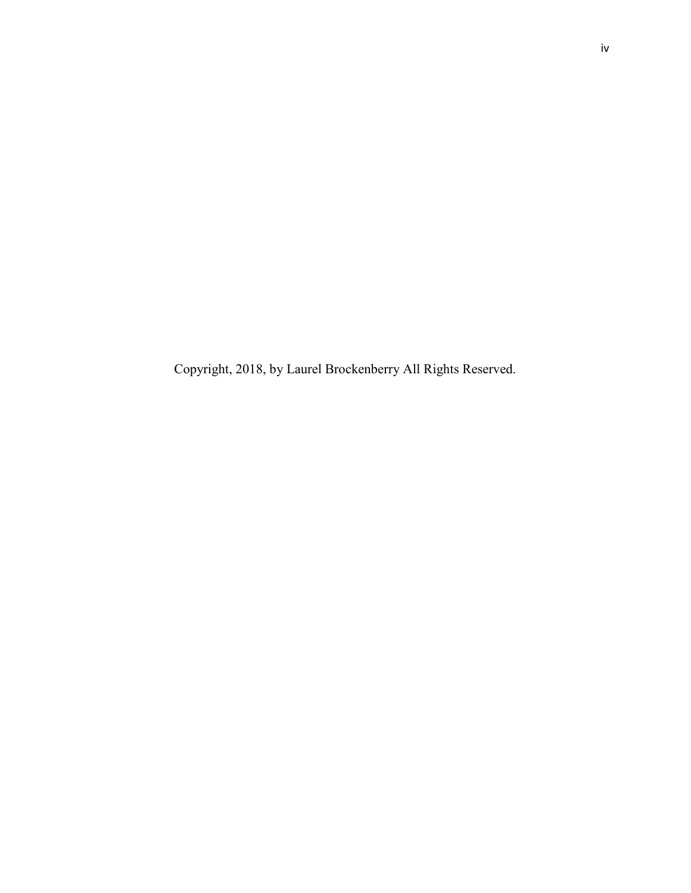Copyright, 2018, by Laurel Brockenberry All Rights Reserved.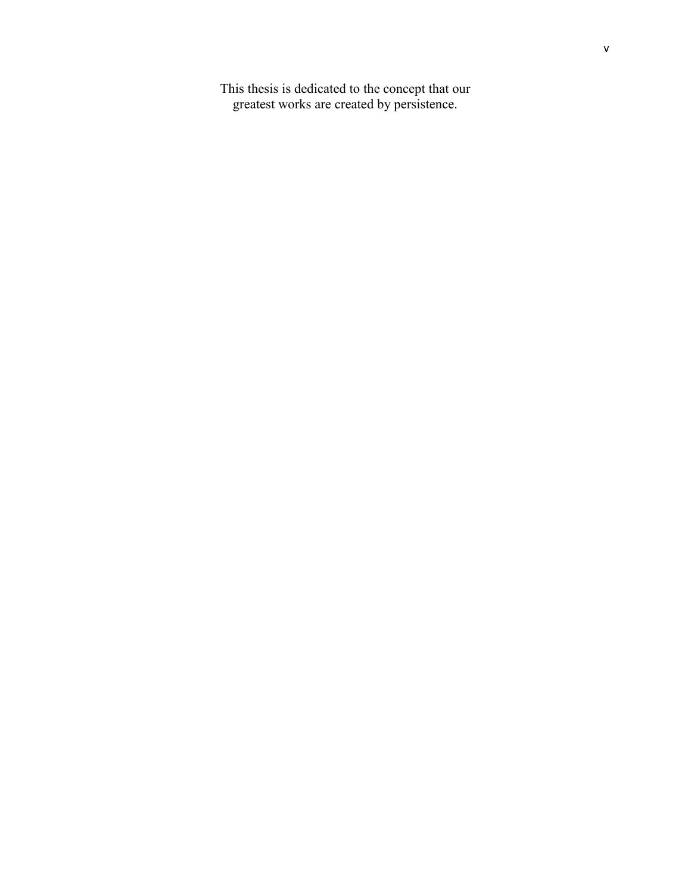This thesis is dedicated to the concept that our greatest works are created by persistence.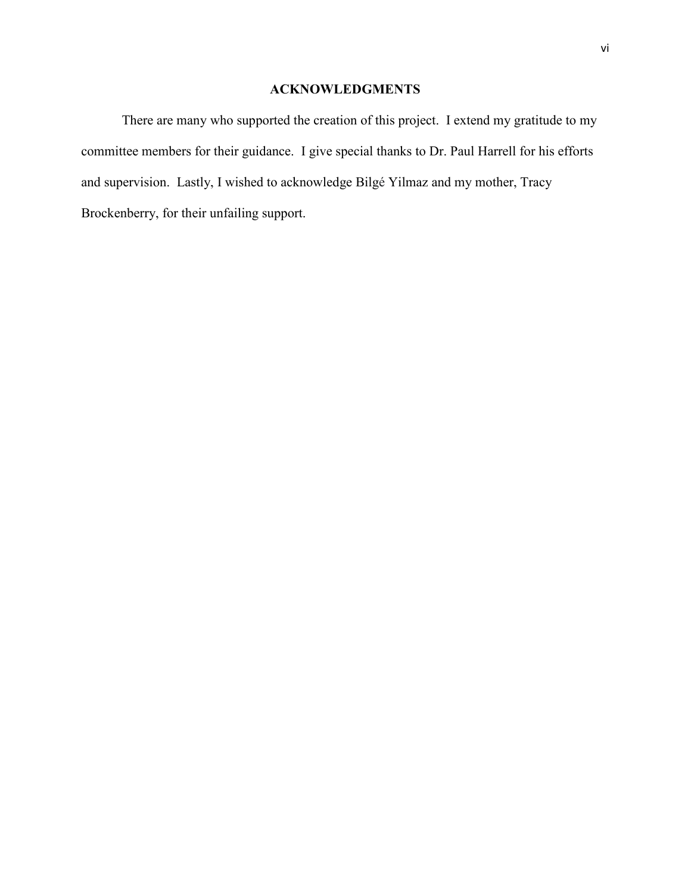# **ACKNOWLEDGMENTS**

There are many who supported the creation of this project. I extend my gratitude to my committee members for their guidance. I give special thanks to Dr. Paul Harrell for his efforts and supervision. Lastly, I wished to acknowledge Bilgé Yilmaz and my mother, Tracy Brockenberry, for their unfailing support.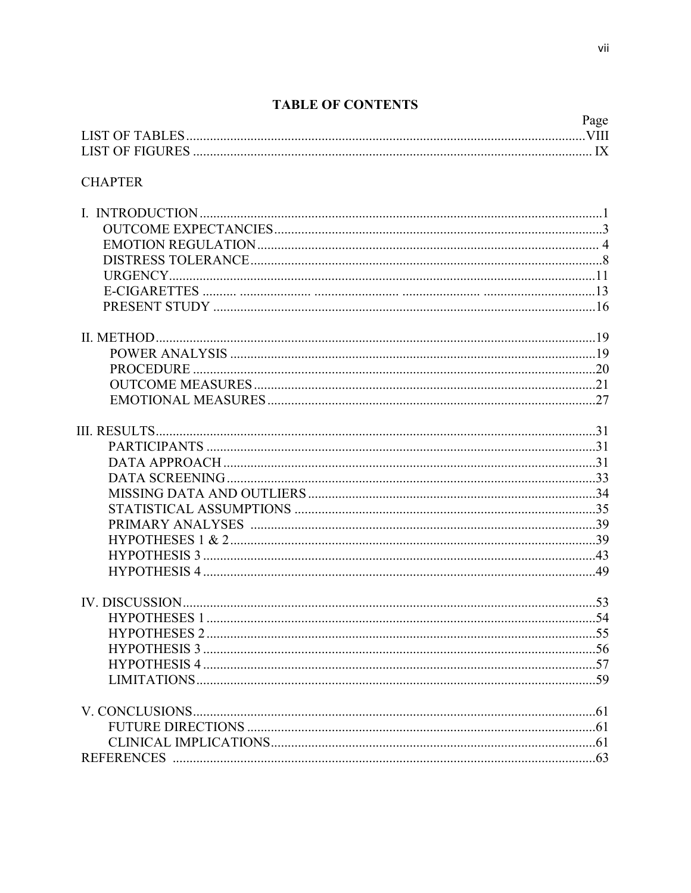# **TABLE OF CONTENTS**

|                | Page |
|----------------|------|
|                |      |
| <b>CHAPTER</b> |      |
|                |      |
|                |      |
|                |      |
|                |      |
|                |      |
|                |      |
|                |      |
|                |      |
|                |      |
|                |      |
|                |      |
|                |      |
|                |      |
|                |      |
|                |      |
|                |      |
|                |      |
|                |      |
|                |      |
|                |      |
|                |      |
|                |      |
|                |      |
|                |      |
|                |      |
|                |      |
|                |      |
|                |      |
|                |      |
|                |      |
|                |      |
|                |      |
|                |      |
|                |      |
|                |      |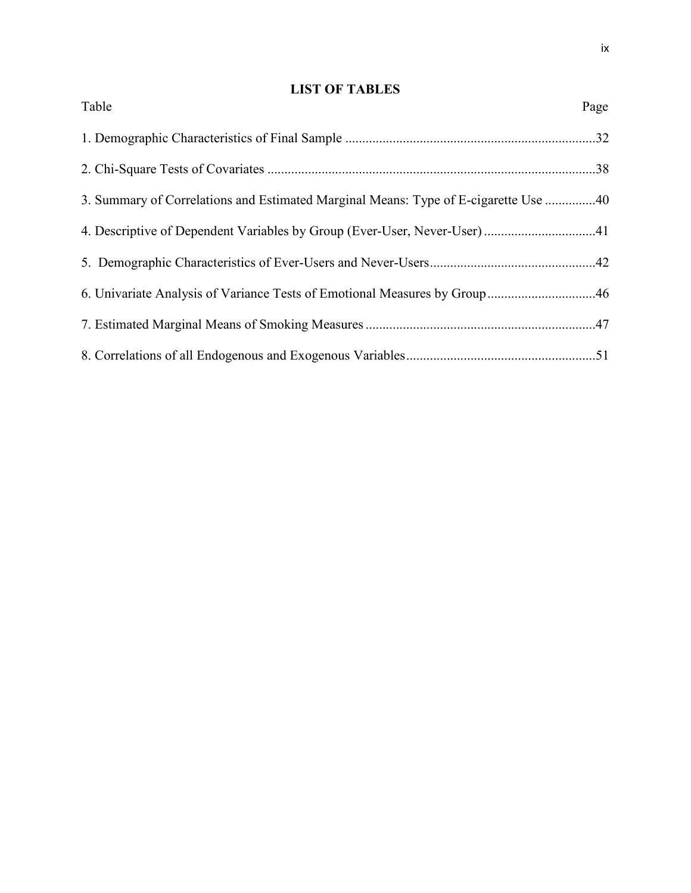# **LIST OF TABLES**

| Table                                                                               | Page |
|-------------------------------------------------------------------------------------|------|
|                                                                                     |      |
|                                                                                     |      |
| 3. Summary of Correlations and Estimated Marginal Means: Type of E-cigarette Use 40 |      |
| 4. Descriptive of Dependent Variables by Group (Ever-User, Never-User) 41           |      |
|                                                                                     |      |
|                                                                                     |      |
|                                                                                     |      |
|                                                                                     |      |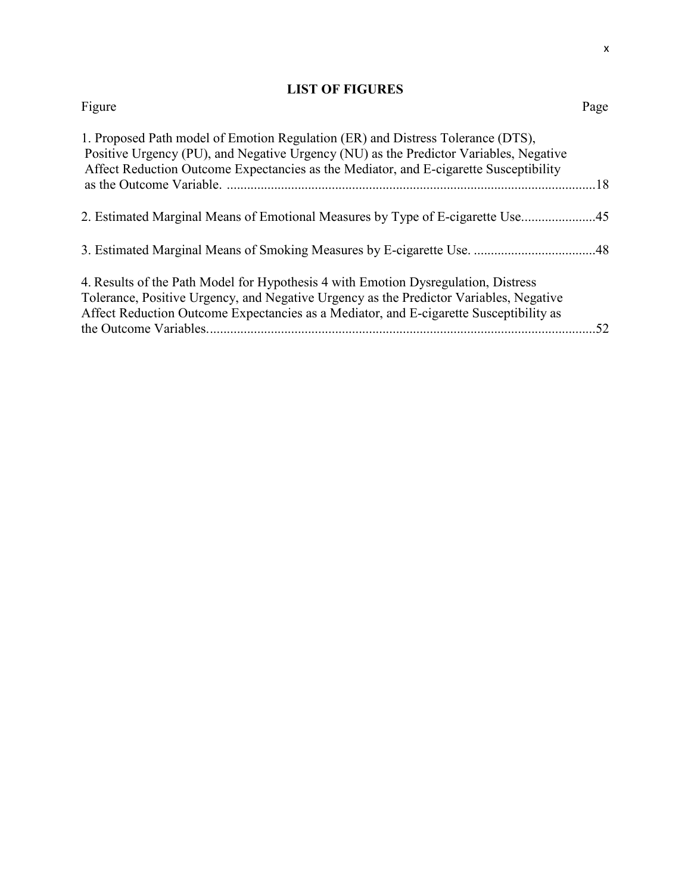# **LIST OF FIGURES**

| Figure                                                                                                                                                                                                                                                                 | Page |
|------------------------------------------------------------------------------------------------------------------------------------------------------------------------------------------------------------------------------------------------------------------------|------|
| 1. Proposed Path model of Emotion Regulation (ER) and Distress Tolerance (DTS),<br>Positive Urgency (PU), and Negative Urgency (NU) as the Predictor Variables, Negative<br>Affect Reduction Outcome Expectancies as the Mediator, and E-cigarette Susceptibility      |      |
|                                                                                                                                                                                                                                                                        |      |
| 2. Estimated Marginal Means of Emotional Measures by Type of E-cigarette Use                                                                                                                                                                                           |      |
|                                                                                                                                                                                                                                                                        |      |
| 4. Results of the Path Model for Hypothesis 4 with Emotion Dysregulation, Distress<br>Tolerance, Positive Urgency, and Negative Urgency as the Predictor Variables, Negative<br>Affect Reduction Outcome Expectancies as a Mediator, and E-cigarette Susceptibility as | .52  |
|                                                                                                                                                                                                                                                                        |      |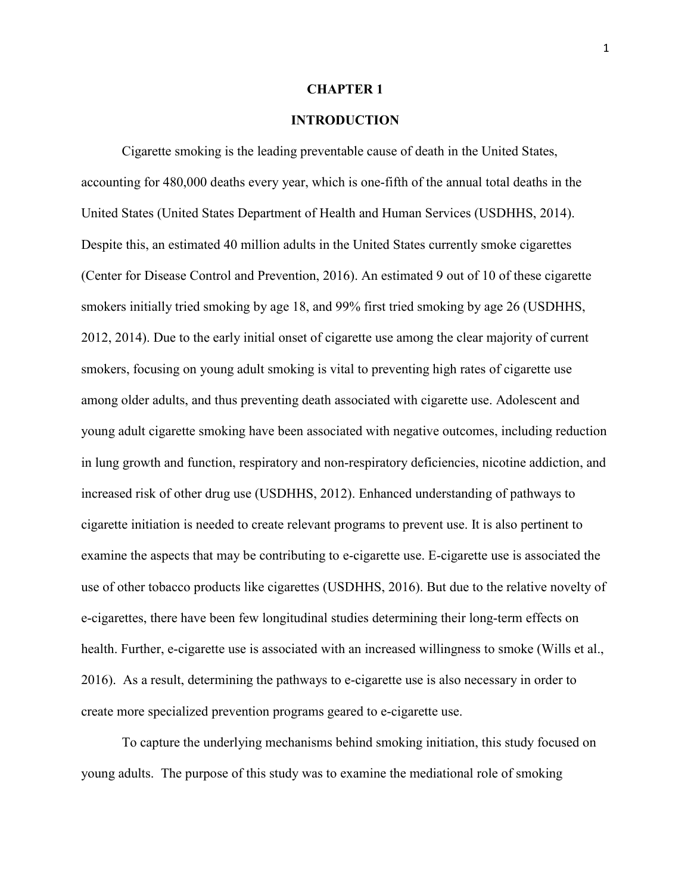#### **CHAPTER 1**

## **INTRODUCTION**

Cigarette smoking is the leading preventable cause of death in the United States, accounting for 480,000 deaths every year, which is one-fifth of the annual total deaths in the United States (United States Department of Health and Human Services (USDHHS, 2014). Despite this, an estimated 40 million adults in the United States currently smoke cigarettes (Center for Disease Control and Prevention, 2016). An estimated 9 out of 10 of these cigarette smokers initially tried smoking by age 18, and 99% first tried smoking by age 26 (USDHHS, 2012, 2014). Due to the early initial onset of cigarette use among the clear majority of current smokers, focusing on young adult smoking is vital to preventing high rates of cigarette use among older adults, and thus preventing death associated with cigarette use. Adolescent and young adult cigarette smoking have been associated with negative outcomes, including reduction in lung growth and function, respiratory and non-respiratory deficiencies, nicotine addiction, and increased risk of other drug use (USDHHS, 2012). Enhanced understanding of pathways to cigarette initiation is needed to create relevant programs to prevent use. It is also pertinent to examine the aspects that may be contributing to e-cigarette use. E-cigarette use is associated the use of other tobacco products like cigarettes (USDHHS, 2016). But due to the relative novelty of e-cigarettes, there have been few longitudinal studies determining their long-term effects on health. Further, e-cigarette use is associated with an increased willingness to smoke (Wills et al., 2016). As a result, determining the pathways to e-cigarette use is also necessary in order to create more specialized prevention programs geared to e-cigarette use.

To capture the underlying mechanisms behind smoking initiation, this study focused on young adults. The purpose of this study was to examine the mediational role of smoking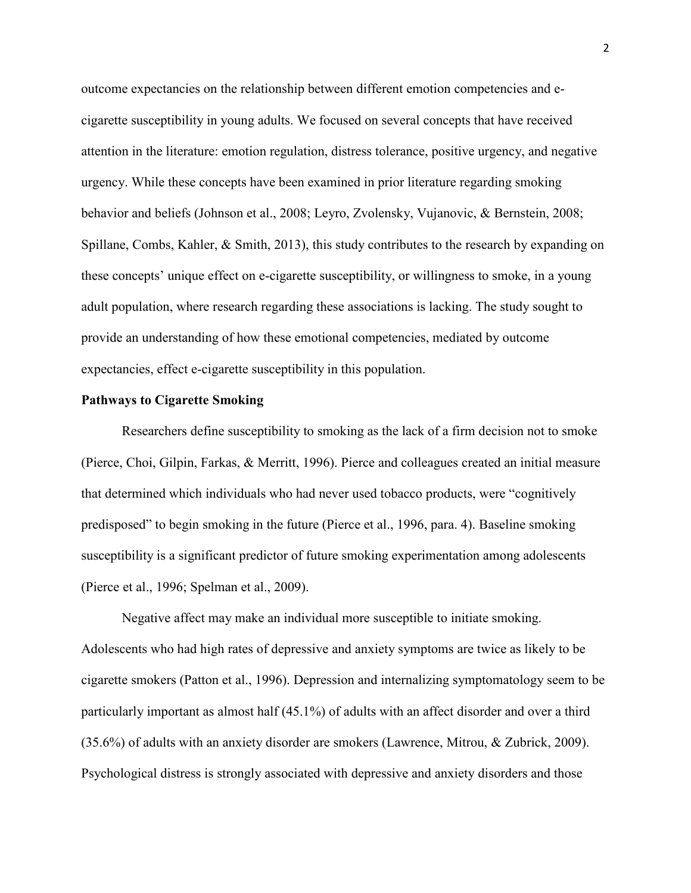outcome expectancies on the relationship between different emotion competencies and ecigarette susceptibility in young adults. We focused on several concepts that have received attention in the literature: emotion regulation, distress tolerance, positive urgency, and negative urgency. While these concepts have been examined in prior literature regarding smoking behavior and beliefs (Johnson et al., 2008; Leyro, Zvolensky, Vujanovic, & Bernstein, 2008; Spillane, Combs, Kahler, & Smith, 2013), this study contributes to the research by expanding on these concepts' unique effect on e-cigarette susceptibility, or willingness to smoke, in a young adult population, where research regarding these associations is lacking. The study sought to provide an understanding of how these emotional competencies, mediated by outcome expectancies, effect e-cigarette susceptibility in this population.

#### **Pathways to Cigarette Smoking**

Researchers define susceptibility to smoking as the lack of a firm decision not to smoke (Pierce, Choi, Gilpin, Farkas, & Merritt, 1996). Pierce and colleagues created an initial measure that determined which individuals who had never used tobacco products, were "cognitively predisposed" to begin smoking in the future (Pierce et al., 1996, para. 4). Baseline smoking susceptibility is a significant predictor of future smoking experimentation among adolescents (Pierce et al., 1996; Spelman et al., 2009).

Negative affect may make an individual more susceptible to initiate smoking. Adolescents who had high rates of depressive and anxiety symptoms are twice as likely to be cigarette smokers (Patton et al., 1996). Depression and internalizing symptomatology seem to be particularly important as almost half (45.1%) of adults with an affect disorder and over a third (35.6%) of adults with an anxiety disorder are smokers (Lawrence, Mitrou, & Zubrick, 2009). Psychological distress is strongly associated with depressive and anxiety disorders and those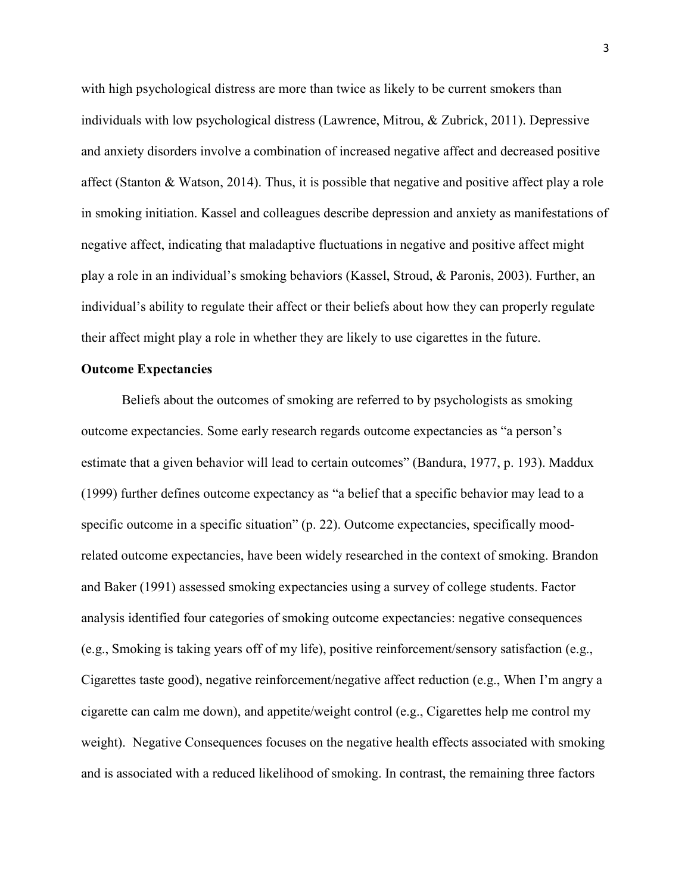with high psychological distress are more than twice as likely to be current smokers than individuals with low psychological distress (Lawrence, Mitrou, & Zubrick, 2011). Depressive and anxiety disorders involve a combination of increased negative affect and decreased positive affect (Stanton & Watson, 2014). Thus, it is possible that negative and positive affect play a role in smoking initiation. Kassel and colleagues describe depression and anxiety as manifestations of negative affect, indicating that maladaptive fluctuations in negative and positive affect might play a role in an individual's smoking behaviors (Kassel, Stroud, & Paronis, 2003). Further, an individual's ability to regulate their affect or their beliefs about how they can properly regulate their affect might play a role in whether they are likely to use cigarettes in the future.

#### **Outcome Expectancies**

Beliefs about the outcomes of smoking are referred to by psychologists as smoking outcome expectancies. Some early research regards outcome expectancies as "a person's estimate that a given behavior will lead to certain outcomes" (Bandura, 1977, p. 193). Maddux (1999) further defines outcome expectancy as "a belief that a specific behavior may lead to a specific outcome in a specific situation" (p. 22). Outcome expectancies, specifically moodrelated outcome expectancies, have been widely researched in the context of smoking. Brandon and Baker (1991) assessed smoking expectancies using a survey of college students. Factor analysis identified four categories of smoking outcome expectancies: negative consequences (e.g., Smoking is taking years off of my life), positive reinforcement/sensory satisfaction (e.g., Cigarettes taste good), negative reinforcement/negative affect reduction (e.g., When I'm angry a cigarette can calm me down), and appetite/weight control (e.g., Cigarettes help me control my weight). Negative Consequences focuses on the negative health effects associated with smoking and is associated with a reduced likelihood of smoking. In contrast, the remaining three factors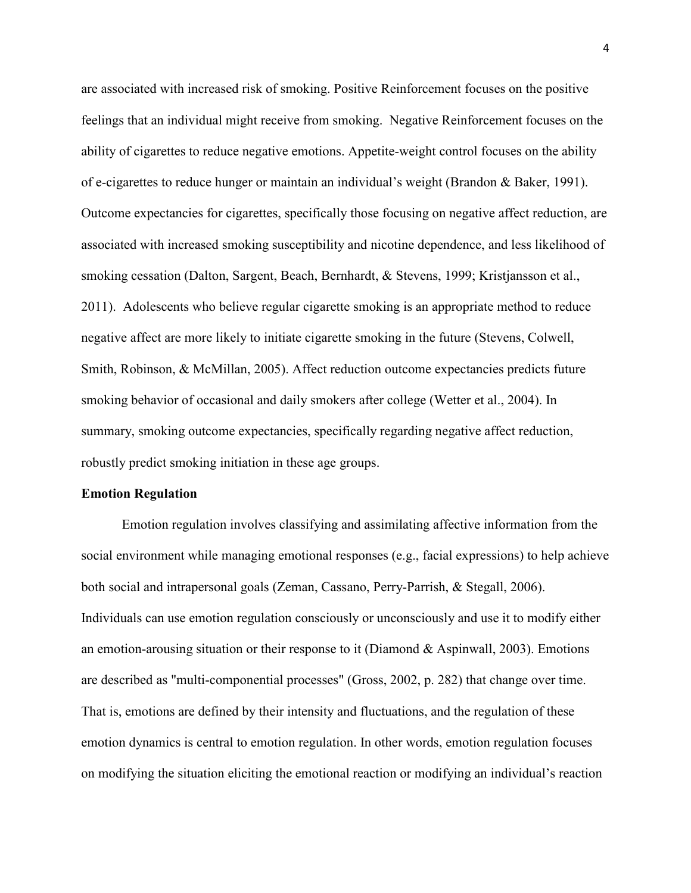are associated with increased risk of smoking. Positive Reinforcement focuses on the positive feelings that an individual might receive from smoking. Negative Reinforcement focuses on the ability of cigarettes to reduce negative emotions. Appetite-weight control focuses on the ability of e-cigarettes to reduce hunger or maintain an individual's weight (Brandon & Baker, 1991). Outcome expectancies for cigarettes, specifically those focusing on negative affect reduction, are associated with increased smoking susceptibility and nicotine dependence, and less likelihood of smoking cessation (Dalton, Sargent, Beach, Bernhardt, & Stevens, 1999; Kristjansson et al., 2011). Adolescents who believe regular cigarette smoking is an appropriate method to reduce negative affect are more likely to initiate cigarette smoking in the future (Stevens, Colwell, Smith, Robinson, & McMillan, 2005). Affect reduction outcome expectancies predicts future smoking behavior of occasional and daily smokers after college (Wetter et al., 2004). In summary, smoking outcome expectancies, specifically regarding negative affect reduction, robustly predict smoking initiation in these age groups.

#### **Emotion Regulation**

Emotion regulation involves classifying and assimilating affective information from the social environment while managing emotional responses (e.g., facial expressions) to help achieve both social and intrapersonal goals (Zeman, Cassano, Perry-Parrish, & Stegall, 2006). Individuals can use emotion regulation consciously or unconsciously and use it to modify either an emotion-arousing situation or their response to it (Diamond & Aspinwall, 2003). Emotions are described as "multi-componential processes" (Gross, 2002, p. 282) that change over time. That is, emotions are defined by their intensity and fluctuations, and the regulation of these emotion dynamics is central to emotion regulation. In other words, emotion regulation focuses on modifying the situation eliciting the emotional reaction or modifying an individual's reaction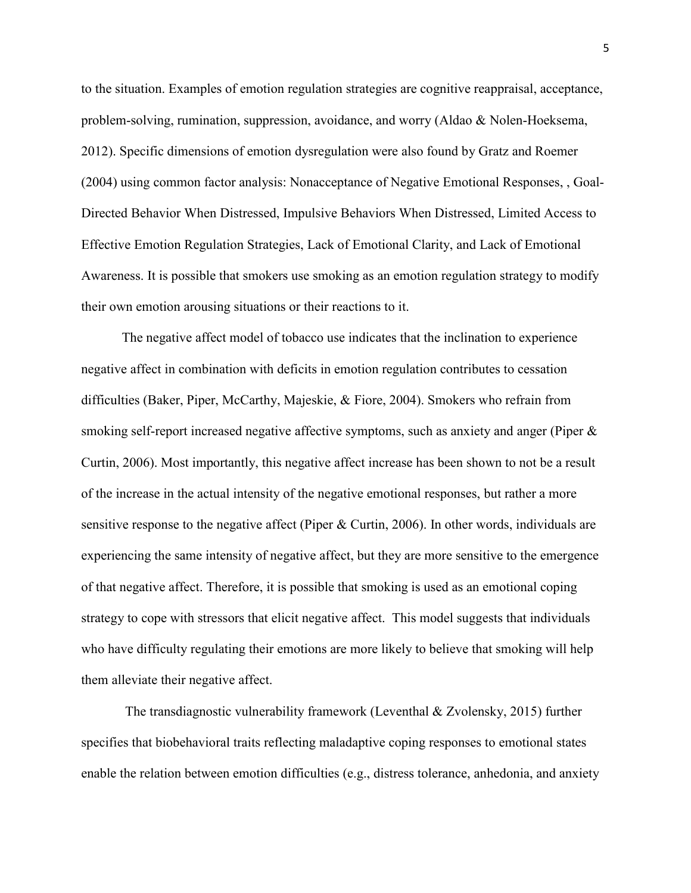to the situation. Examples of emotion regulation strategies are cognitive reappraisal, acceptance, problem-solving, rumination, suppression, avoidance, and worry (Aldao & Nolen-Hoeksema, 2012). Specific dimensions of emotion dysregulation were also found by Gratz and Roemer (2004) using common factor analysis: Nonacceptance of Negative Emotional Responses, , Goal-Directed Behavior When Distressed, Impulsive Behaviors When Distressed, Limited Access to Effective Emotion Regulation Strategies, Lack of Emotional Clarity, and Lack of Emotional Awareness. It is possible that smokers use smoking as an emotion regulation strategy to modify their own emotion arousing situations or their reactions to it.

The negative affect model of tobacco use indicates that the inclination to experience negative affect in combination with deficits in emotion regulation contributes to cessation difficulties (Baker, Piper, McCarthy, Majeskie, & Fiore, 2004). Smokers who refrain from smoking self-report increased negative affective symptoms, such as anxiety and anger (Piper & Curtin, 2006). Most importantly, this negative affect increase has been shown to not be a result of the increase in the actual intensity of the negative emotional responses, but rather a more sensitive response to the negative affect (Piper & Curtin, 2006). In other words, individuals are experiencing the same intensity of negative affect, but they are more sensitive to the emergence of that negative affect. Therefore, it is possible that smoking is used as an emotional coping strategy to cope with stressors that elicit negative affect. This model suggests that individuals who have difficulty regulating their emotions are more likely to believe that smoking will help them alleviate their negative affect.

 The transdiagnostic vulnerability framework (Leventhal & Zvolensky, 2015) further specifies that biobehavioral traits reflecting maladaptive coping responses to emotional states enable the relation between emotion difficulties (e.g., distress tolerance, anhedonia, and anxiety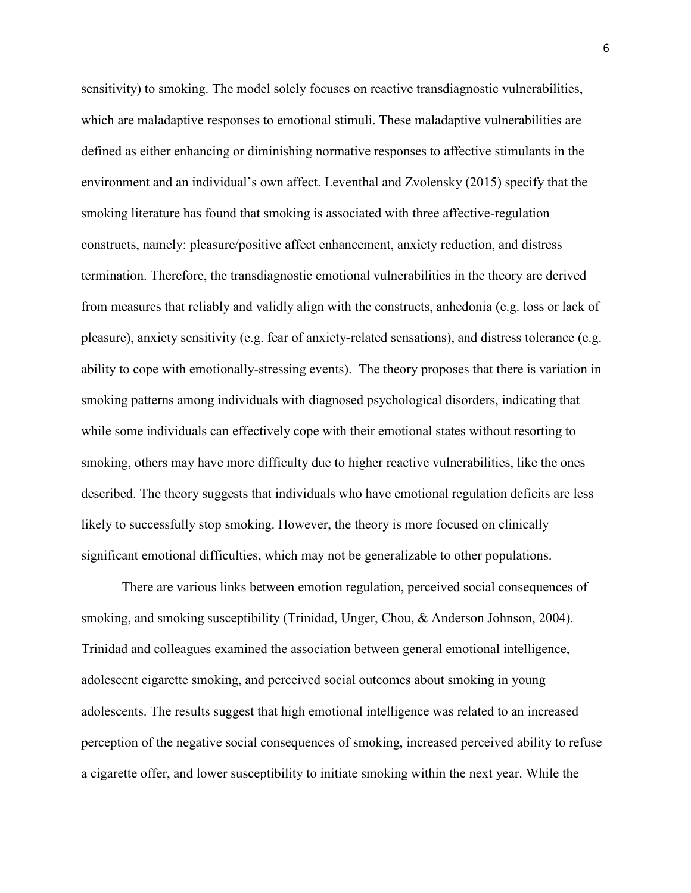sensitivity) to smoking. The model solely focuses on reactive transdiagnostic vulnerabilities, which are maladaptive responses to emotional stimuli. These maladaptive vulnerabilities are defined as either enhancing or diminishing normative responses to affective stimulants in the environment and an individual's own affect. Leventhal and Zvolensky (2015) specify that the smoking literature has found that smoking is associated with three affective-regulation constructs, namely: pleasure/positive affect enhancement, anxiety reduction, and distress termination. Therefore, the transdiagnostic emotional vulnerabilities in the theory are derived from measures that reliably and validly align with the constructs, anhedonia (e.g. loss or lack of pleasure), anxiety sensitivity (e.g. fear of anxiety-related sensations), and distress tolerance (e.g. ability to cope with emotionally-stressing events). The theory proposes that there is variation in smoking patterns among individuals with diagnosed psychological disorders, indicating that while some individuals can effectively cope with their emotional states without resorting to smoking, others may have more difficulty due to higher reactive vulnerabilities, like the ones described. The theory suggests that individuals who have emotional regulation deficits are less likely to successfully stop smoking. However, the theory is more focused on clinically significant emotional difficulties, which may not be generalizable to other populations.

There are various links between emotion regulation, perceived social consequences of smoking, and smoking susceptibility (Trinidad, Unger, Chou, & Anderson Johnson, 2004). Trinidad and colleagues examined the association between general emotional intelligence, adolescent cigarette smoking, and perceived social outcomes about smoking in young adolescents. The results suggest that high emotional intelligence was related to an increased perception of the negative social consequences of smoking, increased perceived ability to refuse a cigarette offer, and lower susceptibility to initiate smoking within the next year. While the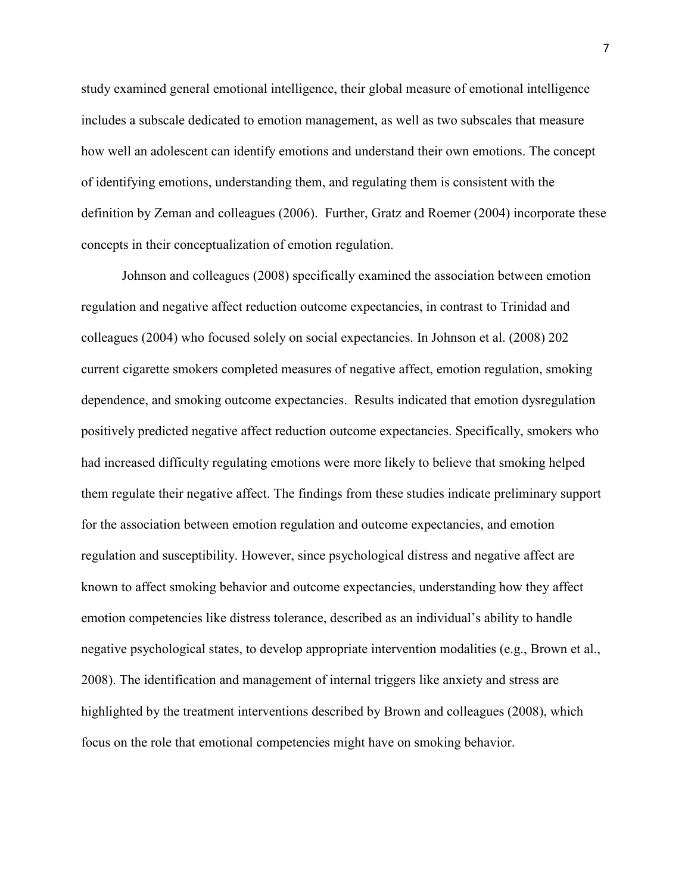study examined general emotional intelligence, their global measure of emotional intelligence includes a subscale dedicated to emotion management, as well as two subscales that measure how well an adolescent can identify emotions and understand their own emotions. The concept of identifying emotions, understanding them, and regulating them is consistent with the definition by Zeman and colleagues (2006). Further, Gratz and Roemer (2004) incorporate these concepts in their conceptualization of emotion regulation.

Johnson and colleagues (2008) specifically examined the association between emotion regulation and negative affect reduction outcome expectancies, in contrast to Trinidad and colleagues (2004) who focused solely on social expectancies. In Johnson et al. (2008) 202 current cigarette smokers completed measures of negative affect, emotion regulation, smoking dependence, and smoking outcome expectancies. Results indicated that emotion dysregulation positively predicted negative affect reduction outcome expectancies. Specifically, smokers who had increased difficulty regulating emotions were more likely to believe that smoking helped them regulate their negative affect. The findings from these studies indicate preliminary support for the association between emotion regulation and outcome expectancies, and emotion regulation and susceptibility. However, since psychological distress and negative affect are known to affect smoking behavior and outcome expectancies, understanding how they affect emotion competencies like distress tolerance, described as an individual's ability to handle negative psychological states, to develop appropriate intervention modalities (e.g., Brown et al., 2008). The identification and management of internal triggers like anxiety and stress are highlighted by the treatment interventions described by Brown and colleagues (2008), which focus on the role that emotional competencies might have on smoking behavior.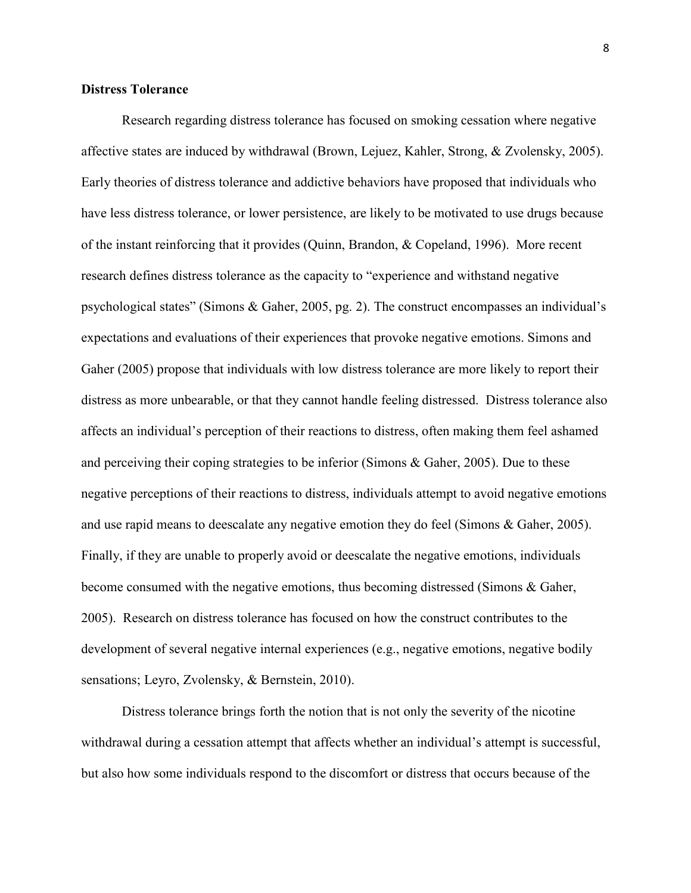#### **Distress Tolerance**

 Research regarding distress tolerance has focused on smoking cessation where negative affective states are induced by withdrawal (Brown, Lejuez, Kahler, Strong, & Zvolensky, 2005). Early theories of distress tolerance and addictive behaviors have proposed that individuals who have less distress tolerance, or lower persistence, are likely to be motivated to use drugs because of the instant reinforcing that it provides (Quinn, Brandon, & Copeland, 1996). More recent research defines distress tolerance as the capacity to "experience and withstand negative psychological states" (Simons & Gaher, 2005, pg. 2). The construct encompasses an individual's expectations and evaluations of their experiences that provoke negative emotions. Simons and Gaher (2005) propose that individuals with low distress tolerance are more likely to report their distress as more unbearable, or that they cannot handle feeling distressed. Distress tolerance also affects an individual's perception of their reactions to distress, often making them feel ashamed and perceiving their coping strategies to be inferior (Simons & Gaher, 2005). Due to these negative perceptions of their reactions to distress, individuals attempt to avoid negative emotions and use rapid means to deescalate any negative emotion they do feel (Simons & Gaher, 2005). Finally, if they are unable to properly avoid or deescalate the negative emotions, individuals become consumed with the negative emotions, thus becoming distressed (Simons & Gaher, 2005). Research on distress tolerance has focused on how the construct contributes to the development of several negative internal experiences (e.g., negative emotions, negative bodily sensations; Leyro, Zvolensky, & Bernstein, 2010).

Distress tolerance brings forth the notion that is not only the severity of the nicotine withdrawal during a cessation attempt that affects whether an individual's attempt is successful, but also how some individuals respond to the discomfort or distress that occurs because of the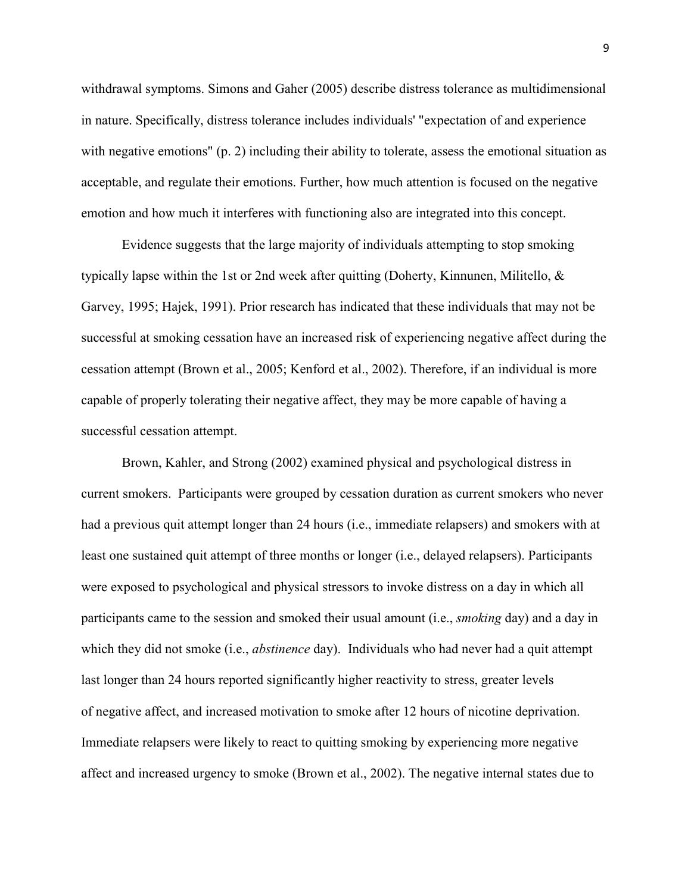withdrawal symptoms. Simons and Gaher (2005) describe distress tolerance as multidimensional in nature. Specifically, distress tolerance includes individuals' "expectation of and experience with negative emotions" (p. 2) including their ability to tolerate, assess the emotional situation as acceptable, and regulate their emotions. Further, how much attention is focused on the negative emotion and how much it interferes with functioning also are integrated into this concept.

Evidence suggests that the large majority of individuals attempting to stop smoking typically lapse within the 1st or 2nd week after quitting (Doherty, Kinnunen, Militello, & Garvey, 1995; Hajek, 1991). Prior research has indicated that these individuals that may not be successful at smoking cessation have an increased risk of experiencing negative affect during the cessation attempt (Brown et al., 2005; Kenford et al., 2002). Therefore, if an individual is more capable of properly tolerating their negative affect, they may be more capable of having a successful cessation attempt.

 Brown, Kahler, and Strong (2002) examined physical and psychological distress in current smokers. Participants were grouped by cessation duration as current smokers who never had a previous quit attempt longer than 24 hours (i.e., immediate relapsers) and smokers with at least one sustained quit attempt of three months or longer (i.e., delayed relapsers). Participants were exposed to psychological and physical stressors to invoke distress on a day in which all participants came to the session and smoked their usual amount (i.e., *smoking* day) and a day in which they did not smoke (i.e., *abstinence* day). Individuals who had never had a quit attempt last longer than 24 hours reported significantly higher reactivity to stress, greater levels of negative affect, and increased motivation to smoke after 12 hours of nicotine deprivation. Immediate relapsers were likely to react to quitting smoking by experiencing more negative affect and increased urgency to smoke (Brown et al., 2002). The negative internal states due to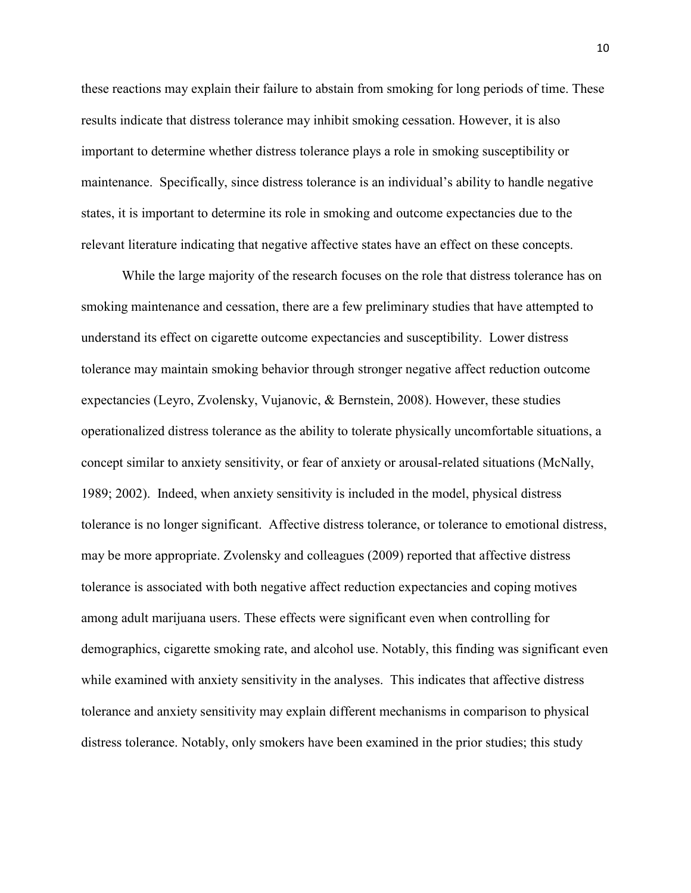these reactions may explain their failure to abstain from smoking for long periods of time. These results indicate that distress tolerance may inhibit smoking cessation. However, it is also important to determine whether distress tolerance plays a role in smoking susceptibility or maintenance. Specifically, since distress tolerance is an individual's ability to handle negative states, it is important to determine its role in smoking and outcome expectancies due to the relevant literature indicating that negative affective states have an effect on these concepts.

While the large majority of the research focuses on the role that distress tolerance has on smoking maintenance and cessation, there are a few preliminary studies that have attempted to understand its effect on cigarette outcome expectancies and susceptibility. Lower distress tolerance may maintain smoking behavior through stronger negative affect reduction outcome expectancies (Leyro, Zvolensky, Vujanovic, & Bernstein, 2008). However, these studies operationalized distress tolerance as the ability to tolerate physically uncomfortable situations, a concept similar to anxiety sensitivity, or fear of anxiety or arousal-related situations (McNally, 1989; 2002). Indeed, when anxiety sensitivity is included in the model, physical distress tolerance is no longer significant. Affective distress tolerance, or tolerance to emotional distress, may be more appropriate. Zvolensky and colleagues (2009) reported that affective distress tolerance is associated with both negative affect reduction expectancies and coping motives among adult marijuana users. These effects were significant even when controlling for demographics, cigarette smoking rate, and alcohol use. Notably, this finding was significant even while examined with anxiety sensitivity in the analyses. This indicates that affective distress tolerance and anxiety sensitivity may explain different mechanisms in comparison to physical distress tolerance. Notably, only smokers have been examined in the prior studies; this study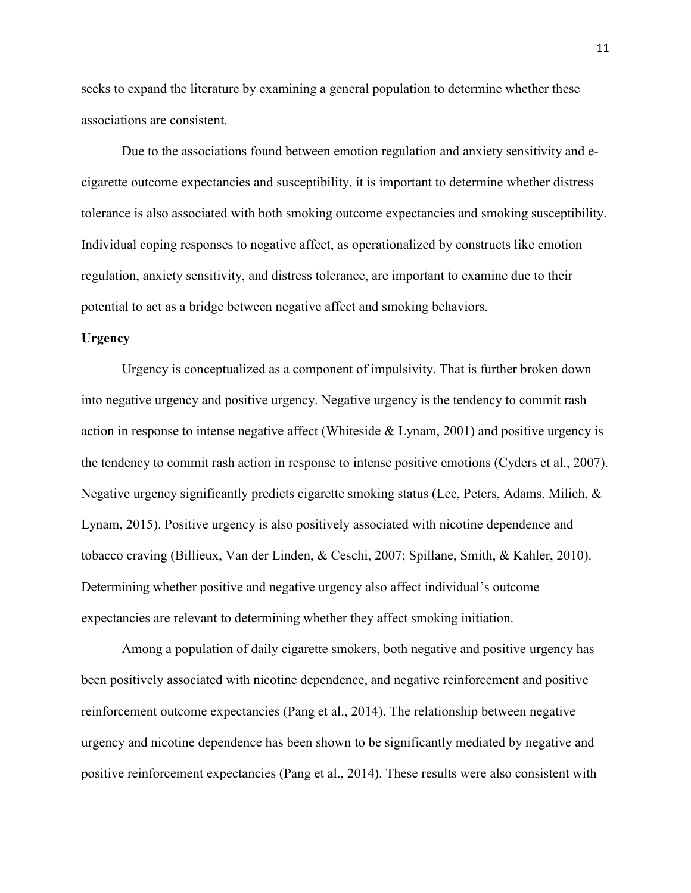seeks to expand the literature by examining a general population to determine whether these associations are consistent.

Due to the associations found between emotion regulation and anxiety sensitivity and ecigarette outcome expectancies and susceptibility, it is important to determine whether distress tolerance is also associated with both smoking outcome expectancies and smoking susceptibility. Individual coping responses to negative affect, as operationalized by constructs like emotion regulation, anxiety sensitivity, and distress tolerance, are important to examine due to their potential to act as a bridge between negative affect and smoking behaviors.

#### **Urgency**

Urgency is conceptualized as a component of impulsivity. That is further broken down into negative urgency and positive urgency. Negative urgency is the tendency to commit rash action in response to intense negative affect (Whiteside & Lynam, 2001) and positive urgency is the tendency to commit rash action in response to intense positive emotions (Cyders et al., 2007). Negative urgency significantly predicts cigarette smoking status (Lee, Peters, Adams, Milich, & Lynam, 2015). Positive urgency is also positively associated with nicotine dependence and tobacco craving (Billieux, Van der Linden, & Ceschi, 2007; Spillane, Smith, & Kahler, 2010). Determining whether positive and negative urgency also affect individual's outcome expectancies are relevant to determining whether they affect smoking initiation.

Among a population of daily cigarette smokers, both negative and positive urgency has been positively associated with nicotine dependence, and negative reinforcement and positive reinforcement outcome expectancies (Pang et al., 2014). The relationship between negative urgency and nicotine dependence has been shown to be significantly mediated by negative and positive reinforcement expectancies (Pang et al., 2014). These results were also consistent with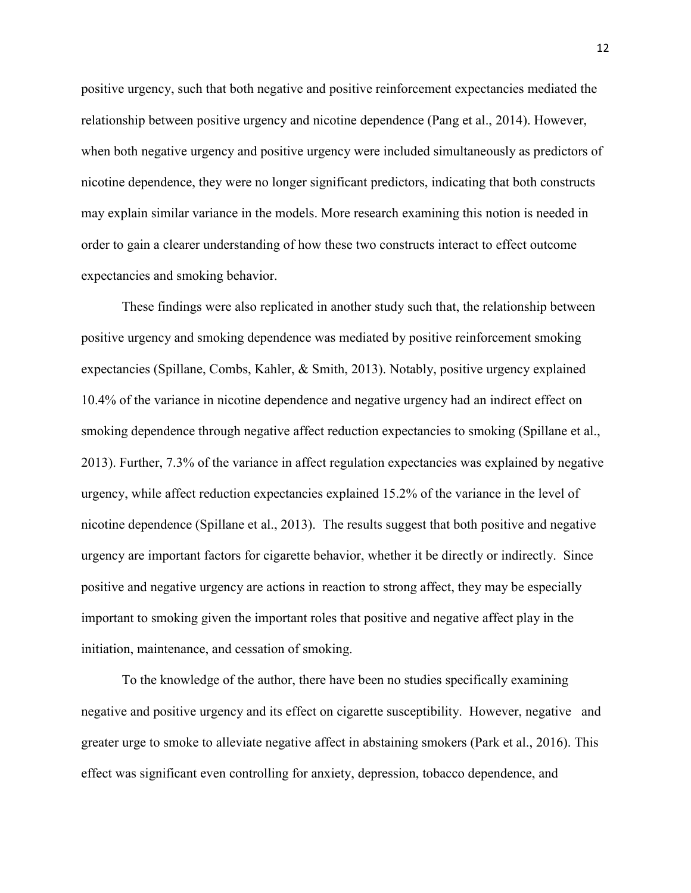positive urgency, such that both negative and positive reinforcement expectancies mediated the relationship between positive urgency and nicotine dependence (Pang et al., 2014). However, when both negative urgency and positive urgency were included simultaneously as predictors of nicotine dependence, they were no longer significant predictors, indicating that both constructs may explain similar variance in the models. More research examining this notion is needed in order to gain a clearer understanding of how these two constructs interact to effect outcome expectancies and smoking behavior.

These findings were also replicated in another study such that, the relationship between positive urgency and smoking dependence was mediated by positive reinforcement smoking expectancies (Spillane, Combs, Kahler, & Smith, 2013). Notably, positive urgency explained 10.4% of the variance in nicotine dependence and negative urgency had an indirect effect on smoking dependence through negative affect reduction expectancies to smoking (Spillane et al., 2013). Further, 7.3% of the variance in affect regulation expectancies was explained by negative urgency, while affect reduction expectancies explained 15.2% of the variance in the level of nicotine dependence (Spillane et al., 2013). The results suggest that both positive and negative urgency are important factors for cigarette behavior, whether it be directly or indirectly. Since positive and negative urgency are actions in reaction to strong affect, they may be especially important to smoking given the important roles that positive and negative affect play in the initiation, maintenance, and cessation of smoking.

To the knowledge of the author, there have been no studies specifically examining negative and positive urgency and its effect on cigarette susceptibility. However, negative and greater urge to smoke to alleviate negative affect in abstaining smokers (Park et al., 2016). This effect was significant even controlling for anxiety, depression, tobacco dependence, and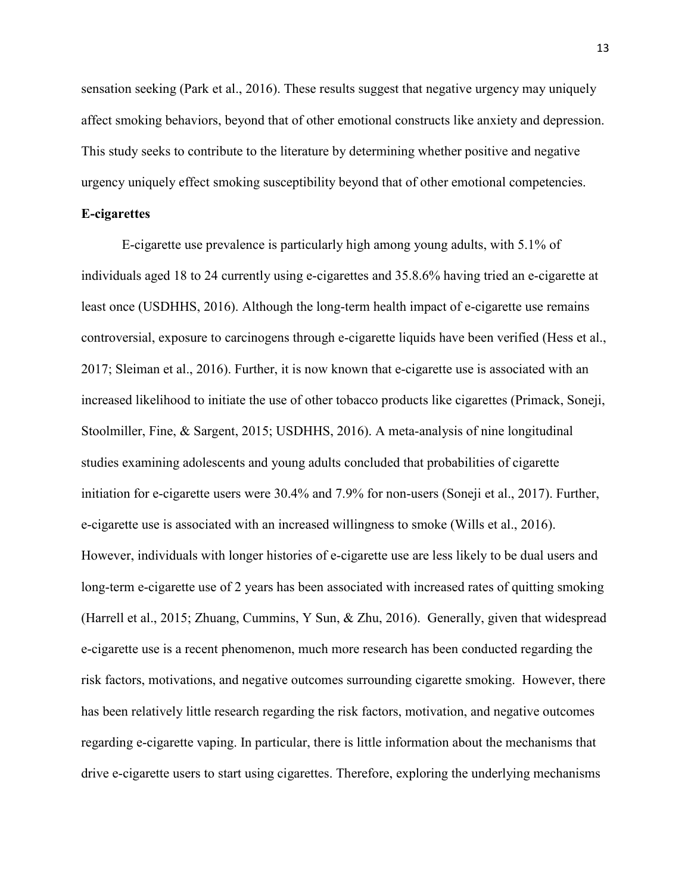sensation seeking (Park et al., 2016). These results suggest that negative urgency may uniquely affect smoking behaviors, beyond that of other emotional constructs like anxiety and depression. This study seeks to contribute to the literature by determining whether positive and negative urgency uniquely effect smoking susceptibility beyond that of other emotional competencies.

#### **E-cigarettes**

E-cigarette use prevalence is particularly high among young adults, with 5.1% of individuals aged 18 to 24 currently using e-cigarettes and 35.8.6% having tried an e-cigarette at least once (USDHHS, 2016). Although the long-term health impact of e-cigarette use remains controversial, exposure to carcinogens through e-cigarette liquids have been verified (Hess et al., 2017; Sleiman et al., 2016). Further, it is now known that e-cigarette use is associated with an increased likelihood to initiate the use of other tobacco products like cigarettes (Primack, Soneji, Stoolmiller, Fine, & Sargent, 2015; USDHHS, 2016). A meta-analysis of nine longitudinal studies examining adolescents and young adults concluded that probabilities of cigarette initiation for e-cigarette users were 30.4% and 7.9% for non-users (Soneji et al., 2017). Further, e-cigarette use is associated with an increased willingness to smoke (Wills et al., 2016). However, individuals with longer histories of e-cigarette use are less likely to be dual users and long-term e-cigarette use of 2 years has been associated with increased rates of quitting smoking (Harrell et al., 2015; Zhuang, Cummins, Y Sun, & Zhu, 2016). Generally, given that widespread e-cigarette use is a recent phenomenon, much more research has been conducted regarding the risk factors, motivations, and negative outcomes surrounding cigarette smoking. However, there has been relatively little research regarding the risk factors, motivation, and negative outcomes regarding e-cigarette vaping. In particular, there is little information about the mechanisms that drive e-cigarette users to start using cigarettes. Therefore, exploring the underlying mechanisms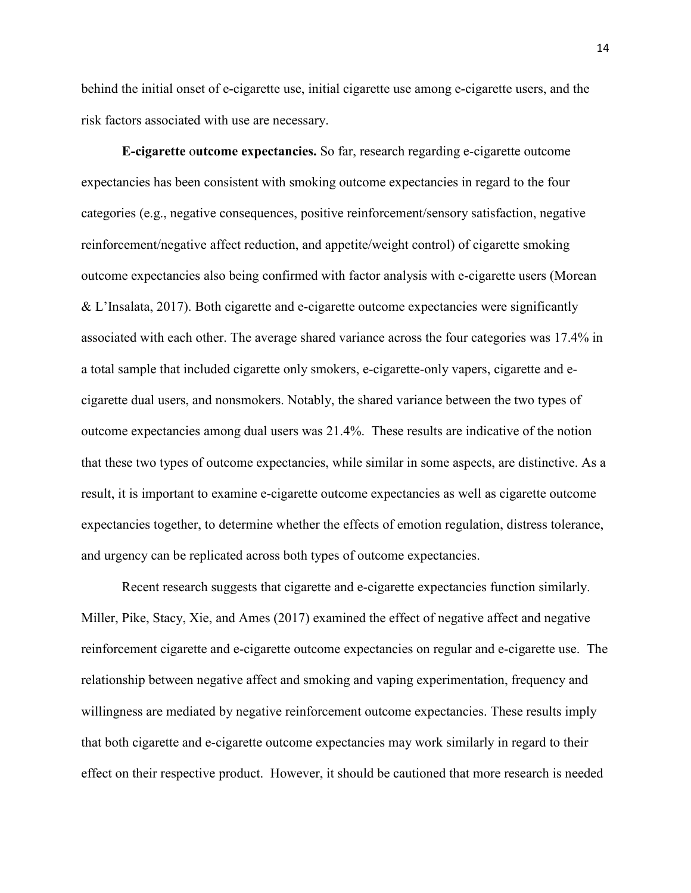behind the initial onset of e-cigarette use, initial cigarette use among e-cigarette users, and the risk factors associated with use are necessary.

**E-cigarette** o**utcome expectancies.** So far, research regarding e-cigarette outcome expectancies has been consistent with smoking outcome expectancies in regard to the four categories (e.g., negative consequences, positive reinforcement/sensory satisfaction, negative reinforcement/negative affect reduction, and appetite/weight control) of cigarette smoking outcome expectancies also being confirmed with factor analysis with e-cigarette users (Morean & L'Insalata, 2017). Both cigarette and e-cigarette outcome expectancies were significantly associated with each other. The average shared variance across the four categories was 17.4% in a total sample that included cigarette only smokers, e-cigarette-only vapers, cigarette and ecigarette dual users, and nonsmokers. Notably, the shared variance between the two types of outcome expectancies among dual users was 21.4%. These results are indicative of the notion that these two types of outcome expectancies, while similar in some aspects, are distinctive. As a result, it is important to examine e-cigarette outcome expectancies as well as cigarette outcome expectancies together, to determine whether the effects of emotion regulation, distress tolerance, and urgency can be replicated across both types of outcome expectancies.

Recent research suggests that cigarette and e-cigarette expectancies function similarly. Miller, Pike, Stacy, Xie, and Ames (2017) examined the effect of negative affect and negative reinforcement cigarette and e-cigarette outcome expectancies on regular and e-cigarette use. The relationship between negative affect and smoking and vaping experimentation, frequency and willingness are mediated by negative reinforcement outcome expectancies. These results imply that both cigarette and e-cigarette outcome expectancies may work similarly in regard to their effect on their respective product. However, it should be cautioned that more research is needed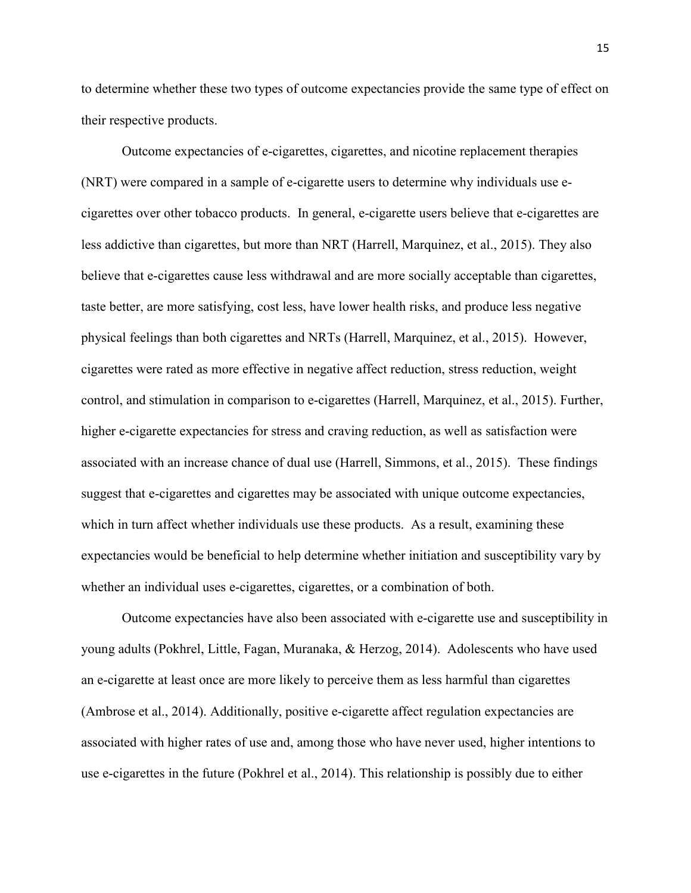to determine whether these two types of outcome expectancies provide the same type of effect on their respective products.

Outcome expectancies of e-cigarettes, cigarettes, and nicotine replacement therapies (NRT) were compared in a sample of e-cigarette users to determine why individuals use ecigarettes over other tobacco products. In general, e-cigarette users believe that e-cigarettes are less addictive than cigarettes, but more than NRT (Harrell, Marquinez, et al., 2015). They also believe that e-cigarettes cause less withdrawal and are more socially acceptable than cigarettes, taste better, are more satisfying, cost less, have lower health risks, and produce less negative physical feelings than both cigarettes and NRTs (Harrell, Marquinez, et al., 2015). However, cigarettes were rated as more effective in negative affect reduction, stress reduction, weight control, and stimulation in comparison to e-cigarettes (Harrell, Marquinez, et al., 2015). Further, higher e-cigarette expectancies for stress and craving reduction, as well as satisfaction were associated with an increase chance of dual use (Harrell, Simmons, et al., 2015). These findings suggest that e-cigarettes and cigarettes may be associated with unique outcome expectancies, which in turn affect whether individuals use these products. As a result, examining these expectancies would be beneficial to help determine whether initiation and susceptibility vary by whether an individual uses e-cigarettes, cigarettes, or a combination of both.

Outcome expectancies have also been associated with e-cigarette use and susceptibility in young adults (Pokhrel, Little, Fagan, Muranaka, & Herzog, 2014). Adolescents who have used an e-cigarette at least once are more likely to perceive them as less harmful than cigarettes (Ambrose et al., 2014). Additionally, positive e-cigarette affect regulation expectancies are associated with higher rates of use and, among those who have never used, higher intentions to use e-cigarettes in the future (Pokhrel et al., 2014). This relationship is possibly due to either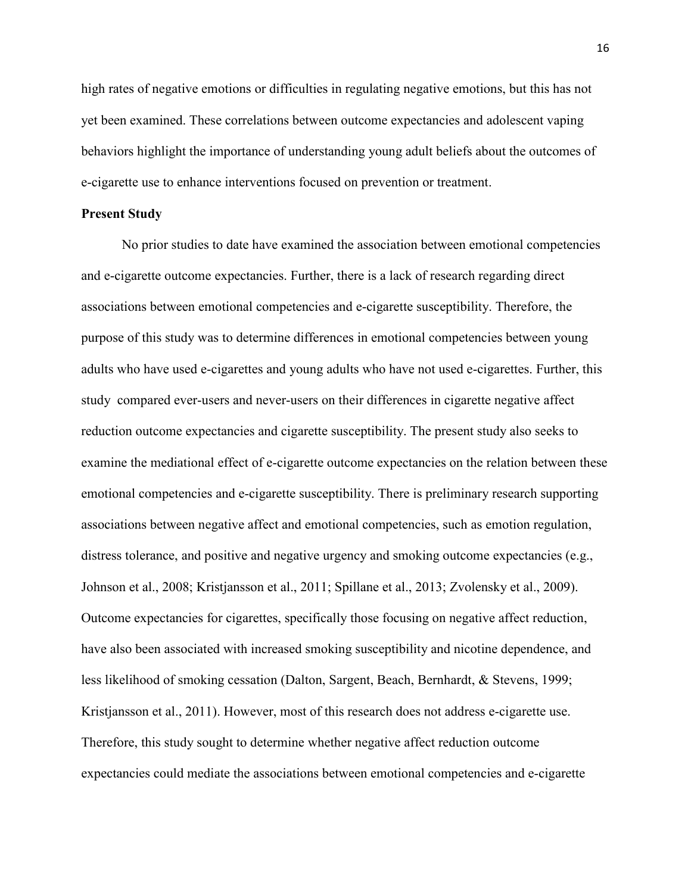high rates of negative emotions or difficulties in regulating negative emotions, but this has not yet been examined. These correlations between outcome expectancies and adolescent vaping behaviors highlight the importance of understanding young adult beliefs about the outcomes of e-cigarette use to enhance interventions focused on prevention or treatment.

#### **Present Study**

No prior studies to date have examined the association between emotional competencies and e-cigarette outcome expectancies. Further, there is a lack of research regarding direct associations between emotional competencies and e-cigarette susceptibility. Therefore, the purpose of this study was to determine differences in emotional competencies between young adults who have used e-cigarettes and young adults who have not used e-cigarettes. Further, this study compared ever-users and never-users on their differences in cigarette negative affect reduction outcome expectancies and cigarette susceptibility. The present study also seeks to examine the mediational effect of e-cigarette outcome expectancies on the relation between these emotional competencies and e-cigarette susceptibility. There is preliminary research supporting associations between negative affect and emotional competencies, such as emotion regulation, distress tolerance, and positive and negative urgency and smoking outcome expectancies (e.g., Johnson et al., 2008; Kristjansson et al., 2011; Spillane et al., 2013; Zvolensky et al., 2009). Outcome expectancies for cigarettes, specifically those focusing on negative affect reduction, have also been associated with increased smoking susceptibility and nicotine dependence, and less likelihood of smoking cessation (Dalton, Sargent, Beach, Bernhardt, & Stevens, 1999; Kristjansson et al., 2011). However, most of this research does not address e-cigarette use. Therefore, this study sought to determine whether negative affect reduction outcome expectancies could mediate the associations between emotional competencies and e-cigarette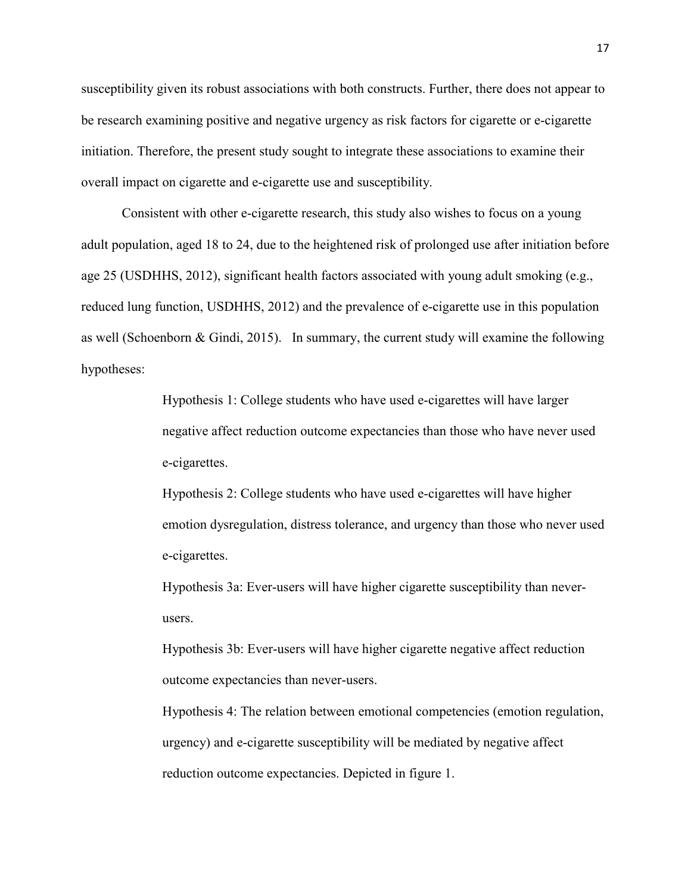susceptibility given its robust associations with both constructs. Further, there does not appear to be research examining positive and negative urgency as risk factors for cigarette or e-cigarette initiation. Therefore, the present study sought to integrate these associations to examine their overall impact on cigarette and e-cigarette use and susceptibility.

Consistent with other e-cigarette research, this study also wishes to focus on a young adult population, aged 18 to 24, due to the heightened risk of prolonged use after initiation before age 25 (USDHHS, 2012), significant health factors associated with young adult smoking (e.g., reduced lung function, USDHHS, 2012) and the prevalence of e-cigarette use in this population as well (Schoenborn & Gindi, 2015). In summary, the current study will examine the following hypotheses:

> Hypothesis 1: College students who have used e-cigarettes will have larger negative affect reduction outcome expectancies than those who have never used e-cigarettes.

Hypothesis 2: College students who have used e-cigarettes will have higher emotion dysregulation, distress tolerance, and urgency than those who never used e-cigarettes.

Hypothesis 3a: Ever-users will have higher cigarette susceptibility than neverusers.

Hypothesis 3b: Ever-users will have higher cigarette negative affect reduction outcome expectancies than never-users.

Hypothesis 4: The relation between emotional competencies (emotion regulation, urgency) and e-cigarette susceptibility will be mediated by negative affect reduction outcome expectancies. Depicted in figure 1.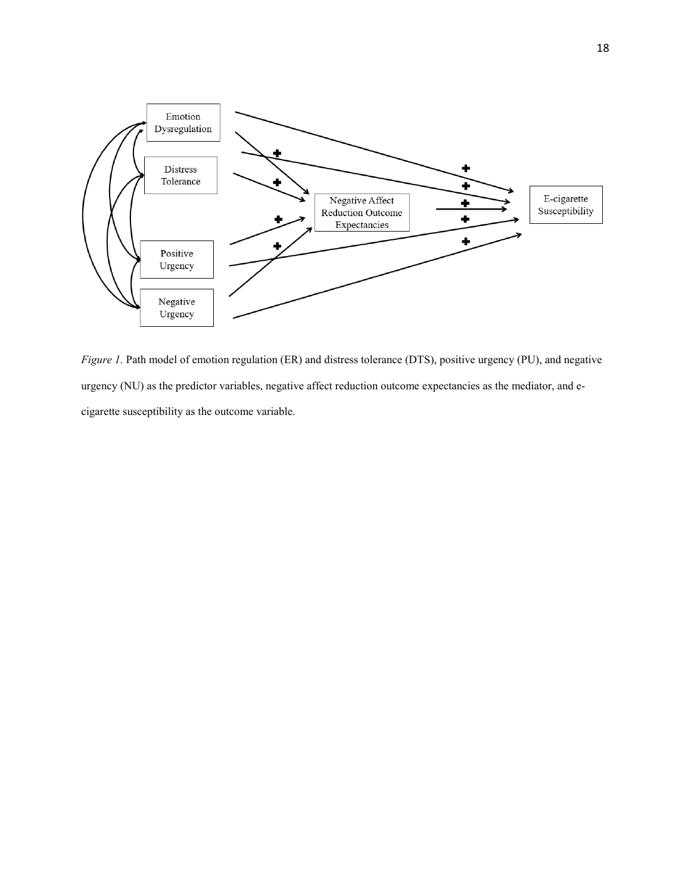

*Figure 1.* Path model of emotion regulation (ER) and distress tolerance (DTS), positive urgency (PU), and negative urgency (NU) as the predictor variables, negative affect reduction outcome expectancies as the mediator, and ecigarette susceptibility as the outcome variable.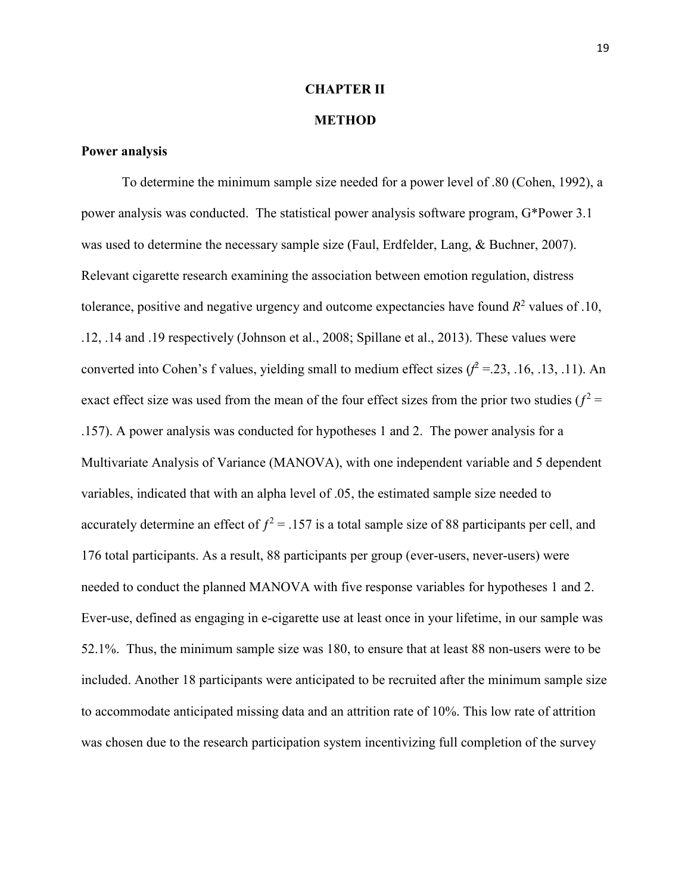#### **CHAPTER II**

#### **METHOD**

#### **Power analysis**

To determine the minimum sample size needed for a power level of .80 (Cohen, 1992), a power analysis was conducted. The statistical power analysis software program, G\*Power 3.1 was used to determine the necessary sample size (Faul, Erdfelder, Lang, & Buchner, 2007). Relevant cigarette research examining the association between emotion regulation, distress tolerance, positive and negative urgency and outcome expectancies have found  $R<sup>2</sup>$  values of .10, .12, .14 and .19 respectively (Johnson et al., 2008; Spillane et al., 2013). These values were converted into Cohen's f values, yielding small to medium effect sizes  $(f^2 = 23, 16, 13, 11)$ . An exact effect size was used from the mean of the four effect sizes from the prior two studies ( $f^2$  = .157). A power analysis was conducted for hypotheses 1 and 2. The power analysis for a Multivariate Analysis of Variance (MANOVA), with one independent variable and 5 dependent variables, indicated that with an alpha level of .05, the estimated sample size needed to accurately determine an effect of  $f^2 = 0.157$  is a total sample size of 88 participants per cell, and 176 total participants. As a result, 88 participants per group (ever-users, never-users) were needed to conduct the planned MANOVA with five response variables for hypotheses 1 and 2. Ever-use, defined as engaging in e-cigarette use at least once in your lifetime, in our sample was 52.1%. Thus, the minimum sample size was 180, to ensure that at least 88 non-users were to be included. Another 18 participants were anticipated to be recruited after the minimum sample size to accommodate anticipated missing data and an attrition rate of 10%. This low rate of attrition was chosen due to the research participation system incentivizing full completion of the survey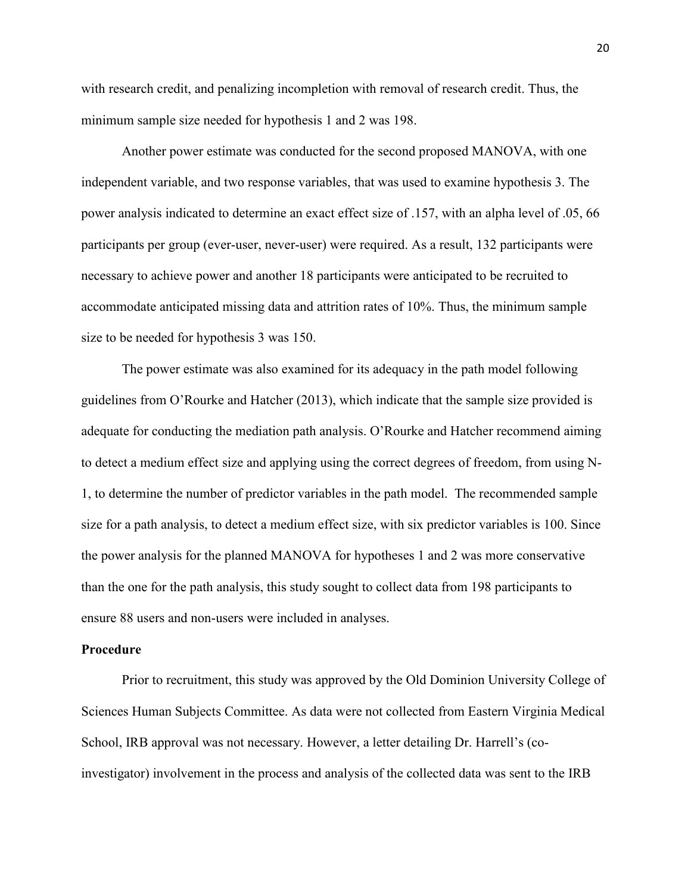with research credit, and penalizing incompletion with removal of research credit. Thus, the minimum sample size needed for hypothesis 1 and 2 was 198.

 Another power estimate was conducted for the second proposed MANOVA, with one independent variable, and two response variables, that was used to examine hypothesis 3. The power analysis indicated to determine an exact effect size of .157, with an alpha level of .05, 66 participants per group (ever-user, never-user) were required. As a result, 132 participants were necessary to achieve power and another 18 participants were anticipated to be recruited to accommodate anticipated missing data and attrition rates of 10%. Thus, the minimum sample size to be needed for hypothesis 3 was 150.

 The power estimate was also examined for its adequacy in the path model following guidelines from O'Rourke and Hatcher (2013), which indicate that the sample size provided is adequate for conducting the mediation path analysis. O'Rourke and Hatcher recommend aiming to detect a medium effect size and applying using the correct degrees of freedom, from using N-1, to determine the number of predictor variables in the path model. The recommended sample size for a path analysis, to detect a medium effect size, with six predictor variables is 100. Since the power analysis for the planned MANOVA for hypotheses 1 and 2 was more conservative than the one for the path analysis, this study sought to collect data from 198 participants to ensure 88 users and non-users were included in analyses.

#### **Procedure**

Prior to recruitment, this study was approved by the Old Dominion University College of Sciences Human Subjects Committee. As data were not collected from Eastern Virginia Medical School, IRB approval was not necessary. However, a letter detailing Dr. Harrell's (coinvestigator) involvement in the process and analysis of the collected data was sent to the IRB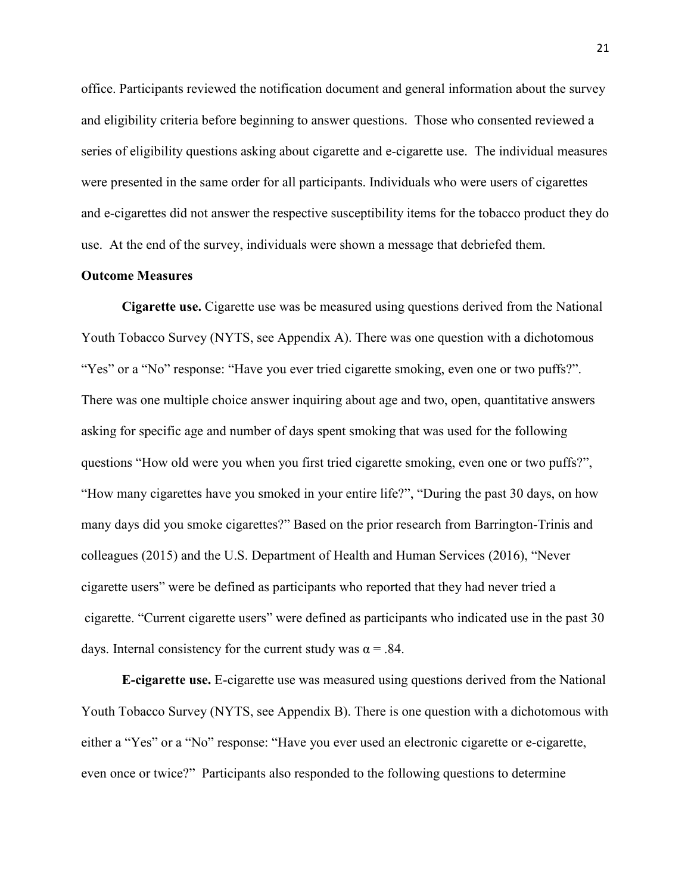office. Participants reviewed the notification document and general information about the survey and eligibility criteria before beginning to answer questions. Those who consented reviewed a series of eligibility questions asking about cigarette and e-cigarette use. The individual measures were presented in the same order for all participants. Individuals who were users of cigarettes and e-cigarettes did not answer the respective susceptibility items for the tobacco product they do use. At the end of the survey, individuals were shown a message that debriefed them.

## **Outcome Measures**

**Cigarette use.** Cigarette use was be measured using questions derived from the National Youth Tobacco Survey (NYTS, see Appendix A). There was one question with a dichotomous "Yes" or a "No" response: "Have you ever tried cigarette smoking, even one or two puffs?". There was one multiple choice answer inquiring about age and two, open, quantitative answers asking for specific age and number of days spent smoking that was used for the following questions "How old were you when you first tried cigarette smoking, even one or two puffs?", "How many cigarettes have you smoked in your entire life?", "During the past 30 days, on how many days did you smoke cigarettes?" Based on the prior research from Barrington-Trinis and colleagues (2015) and the U.S. Department of Health and Human Services (2016), "Never cigarette users" were be defined as participants who reported that they had never tried a cigarette. "Current cigarette users" were defined as participants who indicated use in the past 30 days. Internal consistency for the current study was  $\alpha = .84$ .

**E-cigarette use.** E-cigarette use was measured using questions derived from the National Youth Tobacco Survey (NYTS, see Appendix B). There is one question with a dichotomous with either a "Yes" or a "No" response: "Have you ever used an electronic cigarette or e-cigarette, even once or twice?" Participants also responded to the following questions to determine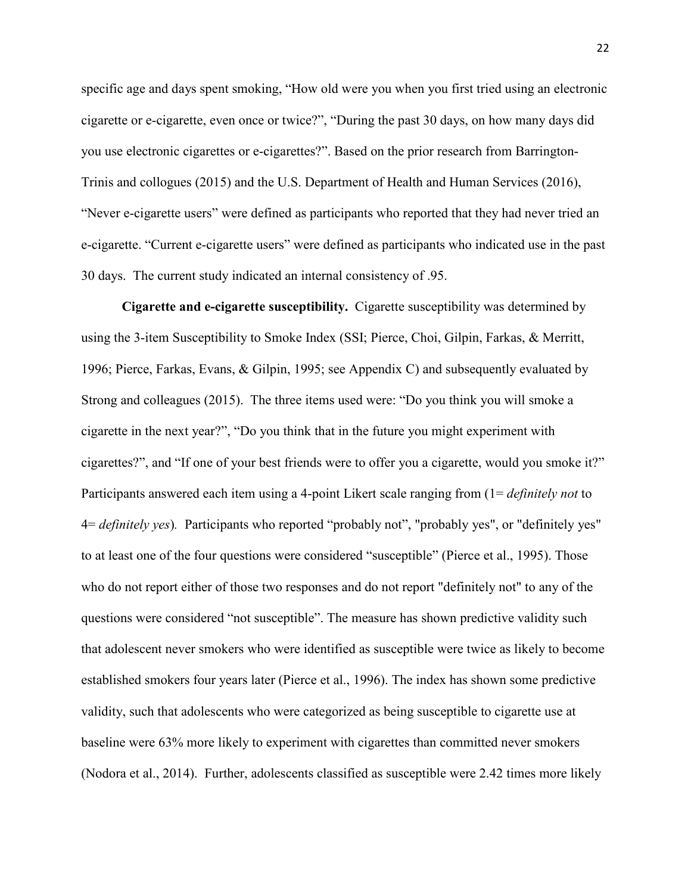specific age and days spent smoking, "How old were you when you first tried using an electronic cigarette or e-cigarette, even once or twice?", "During the past 30 days, on how many days did you use electronic cigarettes or e-cigarettes?". Based on the prior research from Barrington-Trinis and collogues (2015) and the U.S. Department of Health and Human Services (2016), "Never e-cigarette users" were defined as participants who reported that they had never tried an e-cigarette. "Current e-cigarette users" were defined as participants who indicated use in the past 30 days.The current study indicated an internal consistency of .95.

**Cigarette and e-cigarette susceptibility.**Cigarette susceptibility was determined by using the 3-item Susceptibility to Smoke Index (SSI; Pierce, Choi, Gilpin, Farkas, & Merritt, 1996; Pierce, Farkas, Evans, & Gilpin, 1995; see Appendix C) and subsequently evaluated by Strong and colleagues (2015). The three items used were: "Do you think you will smoke a cigarette in the next year?", "Do you think that in the future you might experiment with cigarettes?", and "If one of your best friends were to offer you a cigarette, would you smoke it?" Participants answered each item using a 4-point Likert scale ranging from (1= *definitely not* to 4= *definitely yes*)*.* Participants who reported "probably not", "probably yes", or "definitely yes" to at least one of the four questions were considered "susceptible" (Pierce et al., 1995). Those who do not report either of those two responses and do not report "definitely not" to any of the questions were considered "not susceptible". The measure has shown predictive validity such that adolescent never smokers who were identified as susceptible were twice as likely to become established smokers four years later (Pierce et al., 1996). The index has shown some predictive validity, such that adolescents who were categorized as being susceptible to cigarette use at baseline were 63% more likely to experiment with cigarettes than committed never smokers (Nodora et al., 2014). Further, adolescents classified as susceptible were 2.42 times more likely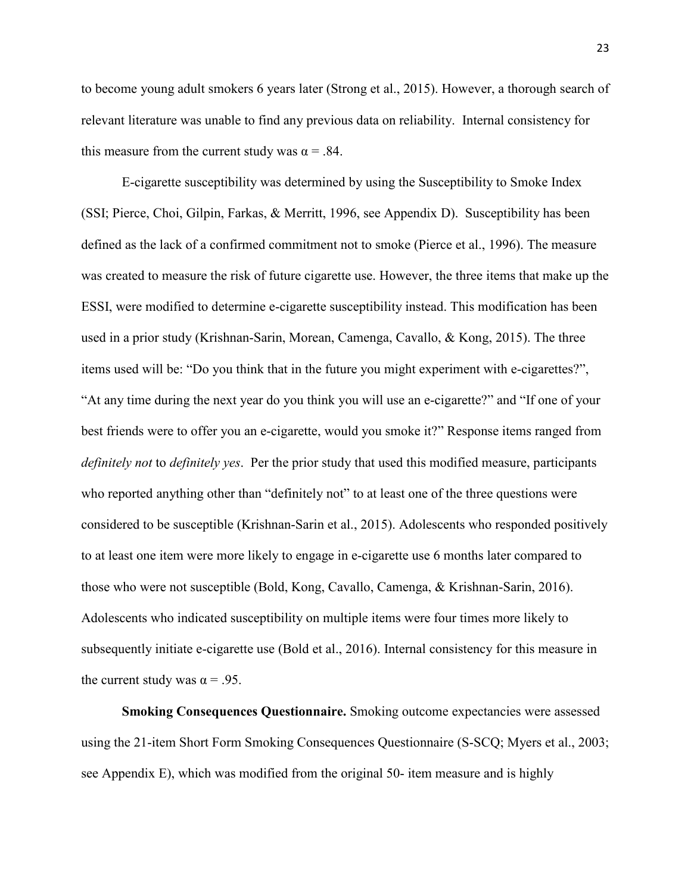to become young adult smokers 6 years later (Strong et al., 2015). However, a thorough search of relevant literature was unable to find any previous data on reliability. Internal consistency for this measure from the current study was  $\alpha = .84$ .

E-cigarette susceptibility was determined by using the Susceptibility to Smoke Index (SSI; Pierce, Choi, Gilpin, Farkas, & Merritt, 1996, see Appendix D). Susceptibility has been defined as the lack of a confirmed commitment not to smoke (Pierce et al., 1996). The measure was created to measure the risk of future cigarette use. However, the three items that make up the ESSI, were modified to determine e-cigarette susceptibility instead. This modification has been used in a prior study (Krishnan-Sarin, Morean, Camenga, Cavallo, & Kong, 2015). The three items used will be: "Do you think that in the future you might experiment with e-cigarettes?", "At any time during the next year do you think you will use an e-cigarette?" and "If one of your best friends were to offer you an e-cigarette, would you smoke it?" Response items ranged from *definitely not* to *definitely yes*. Per the prior study that used this modified measure, participants who reported anything other than "definitely not" to at least one of the three questions were considered to be susceptible (Krishnan-Sarin et al., 2015). Adolescents who responded positively to at least one item were more likely to engage in e-cigarette use 6 months later compared to those who were not susceptible (Bold, Kong, Cavallo, Camenga, & Krishnan-Sarin, 2016). Adolescents who indicated susceptibility on multiple items were four times more likely to subsequently initiate e-cigarette use (Bold et al., 2016). Internal consistency for this measure in the current study was  $\alpha = .95$ .

**Smoking Consequences Questionnaire.** Smoking outcome expectancies were assessed using the 21-item Short Form Smoking Consequences Questionnaire (S-SCQ; Myers et al., 2003; see Appendix E), which was modified from the original 50- item measure and is highly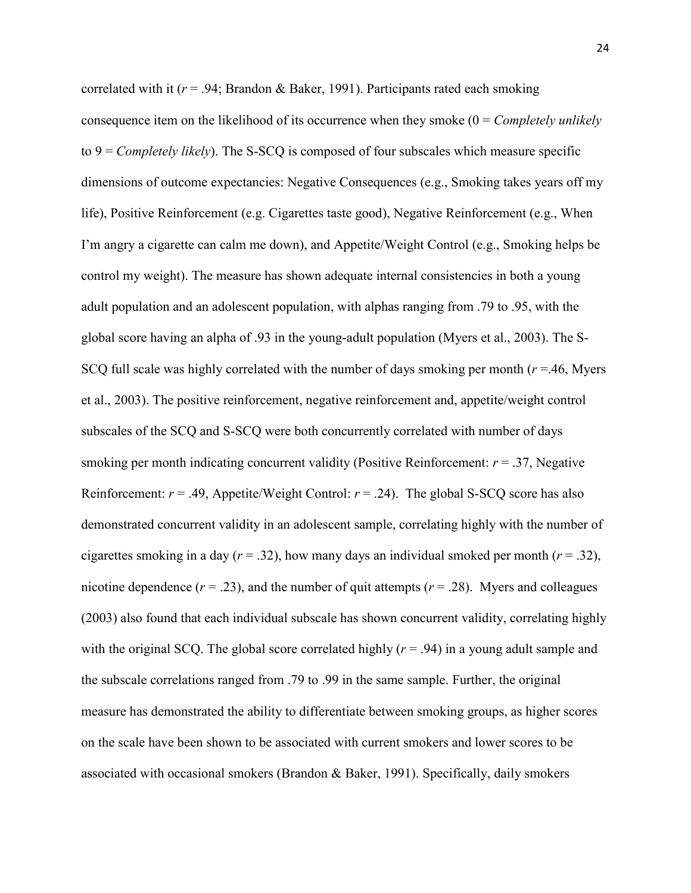correlated with it  $(r = .94;$  Brandon & Baker, 1991). Participants rated each smoking consequence item on the likelihood of its occurrence when they smoke (0 = *Completely unlikely* to 9 = *Completely likely*). The S-SCQ is composed of four subscales which measure specific dimensions of outcome expectancies: Negative Consequences (e.g., Smoking takes years off my life), Positive Reinforcement (e.g. Cigarettes taste good), Negative Reinforcement (e.g., When I'm angry a cigarette can calm me down), and Appetite/Weight Control (e.g., Smoking helps be control my weight). The measure has shown adequate internal consistencies in both a young adult population and an adolescent population, with alphas ranging from .79 to .95, with the global score having an alpha of .93 in the young-adult population (Myers et al., 2003). The S-SCQ full scale was highly correlated with the number of days smoking per month (*r* =.46, Myers et al., 2003). The positive reinforcement, negative reinforcement and, appetite/weight control subscales of the SCQ and S-SCQ were both concurrently correlated with number of days smoking per month indicating concurrent validity (Positive Reinforcement: *r* = .37, Negative Reinforcement:  $r = .49$ , Appetite/Weight Control:  $r = .24$ ). The global S-SCQ score has also demonstrated concurrent validity in an adolescent sample, correlating highly with the number of cigarettes smoking in a day  $(r = .32)$ , how many days an individual smoked per month  $(r = .32)$ , nicotine dependence  $(r = .23)$ , and the number of quit attempts  $(r = .28)$ . Myers and colleagues (2003) also found that each individual subscale has shown concurrent validity, correlating highly with the original SCQ. The global score correlated highly  $(r = .94)$  in a young adult sample and the subscale correlations ranged from .79 to .99 in the same sample. Further, the original measure has demonstrated the ability to differentiate between smoking groups, as higher scores on the scale have been shown to be associated with current smokers and lower scores to be associated with occasional smokers (Brandon & Baker, 1991). Specifically, daily smokers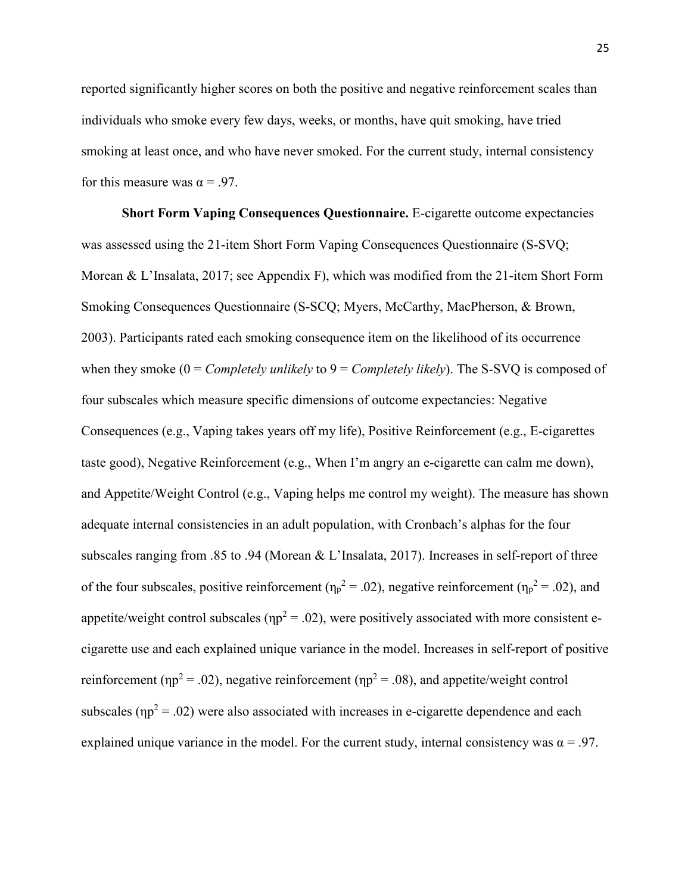reported significantly higher scores on both the positive and negative reinforcement scales than individuals who smoke every few days, weeks, or months, have quit smoking, have tried smoking at least once, and who have never smoked. For the current study, internal consistency for this measure was  $\alpha = .97$ .

**Short Form Vaping Consequences Questionnaire.** E-cigarette outcome expectancies was assessed using the 21-item Short Form Vaping Consequences Questionnaire (S-SVQ; Morean & L'Insalata, 2017; see Appendix F), which was modified from the 21-item Short Form Smoking Consequences Questionnaire (S-SCQ; Myers, McCarthy, MacPherson, & Brown, 2003). Participants rated each smoking consequence item on the likelihood of its occurrence when they smoke (0 = *Completely unlikely* to 9 = *Completely likely*). The S-SVQ is composed of four subscales which measure specific dimensions of outcome expectancies: Negative Consequences (e.g., Vaping takes years off my life), Positive Reinforcement (e.g., E-cigarettes taste good), Negative Reinforcement (e.g., When I'm angry an e-cigarette can calm me down), and Appetite/Weight Control (e.g., Vaping helps me control my weight). The measure has shown adequate internal consistencies in an adult population, with Cronbach's alphas for the four subscales ranging from .85 to .94 (Morean & L'Insalata, 2017). Increases in self-report of three of the four subscales, positive reinforcement ( $\eta_p^2 = 0.02$ ), negative reinforcement ( $\eta_p^2 = 0.02$ ), and appetite/weight control subscales ( $np^2 = .02$ ), were positively associated with more consistent ecigarette use and each explained unique variance in the model. Increases in self-report of positive reinforcement ( $np^2 = .02$ ), negative reinforcement ( $np^2 = .08$ ), and appetite/weight control subscales ( $np^2 = .02$ ) were also associated with increases in e-cigarette dependence and each explained unique variance in the model. For the current study, internal consistency was  $\alpha = .97$ .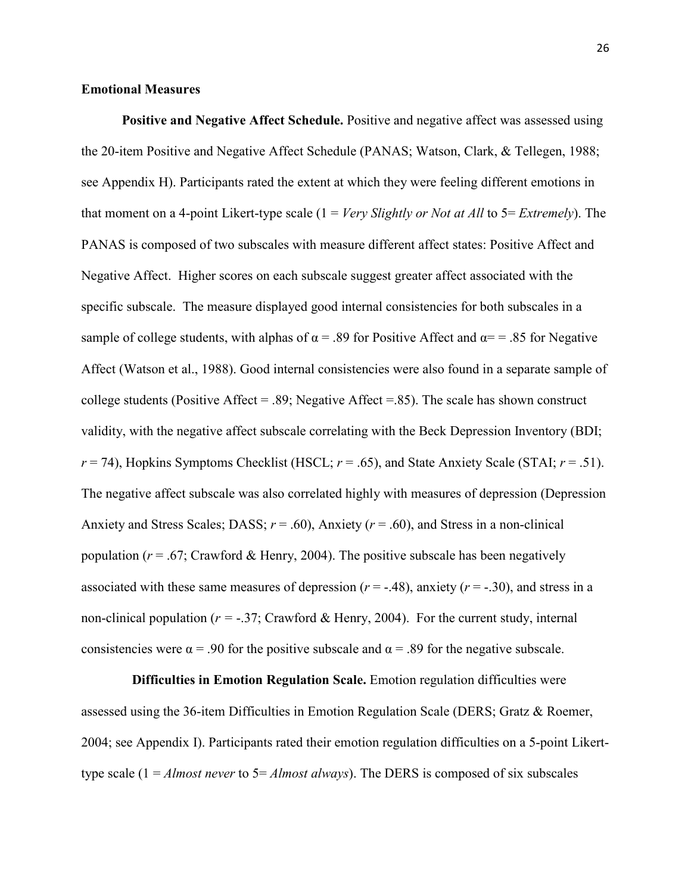## **Emotional Measures**

**Positive and Negative Affect Schedule.** Positive and negative affect was assessed using the 20-item Positive and Negative Affect Schedule (PANAS; Watson, Clark, & Tellegen, 1988; see Appendix H). Participants rated the extent at which they were feeling different emotions in that moment on a 4-point Likert-type scale (1 = *Very Slightly or Not at All* to 5= *Extremely*). The PANAS is composed of two subscales with measure different affect states: Positive Affect and Negative Affect. Higher scores on each subscale suggest greater affect associated with the specific subscale. The measure displayed good internal consistencies for both subscales in a sample of college students, with alphas of  $\alpha$  = .89 for Positive Affect and  $\alpha$ = = .85 for Negative Affect (Watson et al., 1988). Good internal consistencies were also found in a separate sample of college students (Positive Affect = .89; Negative Affect =.85). The scale has shown construct validity, with the negative affect subscale correlating with the Beck Depression Inventory (BDI;  $r = 74$ ), Hopkins Symptoms Checklist (HSCL;  $r = .65$ ), and State Anxiety Scale (STAI;  $r = .51$ ). The negative affect subscale was also correlated highly with measures of depression (Depression Anxiety and Stress Scales; DASS; *r* = .60), Anxiety (*r* = .60), and Stress in a non-clinical population ( $r = .67$ ; Crawford & Henry, 2004). The positive subscale has been negatively associated with these same measures of depression  $(r = -0.48)$ , anxiety  $(r = -0.30)$ , and stress in a non-clinical population ( $r = -0.37$ ; Crawford & Henry, 2004). For the current study, internal consistencies were  $\alpha$  = .90 for the positive subscale and  $\alpha$  = .89 for the negative subscale.

 **Difficulties in Emotion Regulation Scale.** Emotion regulation difficulties were assessed using the 36-item Difficulties in Emotion Regulation Scale (DERS; Gratz & Roemer, 2004; see Appendix I). Participants rated their emotion regulation difficulties on a 5-point Likerttype scale (1 = *Almost never* to 5= *Almost always*). The DERS is composed of six subscales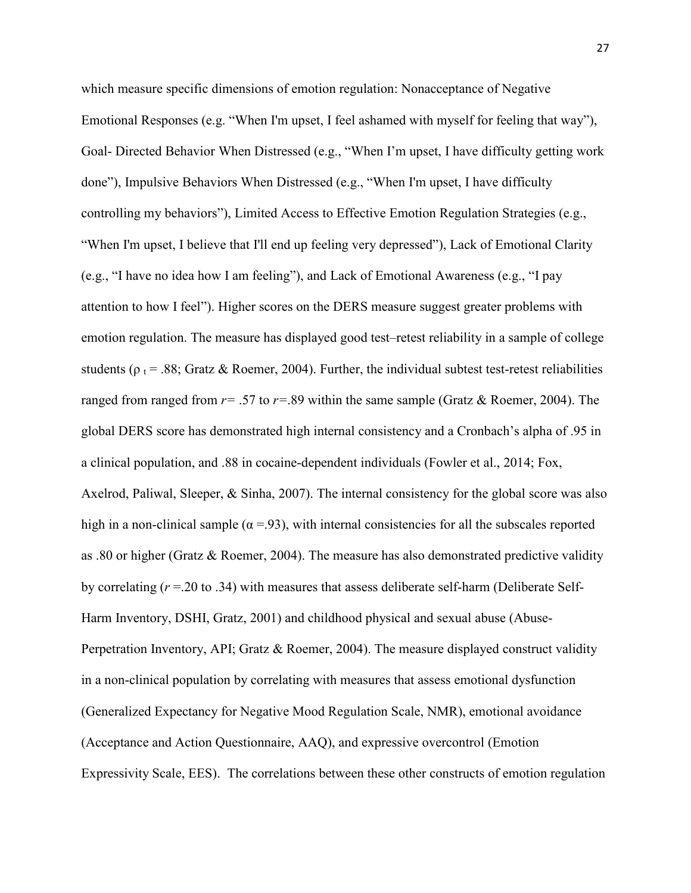which measure specific dimensions of emotion regulation: Nonacceptance of Negative Emotional Responses (e.g. "When I'm upset, I feel ashamed with myself for feeling that way"), Goal- Directed Behavior When Distressed (e.g., "When I'm upset, I have difficulty getting work done"), Impulsive Behaviors When Distressed (e.g., "When I'm upset, I have difficulty controlling my behaviors"), Limited Access to Effective Emotion Regulation Strategies (e.g., "When I'm upset, I believe that I'll end up feeling very depressed"), Lack of Emotional Clarity (e.g., "I have no idea how I am feeling"), and Lack of Emotional Awareness (e.g., "I pay attention to how I feel"). Higher scores on the DERS measure suggest greater problems with emotion regulation. The measure has displayed good test–retest reliability in a sample of college students ( $\rho_t$  = .88; Gratz & Roemer, 2004). Further, the individual subtest test-retest reliabilities ranged from ranged from *r=* .57 to *r=*.89 within the same sample (Gratz & Roemer, 2004). The global DERS score has demonstrated high internal consistency and a Cronbach's alpha of .95 in a clinical population, and .88 in cocaine-dependent individuals (Fowler et al., 2014; Fox, Axelrod, Paliwal, Sleeper, & Sinha, 2007). The internal consistency for the global score was also high in a non-clinical sample ( $\alpha$  = 93), with internal consistencies for all the subscales reported as .80 or higher (Gratz & Roemer, 2004). The measure has also demonstrated predictive validity by correlating (*r* =.20 to .34) with measures that assess deliberate self-harm (Deliberate Self-Harm Inventory, DSHI, Gratz, 2001) and childhood physical and sexual abuse (Abuse-Perpetration Inventory, API; Gratz  $\&$  Roemer, 2004). The measure displayed construct validity in a non-clinical population by correlating with measures that assess emotional dysfunction (Generalized Expectancy for Negative Mood Regulation Scale, NMR), emotional avoidance (Acceptance and Action Questionnaire, AAQ), and expressive overcontrol (Emotion Expressivity Scale, EES). The correlations between these other constructs of emotion regulation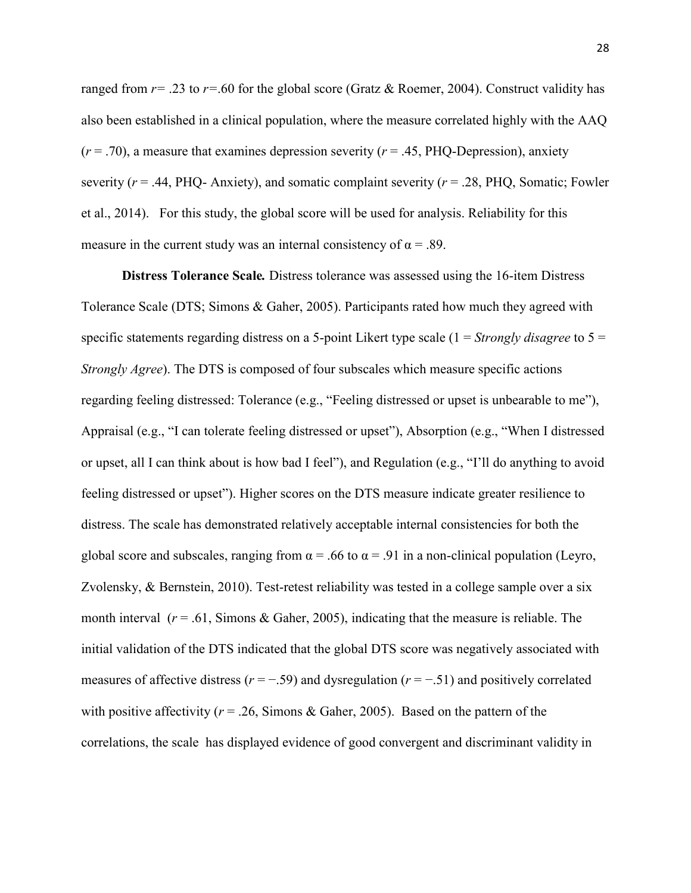ranged from  $r=$  .23 to  $r=$  60 for the global score (Gratz & Roemer, 2004). Construct validity has also been established in a clinical population, where the measure correlated highly with the AAQ  $(r = .70)$ , a measure that examines depression severity  $(r = .45, PHQ$ -Depression), anxiety severity (*r* = .44, PHQ- Anxiety), and somatic complaint severity (*r* = .28, PHQ, Somatic; Fowler et al., 2014). For this study, the global score will be used for analysis. Reliability for this measure in the current study was an internal consistency of  $\alpha = .89$ .

**Distress Tolerance Scale***.* Distress tolerance was assessed using the 16-item Distress Tolerance Scale (DTS; Simons & Gaher, 2005). Participants rated how much they agreed with specific statements regarding distress on a 5-point Likert type scale (1 = *Strongly disagree* to 5 = *Strongly Agree*). The DTS is composed of four subscales which measure specific actions regarding feeling distressed: Tolerance (e.g., "Feeling distressed or upset is unbearable to me"), Appraisal (e.g., "I can tolerate feeling distressed or upset"), Absorption (e.g., "When I distressed or upset, all I can think about is how bad I feel"), and Regulation (e.g., "I'll do anything to avoid feeling distressed or upset"). Higher scores on the DTS measure indicate greater resilience to distress. The scale has demonstrated relatively acceptable internal consistencies for both the global score and subscales, ranging from  $\alpha$  = .66 to  $\alpha$  = .91 in a non-clinical population (Leyro, Zvolensky, & Bernstein, 2010). Test-retest reliability was tested in a college sample over a six month interval (*r* = .61, Simons & Gaher, 2005), indicating that the measure is reliable. The initial validation of the DTS indicated that the global DTS score was negatively associated with measures of affective distress (*r* = −.59) and dysregulation (*r* = −.51) and positively correlated with positive affectivity ( $r = 0.26$ , Simons & Gaher, 2005). Based on the pattern of the correlations, the scale has displayed evidence of good convergent and discriminant validity in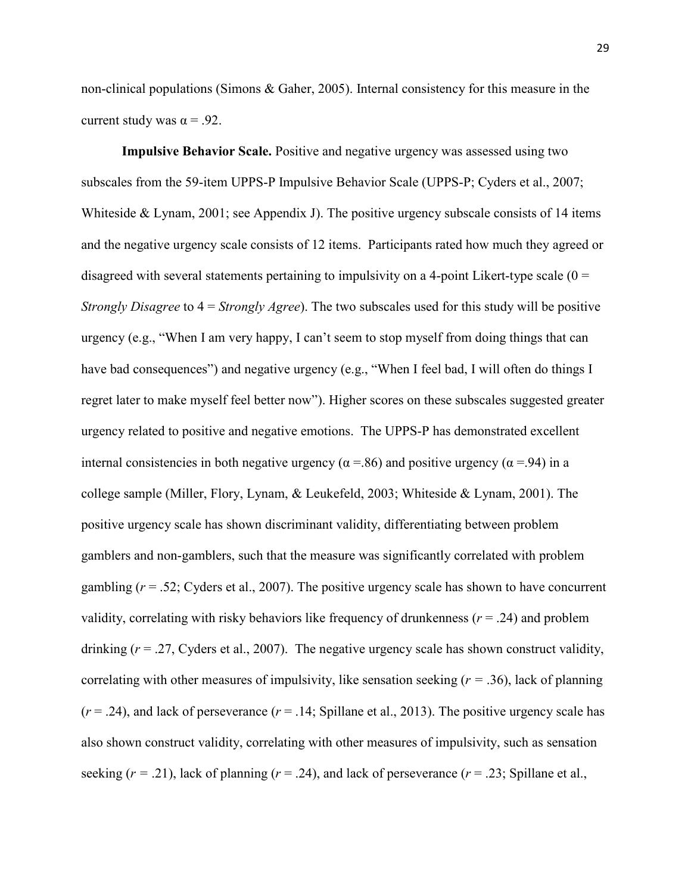non-clinical populations (Simons & Gaher, 2005). Internal consistency for this measure in the current study was  $\alpha = .92$ .

**Impulsive Behavior Scale.** Positive and negative urgency was assessed using two subscales from the 59-item UPPS-P Impulsive Behavior Scale (UPPS-P; Cyders et al., 2007; Whiteside & Lynam, 2001; see Appendix J). The positive urgency subscale consists of 14 items and the negative urgency scale consists of 12 items. Participants rated how much they agreed or disagreed with several statements pertaining to impulsivity on a 4-point Likert-type scale  $(0 =$ *Strongly Disagree* to 4 = *Strongly Agree*). The two subscales used for this study will be positive urgency (e.g., "When I am very happy, I can't seem to stop myself from doing things that can have bad consequences") and negative urgency (e.g., "When I feel bad, I will often do things I regret later to make myself feel better now"). Higher scores on these subscales suggested greater urgency related to positive and negative emotions. The UPPS-P has demonstrated excellent internal consistencies in both negative urgency ( $\alpha$  =.86) and positive urgency ( $\alpha$  =.94) in a college sample (Miller, Flory, Lynam, & Leukefeld, 2003; Whiteside & Lynam, 2001). The positive urgency scale has shown discriminant validity, differentiating between problem gamblers and non-gamblers, such that the measure was significantly correlated with problem gambling (*r* = .52; Cyders et al., 2007). The positive urgency scale has shown to have concurrent validity, correlating with risky behaviors like frequency of drunkenness ( $r = .24$ ) and problem drinking  $(r = .27, Cyders$  et al., 2007). The negative urgency scale has shown construct validity, correlating with other measures of impulsivity, like sensation seeking  $(r = .36)$ , lack of planning  $(r = .24)$ , and lack of perseverance  $(r = .14;$  Spillane et al., 2013). The positive urgency scale has also shown construct validity, correlating with other measures of impulsivity, such as sensation seeking  $(r = .21)$ , lack of planning  $(r = .24)$ , and lack of perseverance  $(r = .23)$ ; Spillane et al.,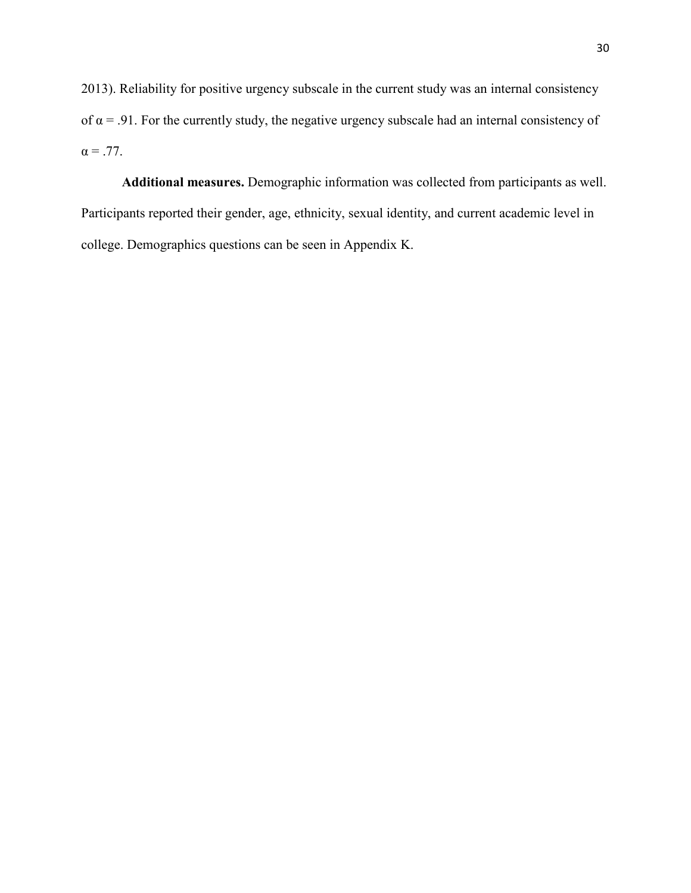2013). Reliability for positive urgency subscale in the current study was an internal consistency of  $\alpha$  = .91. For the currently study, the negative urgency subscale had an internal consistency of  $\alpha = .77$ .

**Additional measures.** Demographic information was collected from participants as well. Participants reported their gender, age, ethnicity, sexual identity, and current academic level in college. Demographics questions can be seen in Appendix K.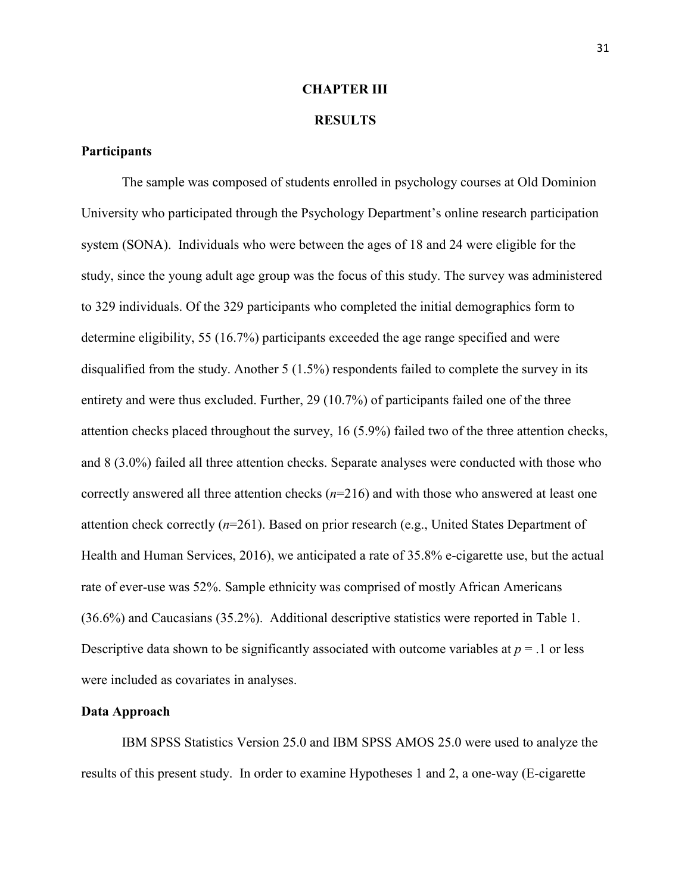### **CHAPTER III**

# **RESULTS**

# **Participants**

The sample was composed of students enrolled in psychology courses at Old Dominion University who participated through the Psychology Department's online research participation system (SONA). Individuals who were between the ages of 18 and 24 were eligible for the study, since the young adult age group was the focus of this study. The survey was administered to 329 individuals. Of the 329 participants who completed the initial demographics form to determine eligibility, 55 (16.7%) participants exceeded the age range specified and were disqualified from the study. Another 5 (1.5%) respondents failed to complete the survey in its entirety and were thus excluded. Further, 29 (10.7%) of participants failed one of the three attention checks placed throughout the survey, 16 (5.9%) failed two of the three attention checks, and 8 (3.0%) failed all three attention checks. Separate analyses were conducted with those who correctly answered all three attention checks (*n*=216) and with those who answered at least one attention check correctly (*n*=261). Based on prior research (e.g., United States Department of Health and Human Services, 2016), we anticipated a rate of 35.8% e-cigarette use, but the actual rate of ever-use was 52%. Sample ethnicity was comprised of mostly African Americans (36.6%) and Caucasians (35.2%). Additional descriptive statistics were reported in Table 1. Descriptive data shown to be significantly associated with outcome variables at  $p = 0.1$  or less were included as covariates in analyses.

# **Data Approach**

IBM SPSS Statistics Version 25.0 and IBM SPSS AMOS 25.0 were used to analyze the results of this present study. In order to examine Hypotheses 1 and 2, a one-way (E-cigarette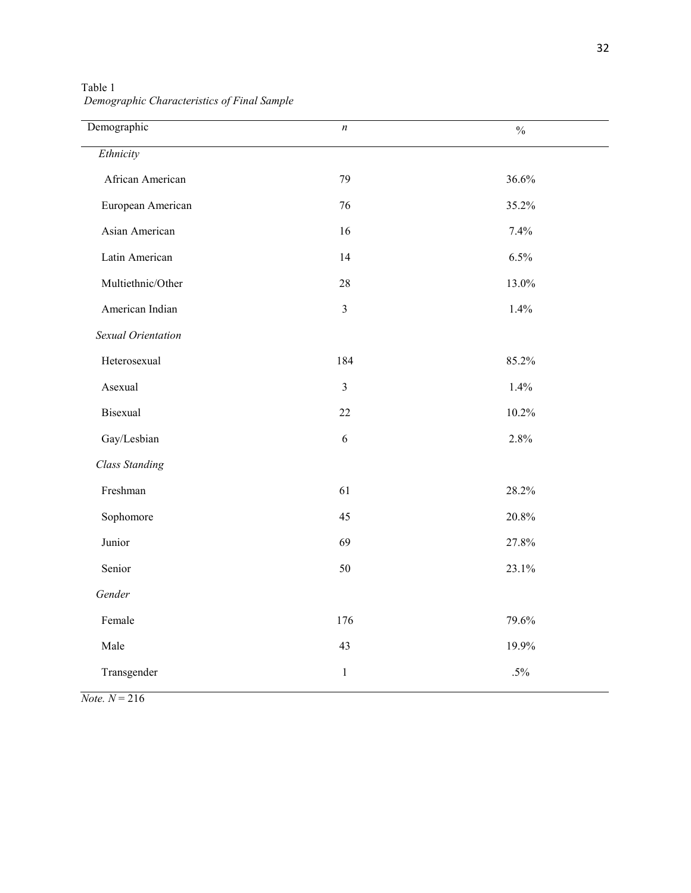| Demographic           | n              | $\frac{0}{0}$ |
|-----------------------|----------------|---------------|
| Ethnicity             |                |               |
| African American      | 79             | 36.6%         |
| European American     | 76             | 35.2%         |
| Asian American        | 16             | 7.4%          |
|                       |                |               |
| Latin American        | 14             | 6.5%          |
| Multiethnic/Other     | $28\,$         | 13.0%         |
| American Indian       | $\overline{3}$ | 1.4%          |
| Sexual Orientation    |                |               |
| Heterosexual          | 184            | 85.2%         |
| Asexual               | $\mathfrak{Z}$ | 1.4%          |
| Bisexual              | 22             | 10.2%         |
| Gay/Lesbian           | $\sqrt{6}$     | 2.8%          |
| <b>Class Standing</b> |                |               |
| Freshman              | 61             | 28.2%         |
| Sophomore             | 45             | $20.8\%$      |
| Junior                | 69             | 27.8%         |
| Senior                | $50\,$         | 23.1%         |
| Gender                |                |               |
| Female                | 176            | 79.6%         |
| Male                  | 43             | 19.9%         |
| Transgender           | $\mathbf{1}$   | $.5\%$        |
|                       |                |               |

Table 1  *Demographic Characteristics of Final Sample*

 $Note. N = 216$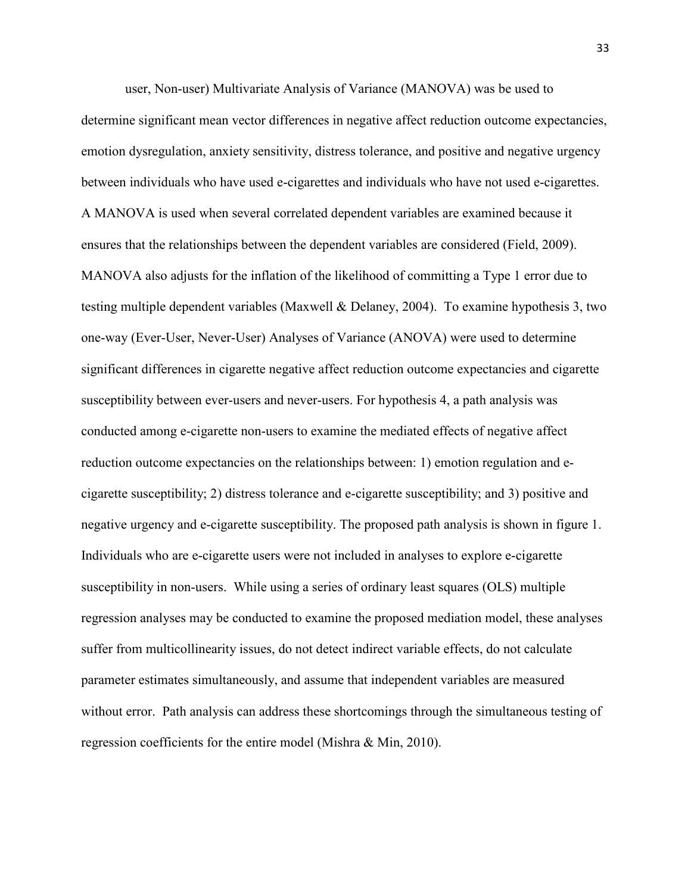user, Non-user) Multivariate Analysis of Variance (MANOVA) was be used to determine significant mean vector differences in negative affect reduction outcome expectancies, emotion dysregulation, anxiety sensitivity, distress tolerance, and positive and negative urgency between individuals who have used e-cigarettes and individuals who have not used e-cigarettes. A MANOVA is used when several correlated dependent variables are examined because it ensures that the relationships between the dependent variables are considered (Field, 2009). MANOVA also adjusts for the inflation of the likelihood of committing a Type 1 error due to testing multiple dependent variables (Maxwell & Delaney, 2004). To examine hypothesis 3, two one-way (Ever-User, Never-User) Analyses of Variance (ANOVA) were used to determine significant differences in cigarette negative affect reduction outcome expectancies and cigarette susceptibility between ever-users and never-users. For hypothesis 4, a path analysis was conducted among e-cigarette non-users to examine the mediated effects of negative affect reduction outcome expectancies on the relationships between: 1) emotion regulation and ecigarette susceptibility; 2) distress tolerance and e-cigarette susceptibility; and 3) positive and negative urgency and e-cigarette susceptibility. The proposed path analysis is shown in figure 1. Individuals who are e-cigarette users were not included in analyses to explore e-cigarette susceptibility in non-users. While using a series of ordinary least squares (OLS) multiple regression analyses may be conducted to examine the proposed mediation model, these analyses suffer from multicollinearity issues, do not detect indirect variable effects, do not calculate parameter estimates simultaneously, and assume that independent variables are measured without error. Path analysis can address these shortcomings through the simultaneous testing of regression coefficients for the entire model (Mishra & Min, 2010).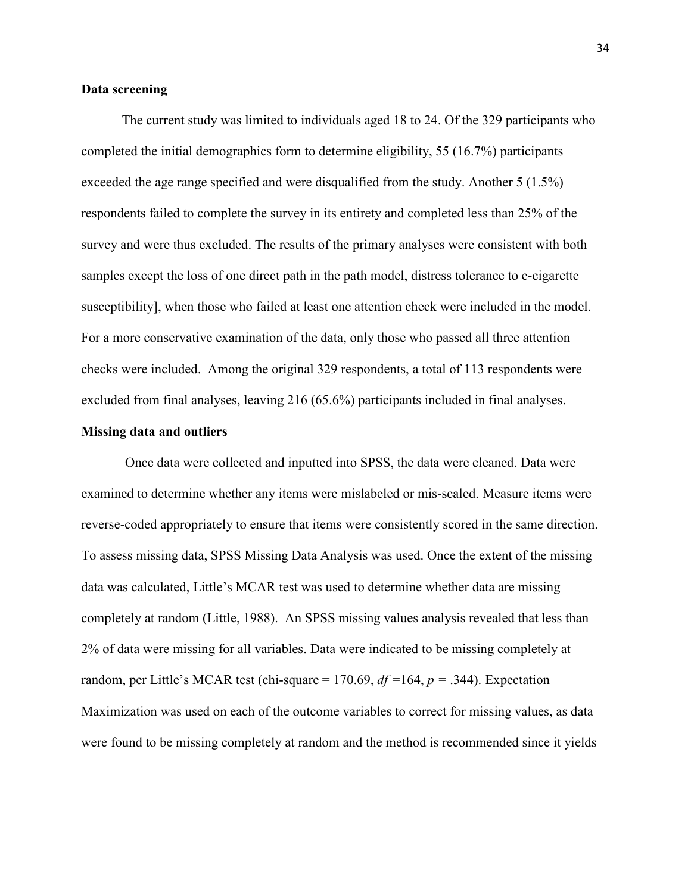# **Data screening**

The current study was limited to individuals aged 18 to 24. Of the 329 participants who completed the initial demographics form to determine eligibility, 55 (16.7%) participants exceeded the age range specified and were disqualified from the study. Another 5 (1.5%) respondents failed to complete the survey in its entirety and completed less than 25% of the survey and were thus excluded. The results of the primary analyses were consistent with both samples except the loss of one direct path in the path model, distress tolerance to e-cigarette susceptibility], when those who failed at least one attention check were included in the model. For a more conservative examination of the data, only those who passed all three attention checks were included. Among the original 329 respondents, a total of 113 respondents were excluded from final analyses, leaving 216 (65.6%) participants included in final analyses.

## **Missing data and outliers**

Once data were collected and inputted into SPSS, the data were cleaned. Data were examined to determine whether any items were mislabeled or mis-scaled. Measure items were reverse-coded appropriately to ensure that items were consistently scored in the same direction. To assess missing data, SPSS Missing Data Analysis was used. Once the extent of the missing data was calculated, Little's MCAR test was used to determine whether data are missing completely at random (Little, 1988). An SPSS missing values analysis revealed that less than 2% of data were missing for all variables. Data were indicated to be missing completely at random, per Little's MCAR test (chi-square = 170.69, *df =*164, *p =* .344). Expectation Maximization was used on each of the outcome variables to correct for missing values, as data were found to be missing completely at random and the method is recommended since it yields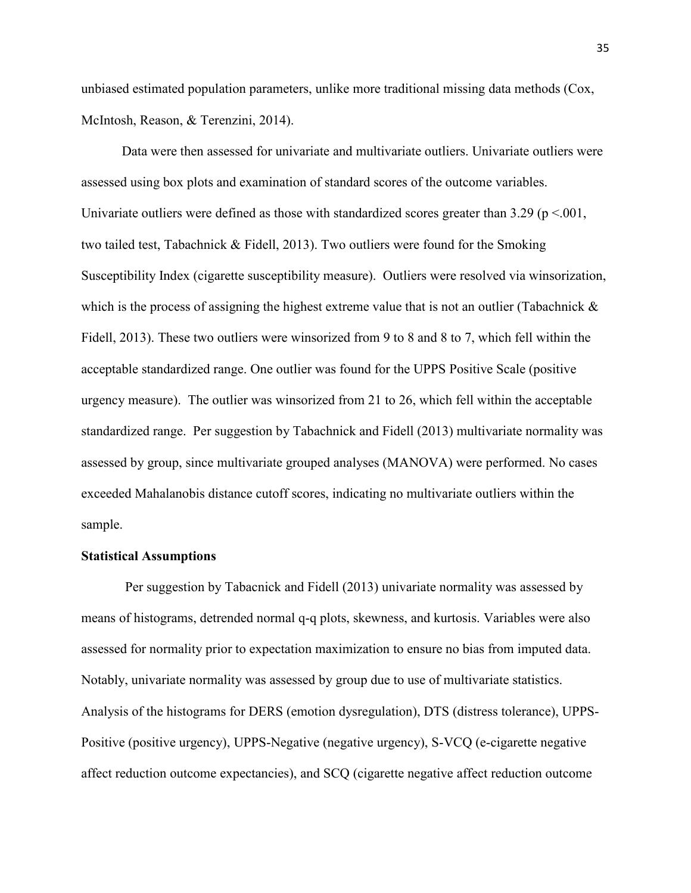unbiased estimated population parameters, unlike more traditional missing data methods (Cox, McIntosh, Reason, & Terenzini, 2014).

Data were then assessed for univariate and multivariate outliers. Univariate outliers were assessed using box plots and examination of standard scores of the outcome variables. Univariate outliers were defined as those with standardized scores greater than 3.29 ( $p < 001$ , two tailed test, Tabachnick & Fidell, 2013). Two outliers were found for the Smoking Susceptibility Index (cigarette susceptibility measure). Outliers were resolved via winsorization, which is the process of assigning the highest extreme value that is not an outlier (Tabachnick  $\&$ Fidell, 2013). These two outliers were winsorized from 9 to 8 and 8 to 7, which fell within the acceptable standardized range. One outlier was found for the UPPS Positive Scale (positive urgency measure). The outlier was winsorized from 21 to 26, which fell within the acceptable standardized range. Per suggestion by Tabachnick and Fidell (2013) multivariate normality was assessed by group, since multivariate grouped analyses (MANOVA) were performed. No cases exceeded Mahalanobis distance cutoff scores, indicating no multivariate outliers within the sample.

### **Statistical Assumptions**

 Per suggestion by Tabacnick and Fidell (2013) univariate normality was assessed by means of histograms, detrended normal q-q plots, skewness, and kurtosis. Variables were also assessed for normality prior to expectation maximization to ensure no bias from imputed data. Notably, univariate normality was assessed by group due to use of multivariate statistics. Analysis of the histograms for DERS (emotion dysregulation), DTS (distress tolerance), UPPS-Positive (positive urgency), UPPS-Negative (negative urgency), S-VCQ (e-cigarette negative affect reduction outcome expectancies), and SCQ (cigarette negative affect reduction outcome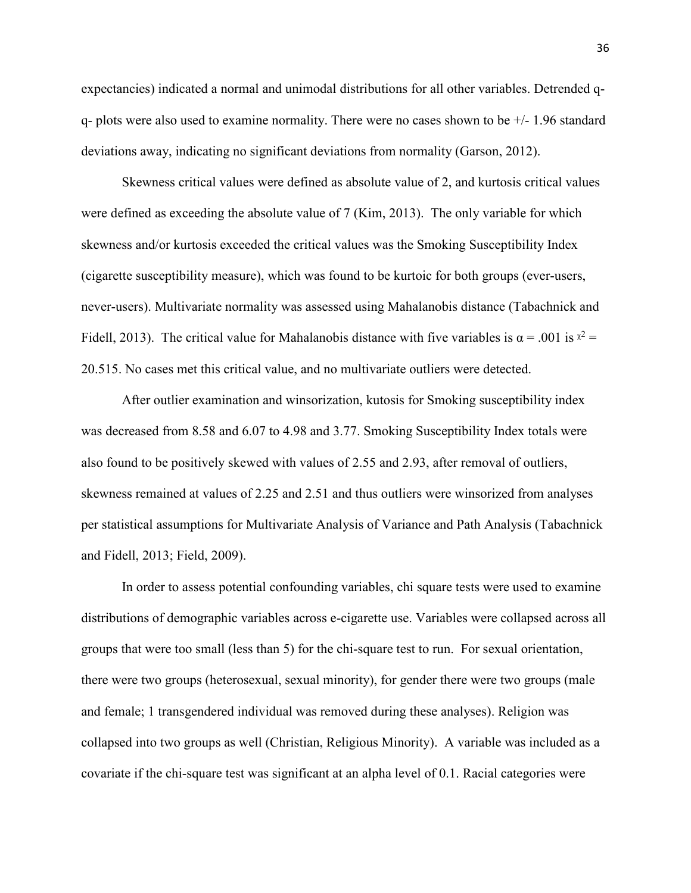expectancies) indicated a normal and unimodal distributions for all other variables. Detrended qq- plots were also used to examine normality. There were no cases shown to be +/- 1.96 standard deviations away, indicating no significant deviations from normality (Garson, 2012).

Skewness critical values were defined as absolute value of 2, and kurtosis critical values were defined as exceeding the absolute value of 7 (Kim, 2013). The only variable for which skewness and/or kurtosis exceeded the critical values was the Smoking Susceptibility Index (cigarette susceptibility measure), which was found to be kurtoic for both groups (ever-users, never-users). Multivariate normality was assessed using Mahalanobis distance (Tabachnick and Fidell, 2013). The critical value for Mahalanobis distance with five variables is  $\alpha = .001$  is  $x^2 =$ 20.515. No cases met this critical value, and no multivariate outliers were detected.

After outlier examination and winsorization, kutosis for Smoking susceptibility index was decreased from 8.58 and 6.07 to 4.98 and 3.77. Smoking Susceptibility Index totals were also found to be positively skewed with values of 2.55 and 2.93, after removal of outliers, skewness remained at values of 2.25 and 2.51 and thus outliers were winsorized from analyses per statistical assumptions for Multivariate Analysis of Variance and Path Analysis (Tabachnick and Fidell, 2013; Field, 2009).

In order to assess potential confounding variables, chi square tests were used to examine distributions of demographic variables across e-cigarette use. Variables were collapsed across all groups that were too small (less than 5) for the chi-square test to run. For sexual orientation, there were two groups (heterosexual, sexual minority), for gender there were two groups (male and female; 1 transgendered individual was removed during these analyses). Religion was collapsed into two groups as well (Christian, Religious Minority). A variable was included as a covariate if the chi-square test was significant at an alpha level of 0.1. Racial categories were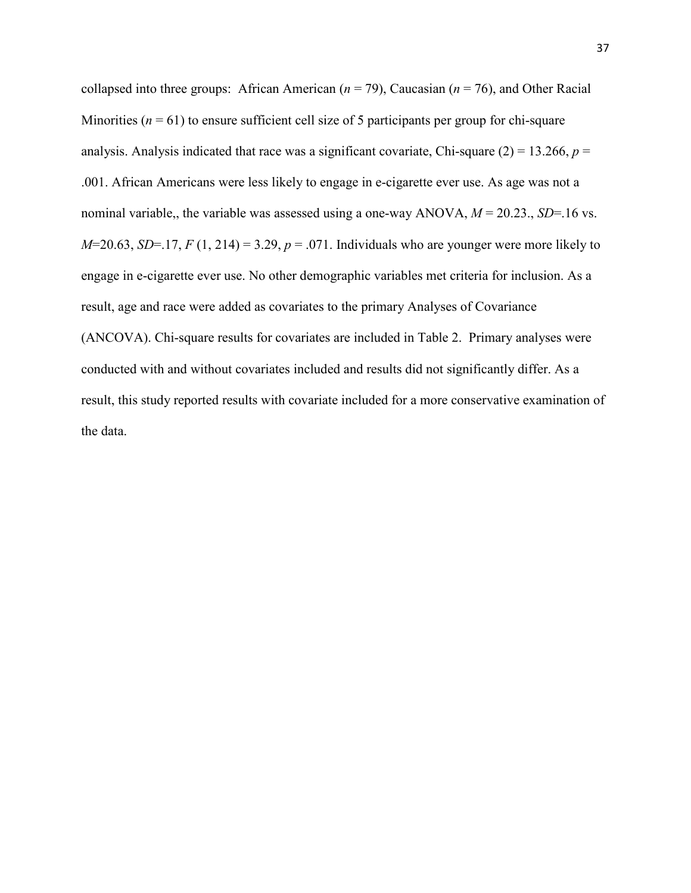collapsed into three groups: African American (*n* = 79), Caucasian (*n* = 76), and Other Racial Minorities  $(n = 61)$  to ensure sufficient cell size of 5 participants per group for chi-square analysis. Analysis indicated that race was a significant covariate, Chi-square  $(2) = 13.266$ ,  $p =$ .001. African Americans were less likely to engage in e-cigarette ever use. As age was not a nominal variable,, the variable was assessed using a one-way ANOVA, *M* = 20.23., *SD*=.16 vs. *M*=20.63, *SD*=.17, *F* (1, 214) = 3.29,  $p = .071$ . Individuals who are younger were more likely to engage in e-cigarette ever use. No other demographic variables met criteria for inclusion. As a result, age and race were added as covariates to the primary Analyses of Covariance (ANCOVA). Chi-square results for covariates are included in Table 2. Primary analyses were conducted with and without covariates included and results did not significantly differ. As a result, this study reported results with covariate included for a more conservative examination of the data.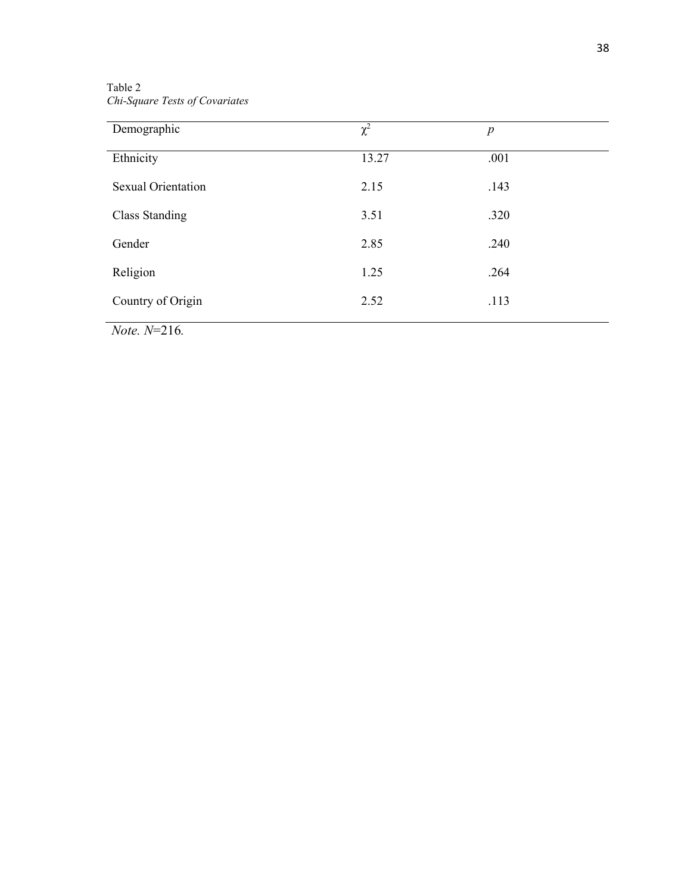Table 2 *Chi-Square Tests of Covariates* 

| Demographic               | $\chi^2$ | $\boldsymbol{p}$ |
|---------------------------|----------|------------------|
| Ethnicity                 | 13.27    | .001             |
| <b>Sexual Orientation</b> | 2.15     | .143             |
| <b>Class Standing</b>     | 3.51     | .320             |
| Gender                    | 2.85     | .240             |
| Religion                  | 1.25     | .264             |
| Country of Origin         | 2.52     | .113             |

*Note. N*=216*.*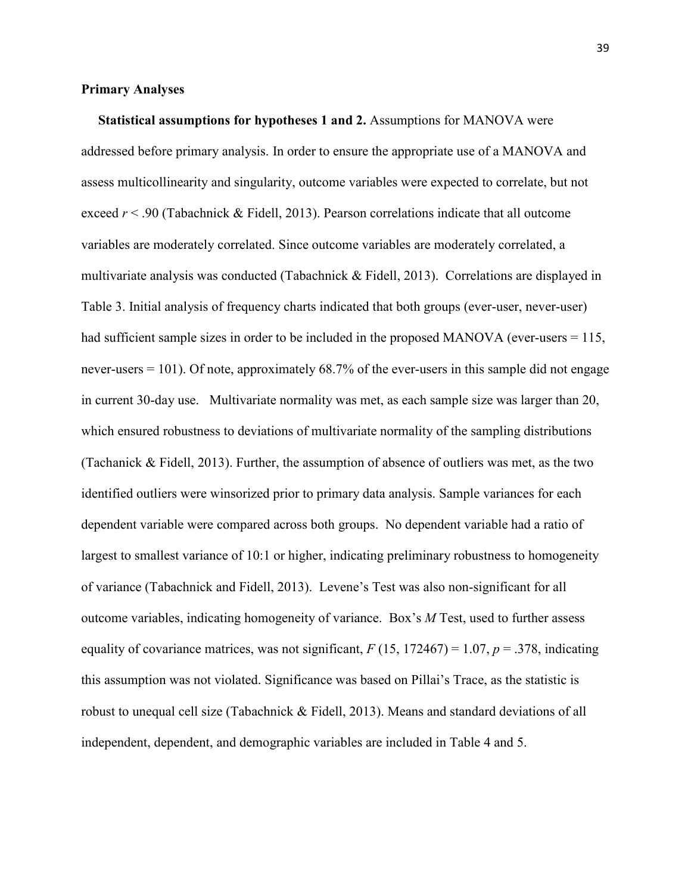# **Primary Analyses**

 **Statistical assumptions for hypotheses 1 and 2.** Assumptions for MANOVA were addressed before primary analysis. In order to ensure the appropriate use of a MANOVA and assess multicollinearity and singularity, outcome variables were expected to correlate, but not exceed *r* < .90 (Tabachnick & Fidell, 2013). Pearson correlations indicate that all outcome variables are moderately correlated. Since outcome variables are moderately correlated, a multivariate analysis was conducted (Tabachnick & Fidell, 2013). Correlations are displayed in Table 3. Initial analysis of frequency charts indicated that both groups (ever-user, never-user) had sufficient sample sizes in order to be included in the proposed MANOVA (ever-users = 115, never-users = 101). Of note, approximately 68.7% of the ever-users in this sample did not engage in current 30-day use. Multivariate normality was met, as each sample size was larger than 20, which ensured robustness to deviations of multivariate normality of the sampling distributions (Tachanick & Fidell, 2013). Further, the assumption of absence of outliers was met, as the two identified outliers were winsorized prior to primary data analysis. Sample variances for each dependent variable were compared across both groups. No dependent variable had a ratio of largest to smallest variance of 10:1 or higher, indicating preliminary robustness to homogeneity of variance (Tabachnick and Fidell, 2013). Levene's Test was also non-significant for all outcome variables, indicating homogeneity of variance. Box's *M* Test, used to further assess equality of covariance matrices, was not significant,  $F(15, 172467) = 1.07$ ,  $p = .378$ , indicating this assumption was not violated. Significance was based on Pillai's Trace, as the statistic is robust to unequal cell size (Tabachnick & Fidell, 2013). Means and standard deviations of all independent, dependent, and demographic variables are included in Table 4 and 5.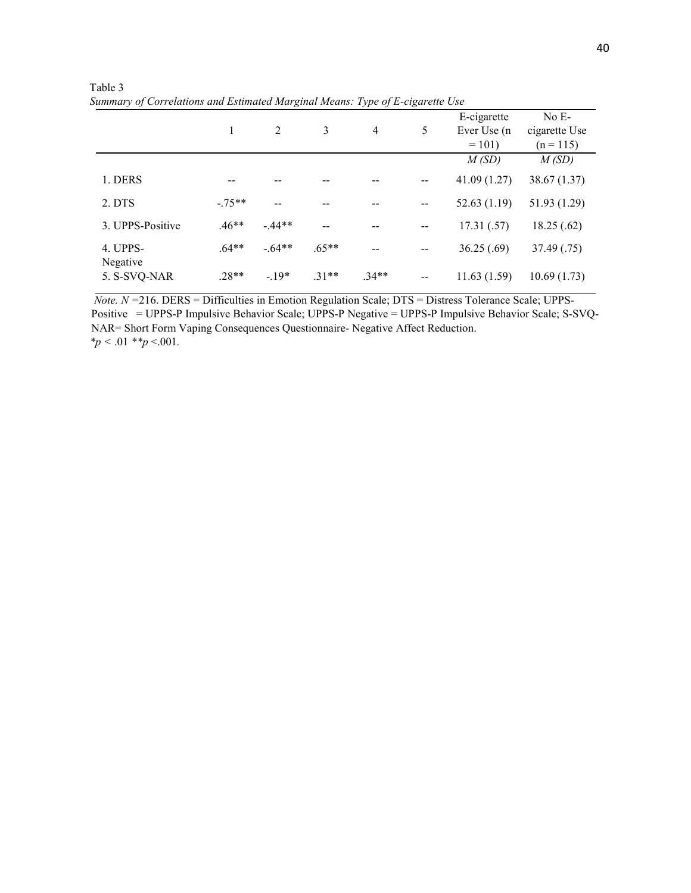| Summary of Corretations and Estimated Marginal Means. Type of E-cigarette Ose |         |         |         |         |       |                                        |                                         |
|-------------------------------------------------------------------------------|---------|---------|---------|---------|-------|----------------------------------------|-----------------------------------------|
|                                                                               |         |         | 3       | 4       | 5     | E-cigarette<br>Ever Use (n)<br>$= 101$ | $No E-$<br>cigarette Use<br>$(n = 115)$ |
|                                                                               |         |         |         |         |       | M(SD)                                  | M(SD)                                   |
| 1. DERS                                                                       |         |         |         |         |       | 41.09 (1.27)                           | 38.67 (1.37)                            |
| 2. DTS                                                                        | $-75**$ |         |         |         | $-$   | 52.63(1.19)                            | 51.93 (1.29)                            |
| 3. UPPS-Positive                                                              | $.46**$ | $-44**$ |         | --      | --    | 17.31(.57)                             | 18.25(.62)                              |
| 4. UPPS-<br>Negative                                                          | $.64**$ | $-64**$ | $.65**$ | --      |       | 36.25(.69)                             | 37.49 (.75)                             |
| 5. S-SVQ-NAR                                                                  | $.28**$ | $-19*$  | $31**$  | $.34**$ | $- -$ | 11.63(1.59)                            | 10.69(1.73)                             |

 Table 3  *Summary of Correlations and Estimated Marginal Means: Type of E-cigarette Use* 

 *Note. N =*216. DERS = Difficulties in Emotion Regulation Scale; DTS = Distress Tolerance Scale; UPPS-Positive = UPPS-P Impulsive Behavior Scale; UPPS-P Negative = UPPS-P Impulsive Behavior Scale; S-SVQ-NAR= Short Form Vaping Consequences Questionnaire- Negative Affect Reduction.  *\*p <* .01 *\*\*p* <.001*.*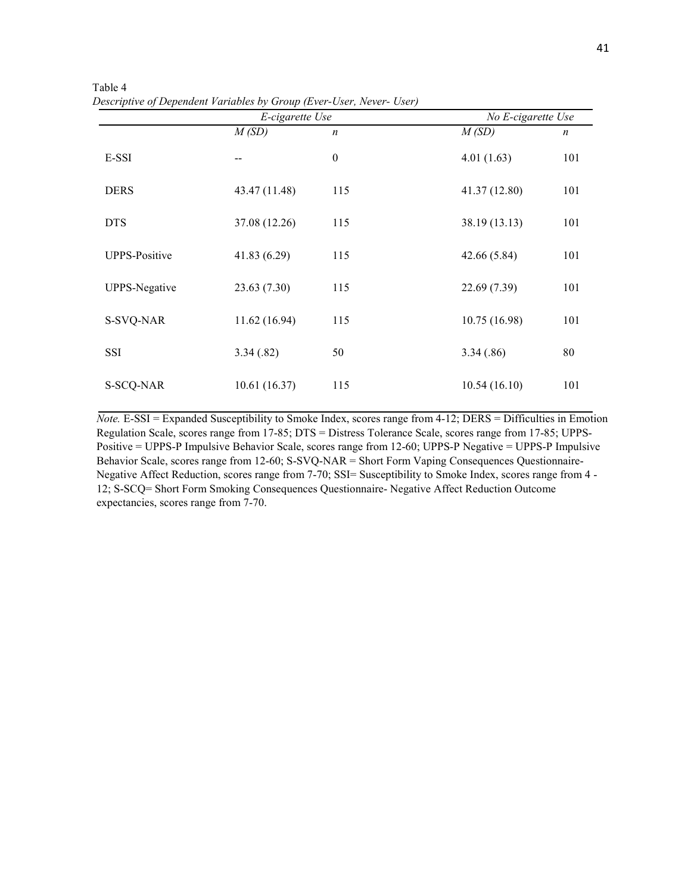|                      | E-cigarette Use |                  | No E-cigarette Use |                  |  |
|----------------------|-----------------|------------------|--------------------|------------------|--|
|                      | M(SD)           | $\boldsymbol{n}$ | M(SD)              | $\boldsymbol{n}$ |  |
| E-SSI                |                 | $\boldsymbol{0}$ | 4.01(1.63)         | 101              |  |
| <b>DERS</b>          | 43.47 (11.48)   | 115              | 41.37 (12.80)      | 101              |  |
| <b>DTS</b>           | 37.08 (12.26)   | 115              | 38.19 (13.13)      | 101              |  |
| <b>UPPS-Positive</b> | 41.83 (6.29)    | 115              | 42.66 (5.84)       | 101              |  |
| <b>UPPS-Negative</b> | 23.63(7.30)     | 115              | 22.69 (7.39)       | 101              |  |
| S-SVQ-NAR            | 11.62(16.94)    | 115              | 10.75 (16.98)      | 101              |  |
| <b>SSI</b>           | 3.34(.82)       | 50               | 3.34(.86)          | 80               |  |
| S-SCQ-NAR            | 10.61(16.37)    | 115              | 10.54(16.10)       | 101              |  |

 Table 4  *Descriptive of Dependent Variables by Group (Ever-User, Never- User)* 

*Note.* E-SSI = Expanded Susceptibility to Smoke Index, scores range from 4-12; DERS = Difficulties in Emotion Regulation Scale, scores range from 17-85; DTS = Distress Tolerance Scale, scores range from 17-85; UPPS-Positive = UPPS-P Impulsive Behavior Scale, scores range from 12-60; UPPS-P Negative = UPPS-P Impulsive Behavior Scale, scores range from 12-60; S-SVQ-NAR = Short Form Vaping Consequences Questionnaire-Negative Affect Reduction, scores range from 7-70; SSI= Susceptibility to Smoke Index, scores range from 4 - 12; S-SCQ= Short Form Smoking Consequences Questionnaire- Negative Affect Reduction Outcome expectancies, scores range from 7-70.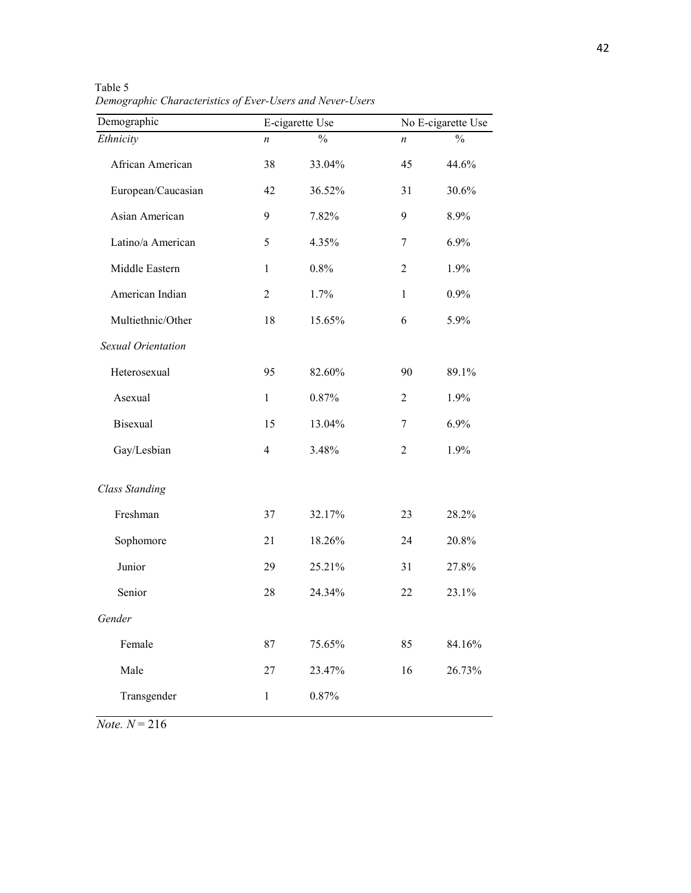| Demographic           |                | E-cigarette Use |                | No E-cigarette Use |
|-----------------------|----------------|-----------------|----------------|--------------------|
| Ethnicity             | n              | $\frac{0}{0}$   | n              | $\frac{0}{0}$      |
| African American      | 38             | 33.04%          | 45             | 44.6%              |
| European/Caucasian    | 42             | 36.52%          | 31             | 30.6%              |
| Asian American        | 9              | 7.82%           | 9              | 8.9%               |
| Latino/a American     | 5              | 4.35%           | 7              | 6.9%               |
| Middle Eastern        | $\mathbf{1}$   | 0.8%            | $\overline{2}$ | 1.9%               |
| American Indian       | $\overline{2}$ | 1.7%            | $\mathbf{1}$   | 0.9%               |
| Multiethnic/Other     | 18             | 15.65%          | 6              | 5.9%               |
| Sexual Orientation    |                |                 |                |                    |
| Heterosexual          | 95             | 82.60%          | 90             | 89.1%              |
| Asexual               | $\mathbf{1}$   | 0.87%           | 2              | 1.9%               |
| <b>Bisexual</b>       | 15             | 13.04%          | 7              | 6.9%               |
| Gay/Lesbian           | $\overline{4}$ | 3.48%           | $\overline{2}$ | 1.9%               |
| <b>Class Standing</b> |                |                 |                |                    |
| Freshman              | 37             | 32.17%          | 23             | 28.2%              |
| Sophomore             | 21             | 18.26%          | 24             | 20.8%              |
| Junior                | 29             | 25.21%          | 31             | 27.8%              |
| Senior                | 28             | 24.34%          | 22             | 23.1%              |
| Gender                |                |                 |                |                    |
| Female                | 87             | 75.65%          | 85             | 84.16%             |
| Male                  | 27             | 23.47%          | 16             | 26.73%             |
| Transgender           | $\mathbf{1}$   | 0.87%           |                |                    |
|                       |                |                 |                |                    |

 Table 5  *Demographic Characteristics of Ever-Users and Never-Users*

*Note. N* = 216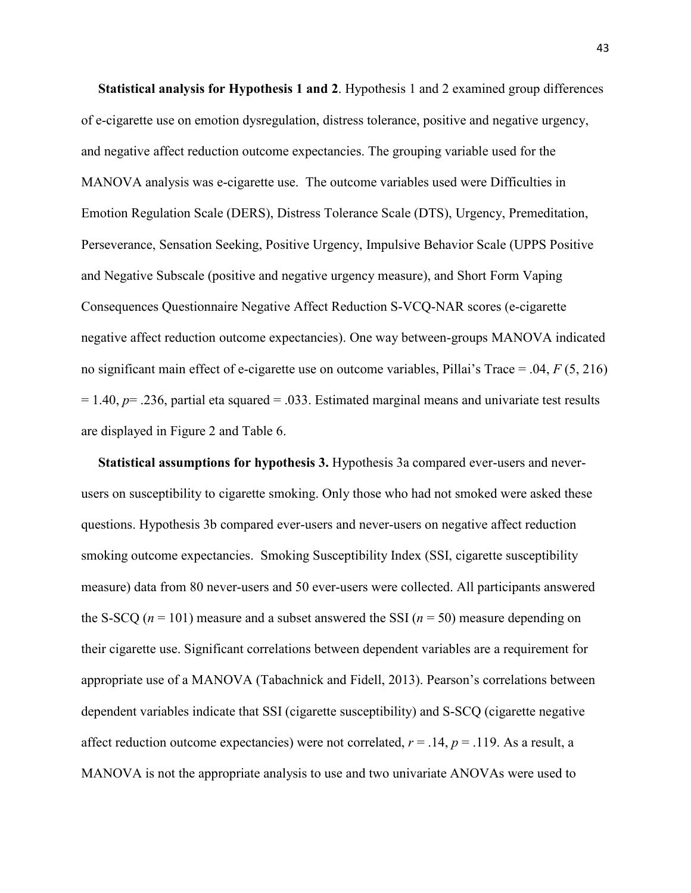**Statistical analysis for Hypothesis 1 and 2**. Hypothesis 1 and 2 examined group differences of e-cigarette use on emotion dysregulation, distress tolerance, positive and negative urgency, and negative affect reduction outcome expectancies. The grouping variable used for the MANOVA analysis was e-cigarette use. The outcome variables used were Difficulties in Emotion Regulation Scale (DERS), Distress Tolerance Scale (DTS), Urgency, Premeditation, Perseverance, Sensation Seeking, Positive Urgency, Impulsive Behavior Scale (UPPS Positive and Negative Subscale (positive and negative urgency measure), and Short Form Vaping Consequences Questionnaire Negative Affect Reduction S-VCQ-NAR scores (e-cigarette negative affect reduction outcome expectancies). One way between-groups MANOVA indicated no significant main effect of e-cigarette use on outcome variables, Pillai's Trace = .04, *F* (5, 216)  $= 1.40$ ,  $p = .236$ , partial eta squared  $= .033$ . Estimated marginal means and univariate test results are displayed in Figure 2 and Table 6.

 **Statistical assumptions for hypothesis 3.** Hypothesis 3a compared ever-users and neverusers on susceptibility to cigarette smoking. Only those who had not smoked were asked these questions. Hypothesis 3b compared ever-users and never-users on negative affect reduction smoking outcome expectancies. Smoking Susceptibility Index (SSI, cigarette susceptibility measure) data from 80 never-users and 50 ever-users were collected. All participants answered the S-SCQ ( $n = 101$ ) measure and a subset answered the SSI ( $n = 50$ ) measure depending on their cigarette use. Significant correlations between dependent variables are a requirement for appropriate use of a MANOVA (Tabachnick and Fidell, 2013). Pearson's correlations between dependent variables indicate that SSI (cigarette susceptibility) and S-SCQ (cigarette negative affect reduction outcome expectancies) were not correlated,  $r = .14$ ,  $p = .119$ . As a result, a MANOVA is not the appropriate analysis to use and two univariate ANOVAs were used to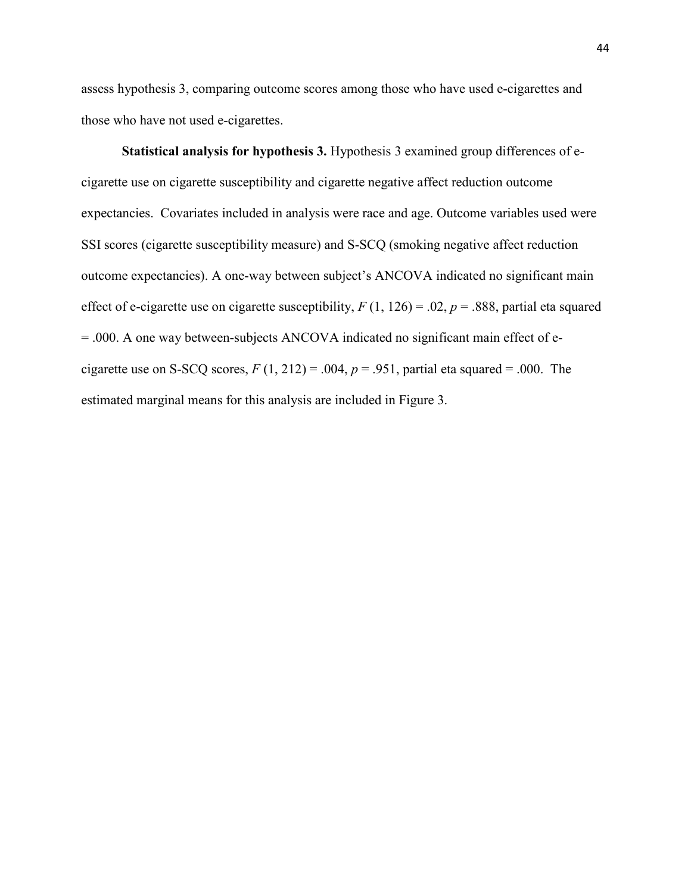assess hypothesis 3, comparing outcome scores among those who have used e-cigarettes and those who have not used e-cigarettes.

**Statistical analysis for hypothesis 3.** Hypothesis 3 examined group differences of ecigarette use on cigarette susceptibility and cigarette negative affect reduction outcome expectancies. Covariates included in analysis were race and age. Outcome variables used were SSI scores (cigarette susceptibility measure) and S-SCQ (smoking negative affect reduction outcome expectancies). A one-way between subject's ANCOVA indicated no significant main effect of e-cigarette use on cigarette susceptibility,  $F(1, 126) = .02$ ,  $p = .888$ , partial eta squared = .000. A one way between-subjects ANCOVA indicated no significant main effect of ecigarette use on S-SCQ scores,  $F(1, 212) = .004$ ,  $p = .951$ , partial eta squared = .000. The estimated marginal means for this analysis are included in Figure 3.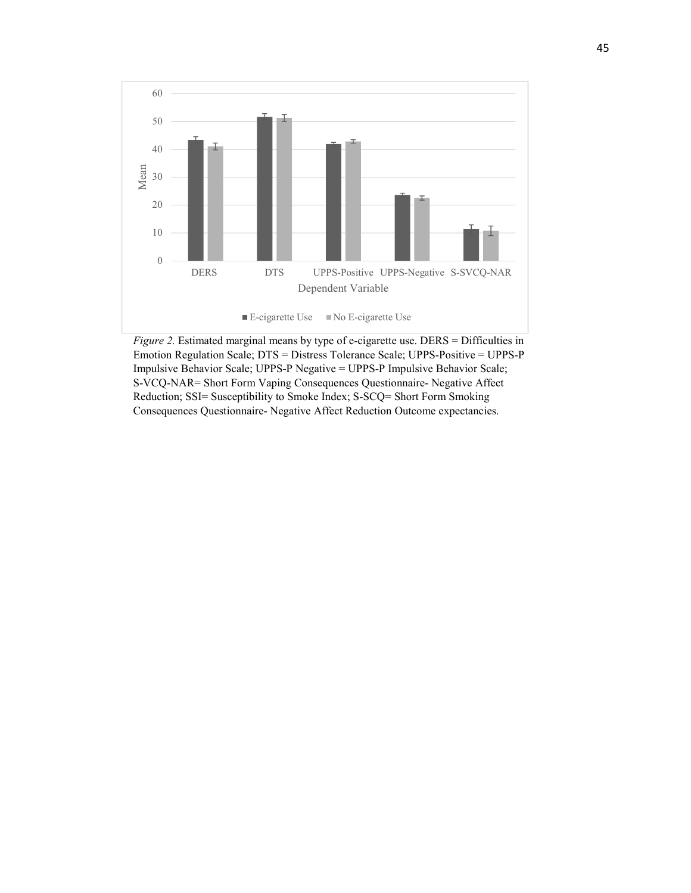

*Figure 2.* Estimated marginal means by type of e-cigarette use. DERS = Difficulties in Emotion Regulation Scale; DTS = Distress Tolerance Scale; UPPS-Positive = UPPS-P Impulsive Behavior Scale; UPPS-P Negative = UPPS-P Impulsive Behavior Scale; S-VCQ-NAR= Short Form Vaping Consequences Questionnaire- Negative Affect Reduction; SSI= Susceptibility to Smoke Index; S-SCQ= Short Form Smoking Consequences Questionnaire- Negative Affect Reduction Outcome expectancies.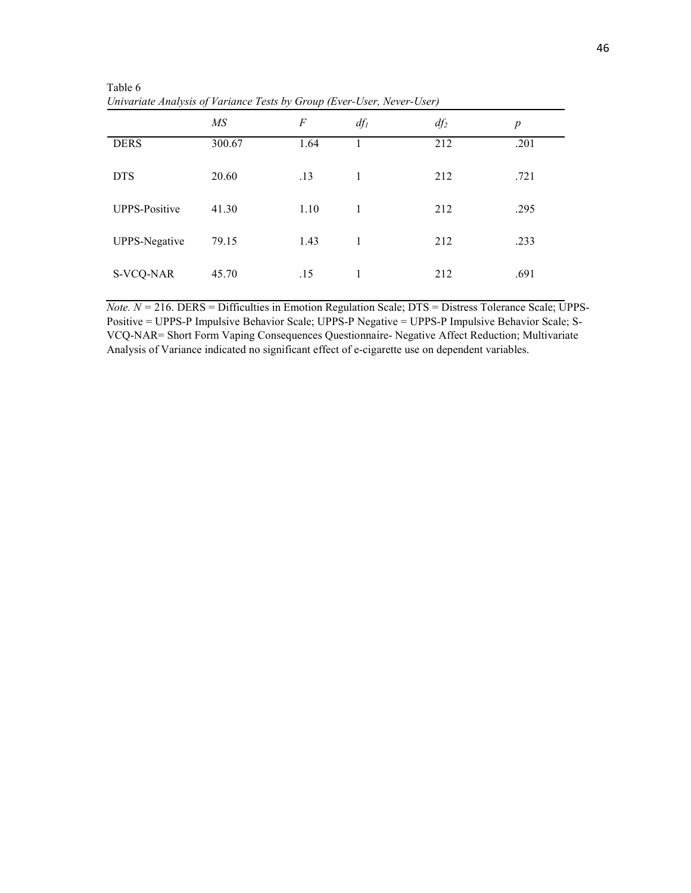| $\checkmark$         | $\mathbf v$<br>$\checkmark$ | $\mathbf{r}$ (   |        | $\overline{\phantom{a}}$ |                  |
|----------------------|-----------------------------|------------------|--------|--------------------------|------------------|
|                      | MS                          | $\boldsymbol{F}$ | $df_l$ | $df_2$                   | $\boldsymbol{p}$ |
| <b>DERS</b>          | 300.67                      | 1.64             |        | 212                      | .201             |
| <b>DTS</b>           | 20.60                       | .13              | 1      | 212                      | .721             |
| <b>UPPS-Positive</b> | 41.30                       | 1.10             | 1      | 212                      | .295             |
| <b>UPPS-Negative</b> | 79.15                       | 1.43             | 1      | 212                      | .233             |
| S-VCQ-NAR            | 45.70                       | .15              | 1      | 212                      | .691             |

 Table 6  *Univariate Analysis of Variance Tests by Group (Ever-User, Never-User)* 

*Note. N =* 216. DERS = Difficulties in Emotion Regulation Scale; DTS = Distress Tolerance Scale; UPPS-Positive = UPPS-P Impulsive Behavior Scale; UPPS-P Negative = UPPS-P Impulsive Behavior Scale; S-VCQ-NAR= Short Form Vaping Consequences Questionnaire- Negative Affect Reduction; Multivariate Analysis of Variance indicated no significant effect of e-cigarette use on dependent variables.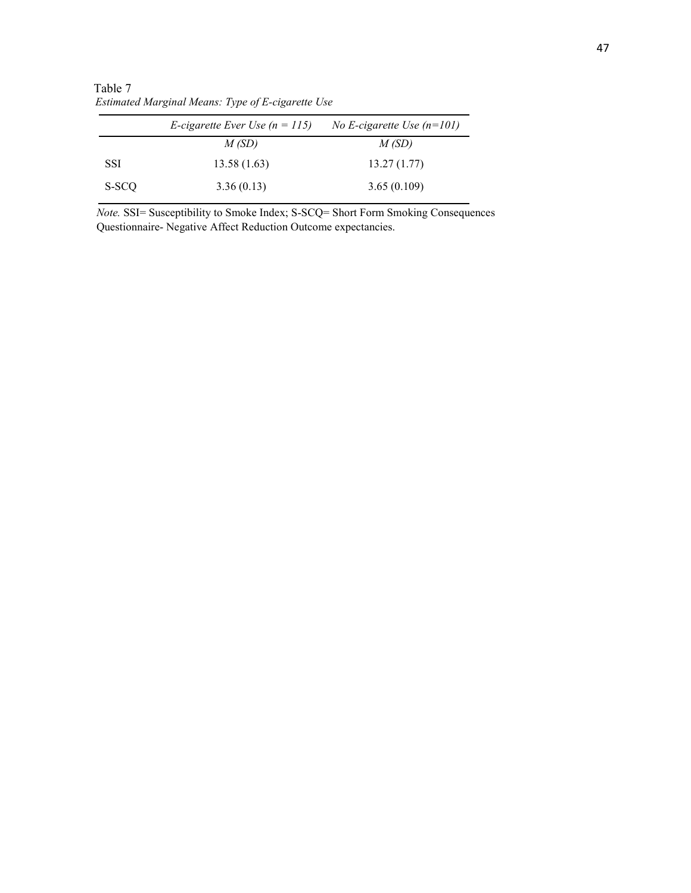Table 7  *Estimated Marginal Means: Type of E-cigarette Use* 

|            | <i>E</i> -cigarette Ever Use $(n = 115)$ | No E-cigarette Use $(n=101)$ |
|------------|------------------------------------------|------------------------------|
|            | M(SD)                                    | M(SD)                        |
| <b>SSI</b> | 13.58(1.63)                              | 13.27(1.77)                  |
| S-SCQ      | 3.36(0.13)                               | 3.65(0.109)                  |

*Note.* SSI= Susceptibility to Smoke Index; S-SCQ= Short Form Smoking Consequences Questionnaire- Negative Affect Reduction Outcome expectancies.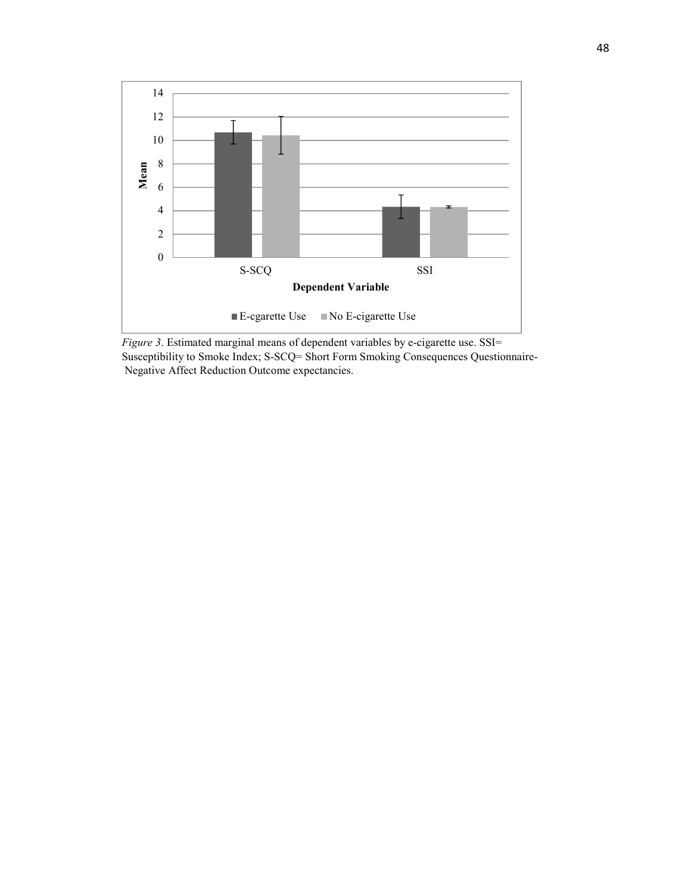

*Figure 3*. Estimated marginal means of dependent variables by e-cigarette use. SSI= Susceptibility to Smoke Index; S-SCQ= Short Form Smoking Consequences Questionnaire- Negative Affect Reduction Outcome expectancies.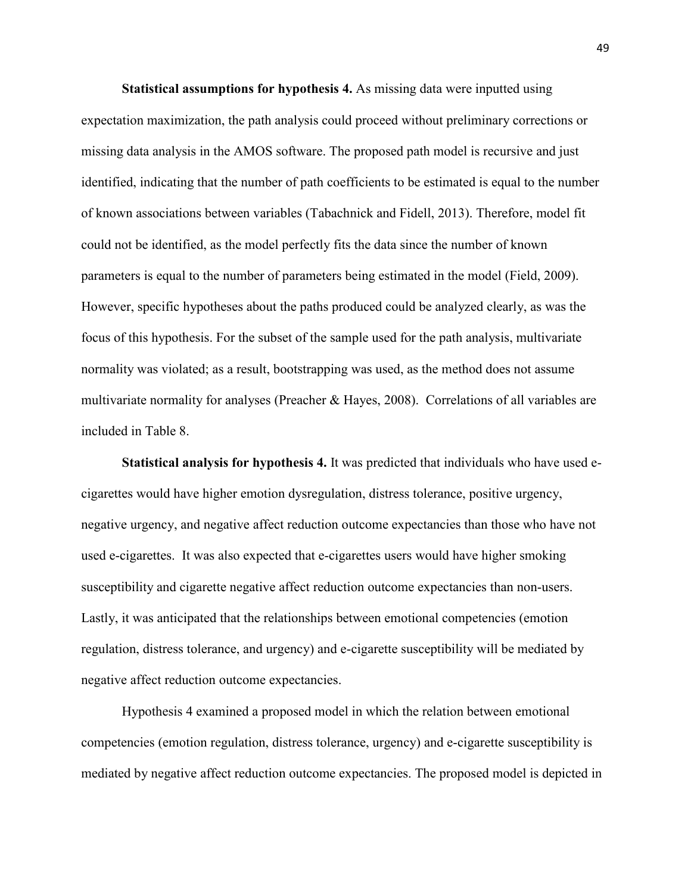**Statistical assumptions for hypothesis 4.** As missing data were inputted using expectation maximization, the path analysis could proceed without preliminary corrections or missing data analysis in the AMOS software. The proposed path model is recursive and just identified, indicating that the number of path coefficients to be estimated is equal to the number of known associations between variables (Tabachnick and Fidell, 2013). Therefore, model fit could not be identified, as the model perfectly fits the data since the number of known parameters is equal to the number of parameters being estimated in the model (Field, 2009). However, specific hypotheses about the paths produced could be analyzed clearly, as was the focus of this hypothesis. For the subset of the sample used for the path analysis, multivariate normality was violated; as a result, bootstrapping was used, as the method does not assume multivariate normality for analyses (Preacher & Hayes, 2008). Correlations of all variables are included in Table 8.

**Statistical analysis for hypothesis 4.** It was predicted that individuals who have used ecigarettes would have higher emotion dysregulation, distress tolerance, positive urgency, negative urgency, and negative affect reduction outcome expectancies than those who have not used e-cigarettes. It was also expected that e-cigarettes users would have higher smoking susceptibility and cigarette negative affect reduction outcome expectancies than non-users. Lastly, it was anticipated that the relationships between emotional competencies (emotion regulation, distress tolerance, and urgency) and e-cigarette susceptibility will be mediated by negative affect reduction outcome expectancies.

Hypothesis 4 examined a proposed model in which the relation between emotional competencies (emotion regulation, distress tolerance, urgency) and e-cigarette susceptibility is mediated by negative affect reduction outcome expectancies. The proposed model is depicted in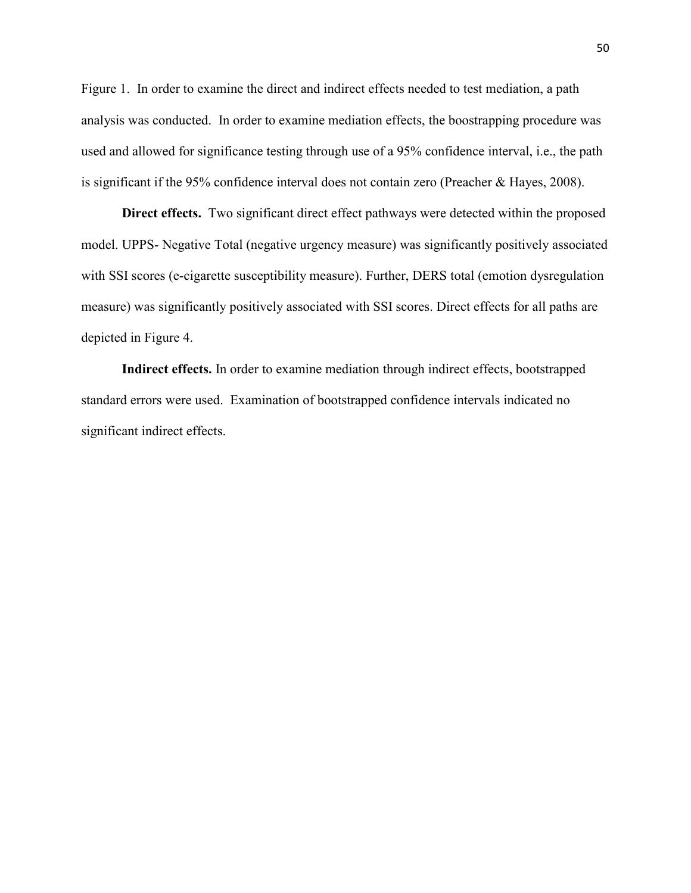Figure 1. In order to examine the direct and indirect effects needed to test mediation, a path analysis was conducted. In order to examine mediation effects, the boostrapping procedure was used and allowed for significance testing through use of a 95% confidence interval, i.e., the path is significant if the 95% confidence interval does not contain zero (Preacher & Hayes, 2008).

**Direct effects.** Two significant direct effect pathways were detected within the proposed model. UPPS- Negative Total (negative urgency measure) was significantly positively associated with SSI scores (e-cigarette susceptibility measure). Further, DERS total (emotion dysregulation measure) was significantly positively associated with SSI scores. Direct effects for all paths are depicted in Figure 4.

**Indirect effects.** In order to examine mediation through indirect effects, bootstrapped standard errors were used. Examination of bootstrapped confidence intervals indicated no significant indirect effects.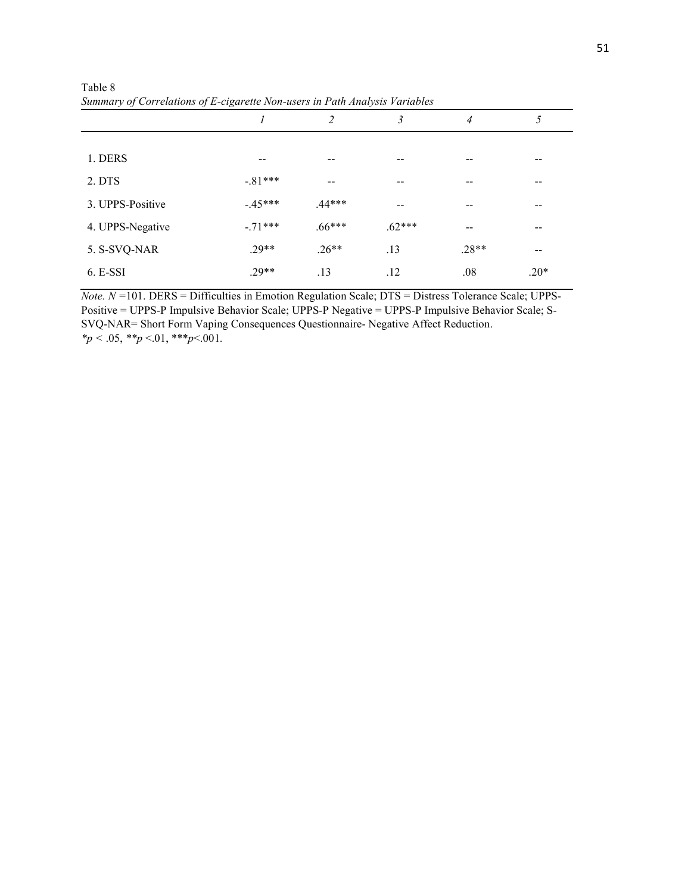|                  |           | $\overline{2}$ | 3        | 4       | 5      |
|------------------|-----------|----------------|----------|---------|--------|
|                  |           |                |          |         |        |
| 1. DERS          | $- -$     |                | --       |         |        |
| 2. DTS           | $-.81***$ |                | --       |         | --     |
| 3. UPPS-Positive | $-45***$  | $.44***$       | $- -$    | --      | --     |
| 4. UPPS-Negative | $-71***$  | $.66***$       | $.62***$ |         | --     |
| 5. S-SVQ-NAR     | $.29**$   | $.26**$        | .13      | $.28**$ | $- -$  |
| $6. E-SSI$       | $.29**$   | .13            | .12      | .08     | $.20*$ |

Table 8 *Summary of Correlations of E-cigarette Non-users in Path Analysis Variables* 

*Note. N =*101. DERS = Difficulties in Emotion Regulation Scale; DTS = Distress Tolerance Scale; UPPS-Positive = UPPS-P Impulsive Behavior Scale; UPPS-P Negative = UPPS-P Impulsive Behavior Scale; S-SVQ-NAR= Short Form Vaping Consequences Questionnaire- Negative Affect Reduction. *\*p <* .05, *\*\*p* <.01, \*\*\**p*<.001*.*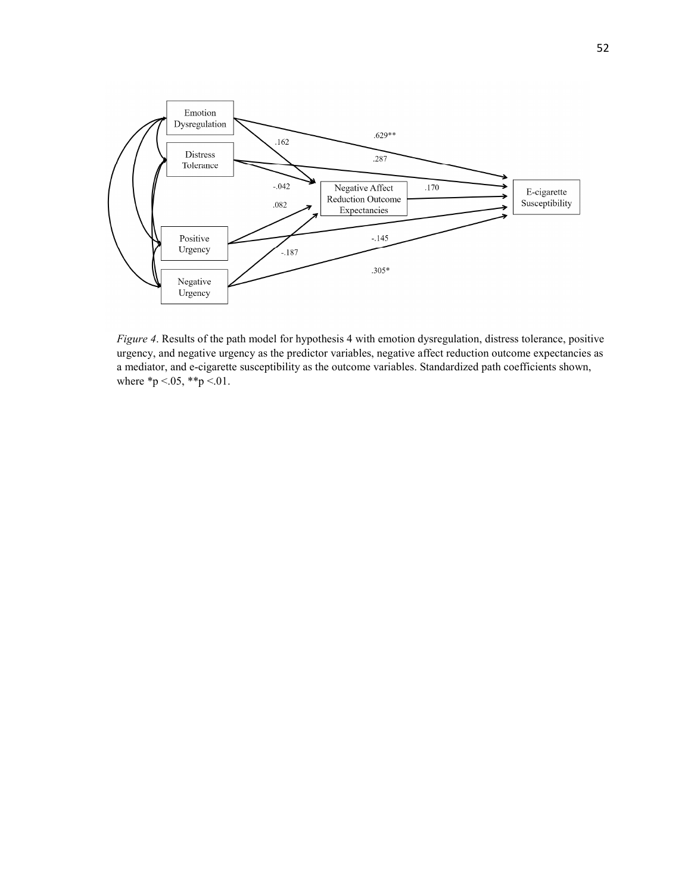

*Figure 4*. Results of the path model for hypothesis 4 with emotion dysregulation, distress tolerance, positive urgency, and negative urgency as the predictor variables, negative affect reduction outcome expectancies as a mediator, and e-cigarette susceptibility as the outcome variables. Standardized path coefficients shown, where  $*p < 05$ ,  $**p < 01$ .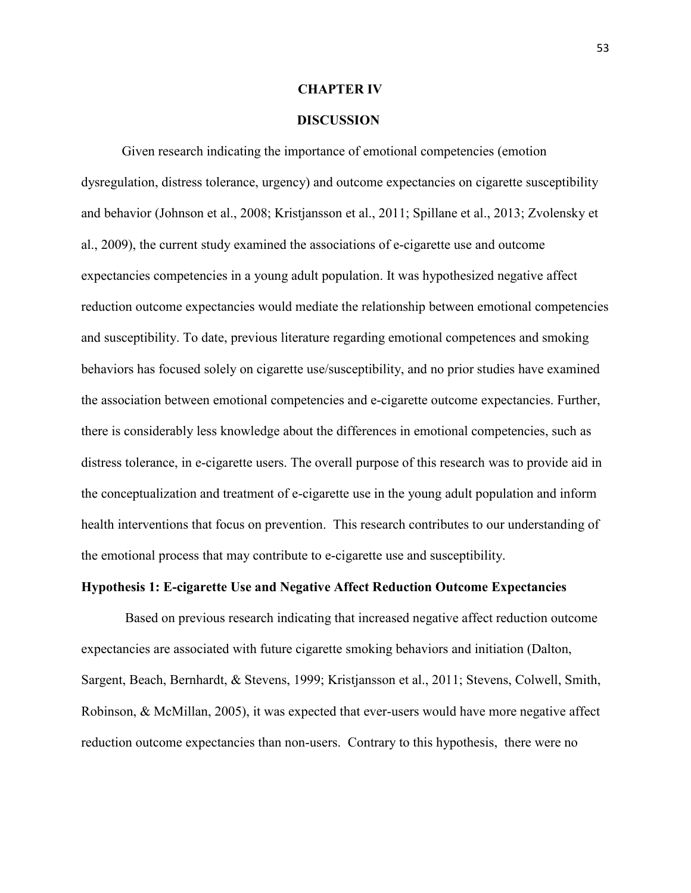### **CHAPTER IV**

# **DISCUSSION**

Given research indicating the importance of emotional competencies (emotion dysregulation, distress tolerance, urgency) and outcome expectancies on cigarette susceptibility and behavior (Johnson et al., 2008; Kristjansson et al., 2011; Spillane et al., 2013; Zvolensky et al., 2009), the current study examined the associations of e-cigarette use and outcome expectancies competencies in a young adult population. It was hypothesized negative affect reduction outcome expectancies would mediate the relationship between emotional competencies and susceptibility. To date, previous literature regarding emotional competences and smoking behaviors has focused solely on cigarette use/susceptibility, and no prior studies have examined the association between emotional competencies and e-cigarette outcome expectancies. Further, there is considerably less knowledge about the differences in emotional competencies, such as distress tolerance, in e-cigarette users. The overall purpose of this research was to provide aid in the conceptualization and treatment of e-cigarette use in the young adult population and inform health interventions that focus on prevention. This research contributes to our understanding of the emotional process that may contribute to e-cigarette use and susceptibility.

# **Hypothesis 1: E-cigarette Use and Negative Affect Reduction Outcome Expectancies**

 Based on previous research indicating that increased negative affect reduction outcome expectancies are associated with future cigarette smoking behaviors and initiation (Dalton, Sargent, Beach, Bernhardt, & Stevens, 1999; Kristjansson et al., 2011; Stevens, Colwell, Smith, Robinson, & McMillan, 2005), it was expected that ever-users would have more negative affect reduction outcome expectancies than non-users. Contrary to this hypothesis, there were no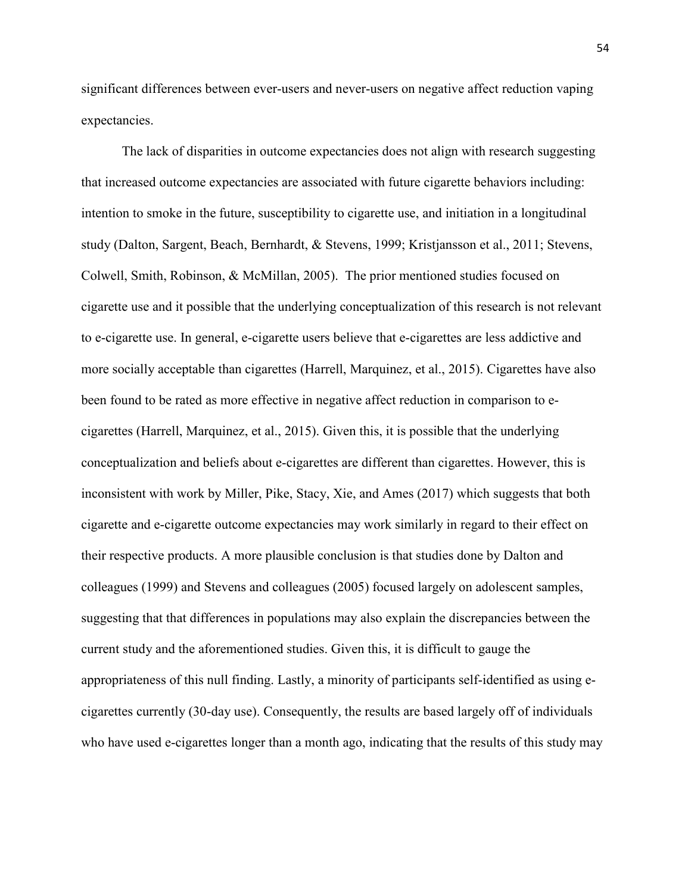significant differences between ever-users and never-users on negative affect reduction vaping expectancies.

The lack of disparities in outcome expectancies does not align with research suggesting that increased outcome expectancies are associated with future cigarette behaviors including: intention to smoke in the future, susceptibility to cigarette use, and initiation in a longitudinal study (Dalton, Sargent, Beach, Bernhardt, & Stevens, 1999; Kristjansson et al., 2011; Stevens, Colwell, Smith, Robinson, & McMillan, 2005). The prior mentioned studies focused on cigarette use and it possible that the underlying conceptualization of this research is not relevant to e-cigarette use. In general, e-cigarette users believe that e-cigarettes are less addictive and more socially acceptable than cigarettes (Harrell, Marquinez, et al., 2015). Cigarettes have also been found to be rated as more effective in negative affect reduction in comparison to ecigarettes (Harrell, Marquinez, et al., 2015). Given this, it is possible that the underlying conceptualization and beliefs about e-cigarettes are different than cigarettes. However, this is inconsistent with work by Miller, Pike, Stacy, Xie, and Ames (2017) which suggests that both cigarette and e-cigarette outcome expectancies may work similarly in regard to their effect on their respective products. A more plausible conclusion is that studies done by Dalton and colleagues (1999) and Stevens and colleagues (2005) focused largely on adolescent samples, suggesting that that differences in populations may also explain the discrepancies between the current study and the aforementioned studies. Given this, it is difficult to gauge the appropriateness of this null finding. Lastly, a minority of participants self-identified as using ecigarettes currently (30-day use). Consequently, the results are based largely off of individuals who have used e-cigarettes longer than a month ago, indicating that the results of this study may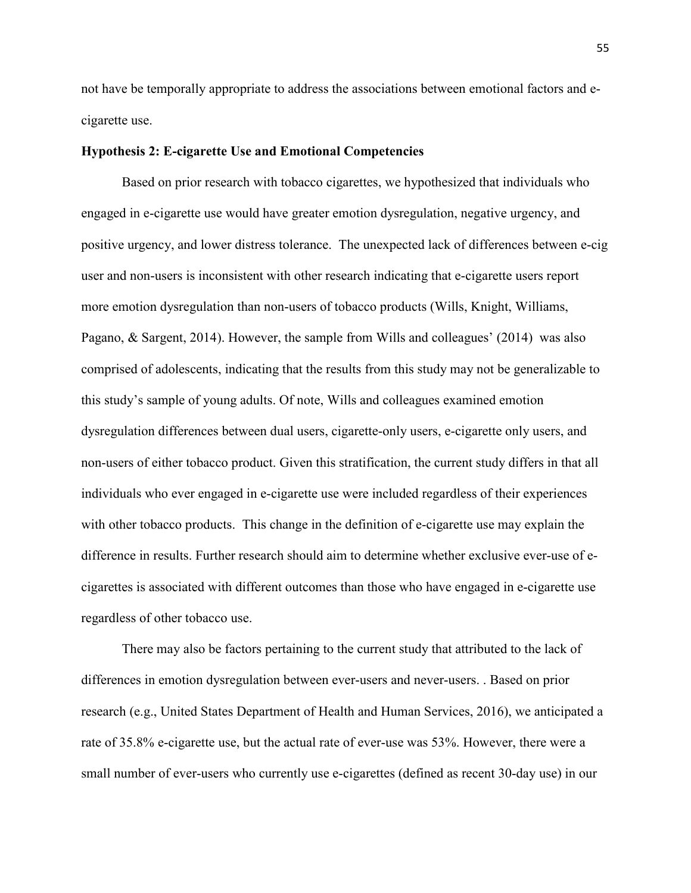not have be temporally appropriate to address the associations between emotional factors and ecigarette use.

# **Hypothesis 2: E-cigarette Use and Emotional Competencies**

Based on prior research with tobacco cigarettes, we hypothesized that individuals who engaged in e-cigarette use would have greater emotion dysregulation, negative urgency, and positive urgency, and lower distress tolerance. The unexpected lack of differences between e-cig user and non-users is inconsistent with other research indicating that e-cigarette users report more emotion dysregulation than non-users of tobacco products (Wills, Knight, Williams, Pagano, & Sargent, 2014). However, the sample from Wills and colleagues' (2014) was also comprised of adolescents, indicating that the results from this study may not be generalizable to this study's sample of young adults. Of note, Wills and colleagues examined emotion dysregulation differences between dual users, cigarette-only users, e-cigarette only users, and non-users of either tobacco product. Given this stratification, the current study differs in that all individuals who ever engaged in e-cigarette use were included regardless of their experiences with other tobacco products. This change in the definition of e-cigarette use may explain the difference in results. Further research should aim to determine whether exclusive ever-use of ecigarettes is associated with different outcomes than those who have engaged in e-cigarette use regardless of other tobacco use.

There may also be factors pertaining to the current study that attributed to the lack of differences in emotion dysregulation between ever-users and never-users. . Based on prior research (e.g., United States Department of Health and Human Services, 2016), we anticipated a rate of 35.8% e-cigarette use, but the actual rate of ever-use was 53%. However, there were a small number of ever-users who currently use e-cigarettes (defined as recent 30-day use) in our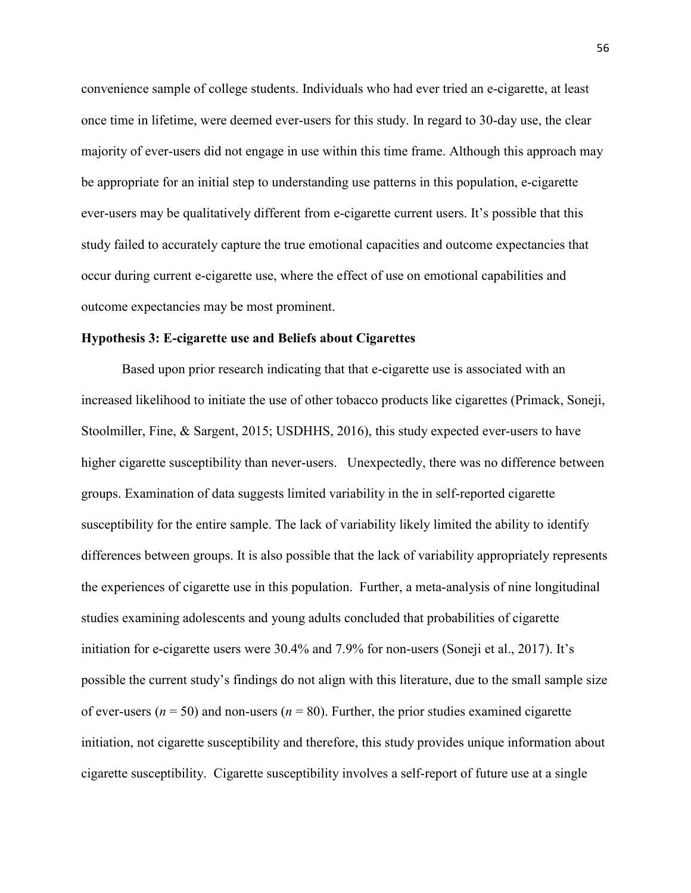convenience sample of college students. Individuals who had ever tried an e-cigarette, at least once time in lifetime, were deemed ever-users for this study. In regard to 30-day use, the clear majority of ever-users did not engage in use within this time frame. Although this approach may be appropriate for an initial step to understanding use patterns in this population, e-cigarette ever-users may be qualitatively different from e-cigarette current users. It's possible that this study failed to accurately capture the true emotional capacities and outcome expectancies that occur during current e-cigarette use, where the effect of use on emotional capabilities and outcome expectancies may be most prominent.

### **Hypothesis 3: E-cigarette use and Beliefs about Cigarettes**

Based upon prior research indicating that that e-cigarette use is associated with an increased likelihood to initiate the use of other tobacco products like cigarettes (Primack, Soneji, Stoolmiller, Fine, & Sargent, 2015; USDHHS, 2016), this study expected ever-users to have higher cigarette susceptibility than never-users. Unexpectedly, there was no difference between groups. Examination of data suggests limited variability in the in self-reported cigarette susceptibility for the entire sample. The lack of variability likely limited the ability to identify differences between groups. It is also possible that the lack of variability appropriately represents the experiences of cigarette use in this population. Further, a meta-analysis of nine longitudinal studies examining adolescents and young adults concluded that probabilities of cigarette initiation for e-cigarette users were 30.4% and 7.9% for non-users (Soneji et al., 2017). It's possible the current study's findings do not align with this literature, due to the small sample size of ever-users ( $n = 50$ ) and non-users ( $n = 80$ ). Further, the prior studies examined cigarette initiation, not cigarette susceptibility and therefore, this study provides unique information about cigarette susceptibility. Cigarette susceptibility involves a self-report of future use at a single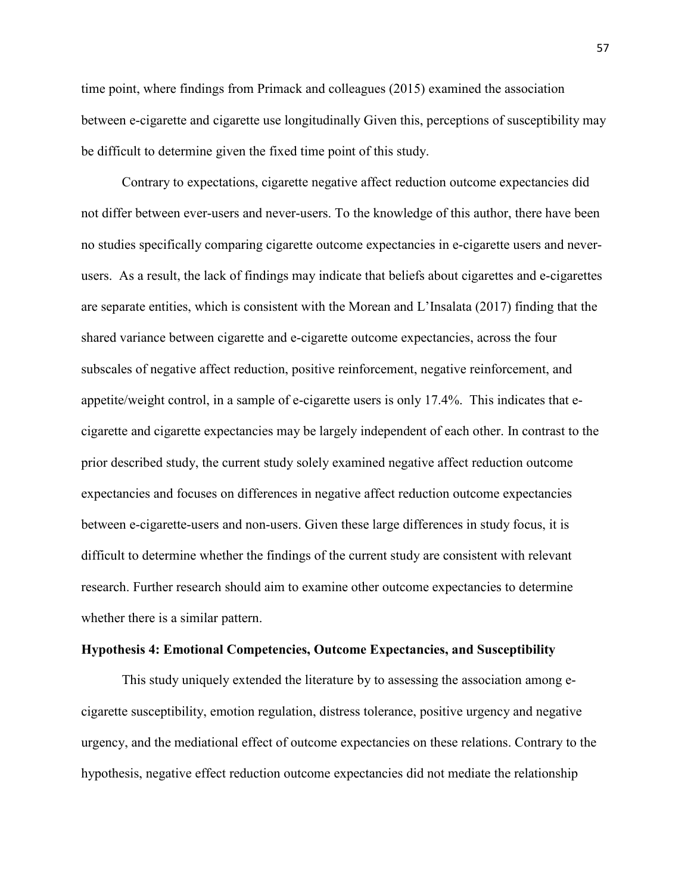time point, where findings from Primack and colleagues (2015) examined the association between e-cigarette and cigarette use longitudinally Given this, perceptions of susceptibility may be difficult to determine given the fixed time point of this study.

Contrary to expectations, cigarette negative affect reduction outcome expectancies did not differ between ever-users and never-users. To the knowledge of this author, there have been no studies specifically comparing cigarette outcome expectancies in e-cigarette users and neverusers. As a result, the lack of findings may indicate that beliefs about cigarettes and e-cigarettes are separate entities, which is consistent with the Morean and L'Insalata (2017) finding that the shared variance between cigarette and e-cigarette outcome expectancies, across the four subscales of negative affect reduction, positive reinforcement, negative reinforcement, and appetite/weight control, in a sample of e-cigarette users is only 17.4%. This indicates that ecigarette and cigarette expectancies may be largely independent of each other. In contrast to the prior described study, the current study solely examined negative affect reduction outcome expectancies and focuses on differences in negative affect reduction outcome expectancies between e-cigarette-users and non-users. Given these large differences in study focus, it is difficult to determine whether the findings of the current study are consistent with relevant research. Further research should aim to examine other outcome expectancies to determine whether there is a similar pattern.

#### **Hypothesis 4: Emotional Competencies, Outcome Expectancies, and Susceptibility**

This study uniquely extended the literature by to assessing the association among ecigarette susceptibility, emotion regulation, distress tolerance, positive urgency and negative urgency, and the mediational effect of outcome expectancies on these relations. Contrary to the hypothesis, negative effect reduction outcome expectancies did not mediate the relationship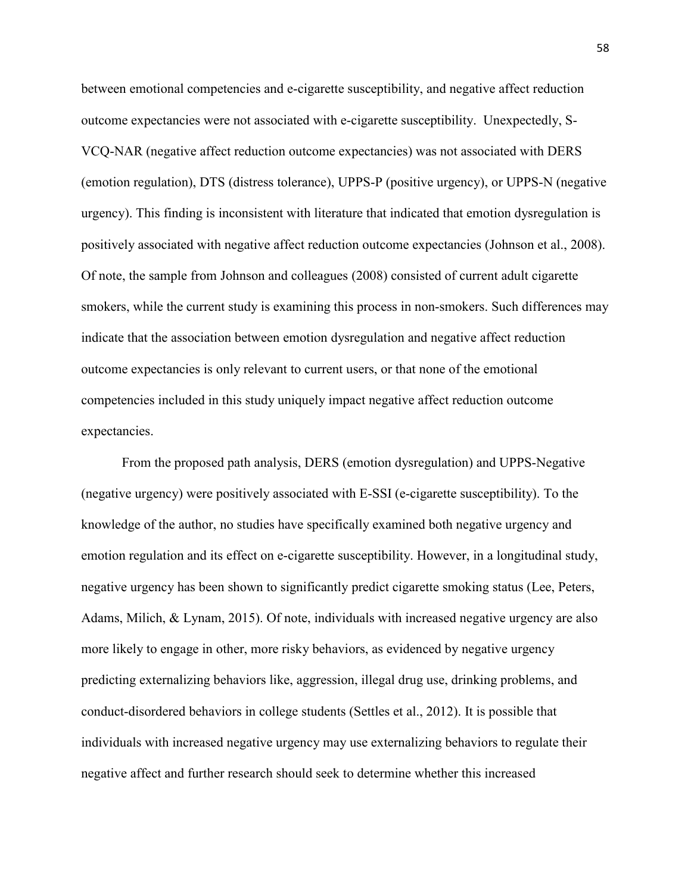between emotional competencies and e-cigarette susceptibility, and negative affect reduction outcome expectancies were not associated with e-cigarette susceptibility. Unexpectedly, S-VCQ-NAR (negative affect reduction outcome expectancies) was not associated with DERS (emotion regulation), DTS (distress tolerance), UPPS-P (positive urgency), or UPPS-N (negative urgency). This finding is inconsistent with literature that indicated that emotion dysregulation is positively associated with negative affect reduction outcome expectancies (Johnson et al., 2008). Of note, the sample from Johnson and colleagues (2008) consisted of current adult cigarette smokers, while the current study is examining this process in non-smokers. Such differences may indicate that the association between emotion dysregulation and negative affect reduction outcome expectancies is only relevant to current users, or that none of the emotional competencies included in this study uniquely impact negative affect reduction outcome expectancies.

From the proposed path analysis, DERS (emotion dysregulation) and UPPS-Negative (negative urgency) were positively associated with E-SSI (e-cigarette susceptibility). To the knowledge of the author, no studies have specifically examined both negative urgency and emotion regulation and its effect on e-cigarette susceptibility. However, in a longitudinal study, negative urgency has been shown to significantly predict cigarette smoking status (Lee, Peters, Adams, Milich, & Lynam, 2015). Of note, individuals with increased negative urgency are also more likely to engage in other, more risky behaviors, as evidenced by negative urgency predicting externalizing behaviors like, aggression, illegal drug use, drinking problems, and conduct-disordered behaviors in college students (Settles et al., 2012). It is possible that individuals with increased negative urgency may use externalizing behaviors to regulate their negative affect and further research should seek to determine whether this increased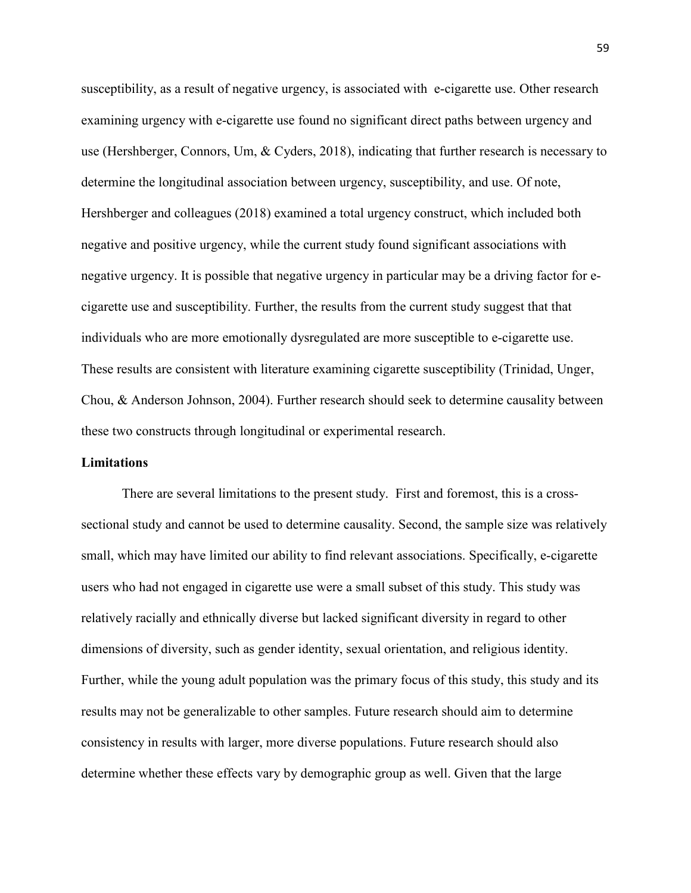susceptibility, as a result of negative urgency, is associated with e-cigarette use. Other research examining urgency with e-cigarette use found no significant direct paths between urgency and use (Hershberger, Connors, Um, & Cyders, 2018), indicating that further research is necessary to determine the longitudinal association between urgency, susceptibility, and use. Of note, Hershberger and colleagues (2018) examined a total urgency construct, which included both negative and positive urgency, while the current study found significant associations with negative urgency. It is possible that negative urgency in particular may be a driving factor for ecigarette use and susceptibility. Further, the results from the current study suggest that that individuals who are more emotionally dysregulated are more susceptible to e-cigarette use. These results are consistent with literature examining cigarette susceptibility (Trinidad, Unger, Chou, & Anderson Johnson, 2004). Further research should seek to determine causality between these two constructs through longitudinal or experimental research.

# **Limitations**

There are several limitations to the present study. First and foremost, this is a crosssectional study and cannot be used to determine causality. Second, the sample size was relatively small, which may have limited our ability to find relevant associations. Specifically, e-cigarette users who had not engaged in cigarette use were a small subset of this study. This study was relatively racially and ethnically diverse but lacked significant diversity in regard to other dimensions of diversity, such as gender identity, sexual orientation, and religious identity. Further, while the young adult population was the primary focus of this study, this study and its results may not be generalizable to other samples. Future research should aim to determine consistency in results with larger, more diverse populations. Future research should also determine whether these effects vary by demographic group as well. Given that the large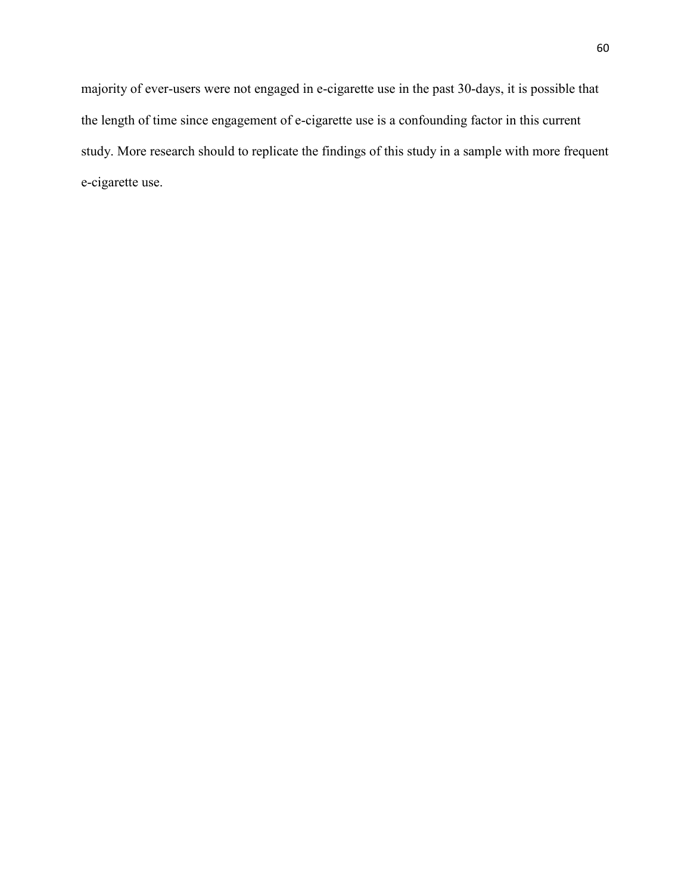majority of ever-users were not engaged in e-cigarette use in the past 30-days, it is possible that the length of time since engagement of e-cigarette use is a confounding factor in this current study. More research should to replicate the findings of this study in a sample with more frequent e-cigarette use.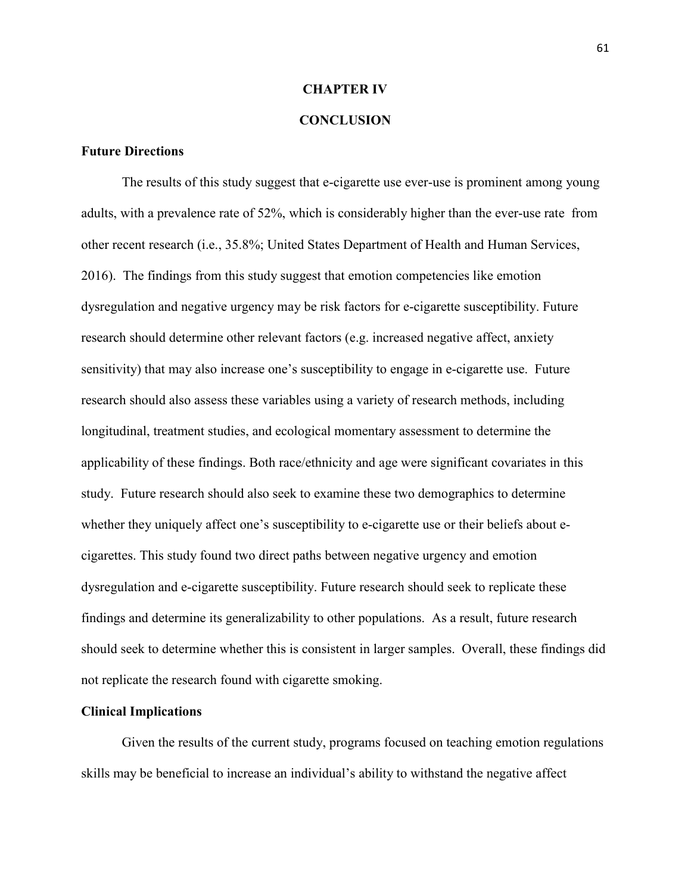### **CHAPTER IV**

# **CONCLUSION**

# **Future Directions**

The results of this study suggest that e-cigarette use ever-use is prominent among young adults, with a prevalence rate of 52%, which is considerably higher than the ever-use rate from other recent research (i.e., 35.8%; United States Department of Health and Human Services, 2016). The findings from this study suggest that emotion competencies like emotion dysregulation and negative urgency may be risk factors for e-cigarette susceptibility. Future research should determine other relevant factors (e.g. increased negative affect, anxiety sensitivity) that may also increase one's susceptibility to engage in e-cigarette use. Future research should also assess these variables using a variety of research methods, including longitudinal, treatment studies, and ecological momentary assessment to determine the applicability of these findings. Both race/ethnicity and age were significant covariates in this study. Future research should also seek to examine these two demographics to determine whether they uniquely affect one's susceptibility to e-cigarette use or their beliefs about ecigarettes. This study found two direct paths between negative urgency and emotion dysregulation and e-cigarette susceptibility. Future research should seek to replicate these findings and determine its generalizability to other populations. As a result, future research should seek to determine whether this is consistent in larger samples. Overall, these findings did not replicate the research found with cigarette smoking.

### **Clinical Implications**

Given the results of the current study, programs focused on teaching emotion regulations skills may be beneficial to increase an individual's ability to withstand the negative affect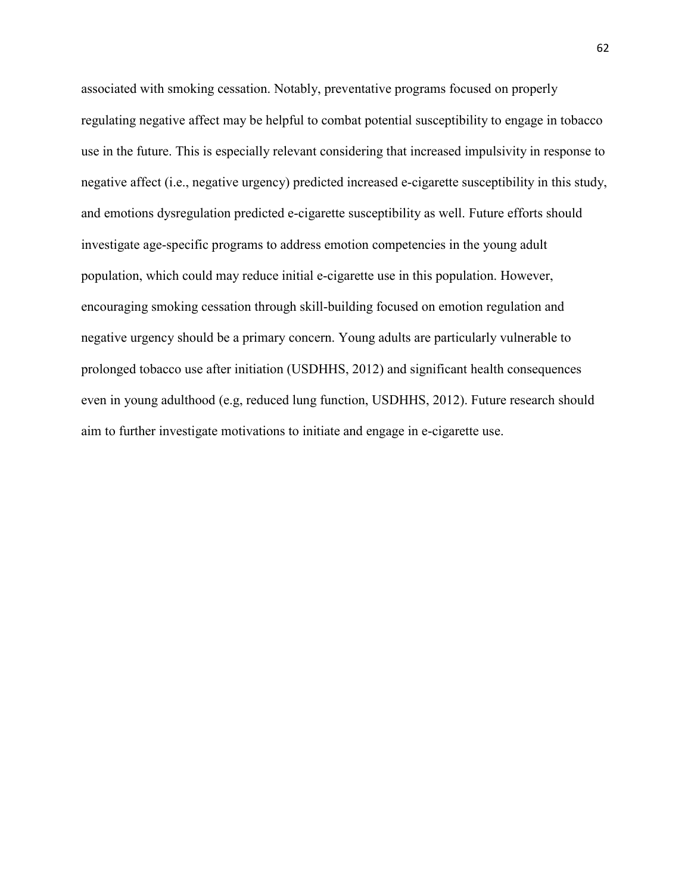associated with smoking cessation. Notably, preventative programs focused on properly regulating negative affect may be helpful to combat potential susceptibility to engage in tobacco use in the future. This is especially relevant considering that increased impulsivity in response to negative affect (i.e., negative urgency) predicted increased e-cigarette susceptibility in this study, and emotions dysregulation predicted e-cigarette susceptibility as well. Future efforts should investigate age-specific programs to address emotion competencies in the young adult population, which could may reduce initial e-cigarette use in this population. However, encouraging smoking cessation through skill-building focused on emotion regulation and negative urgency should be a primary concern. Young adults are particularly vulnerable to prolonged tobacco use after initiation (USDHHS, 2012) and significant health consequences even in young adulthood (e.g, reduced lung function, USDHHS, 2012). Future research should aim to further investigate motivations to initiate and engage in e-cigarette use.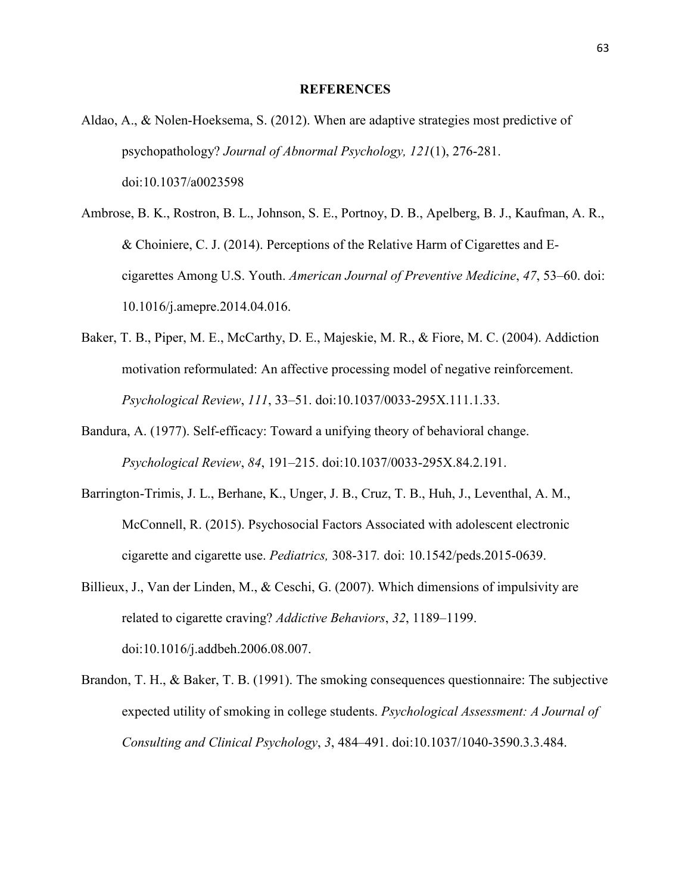#### **REFERENCES**

- Aldao, A., & Nolen-Hoeksema, S. (2012). When are adaptive strategies most predictive of psychopathology? *Journal of Abnormal Psychology, 121*(1), 276-281. doi:10.1037/a0023598
- Ambrose, B. K., Rostron, B. L., Johnson, S. E., Portnoy, D. B., Apelberg, B. J., Kaufman, A. R., & Choiniere, C. J. (2014). Perceptions of the Relative Harm of Cigarettes and Ecigarettes Among U.S. Youth. *American Journal of Preventive Medicine*, *47*, 53–60. doi: 10.1016/j.amepre.2014.04.016.
- Baker, T. B., Piper, M. E., McCarthy, D. E., Majeskie, M. R., & Fiore, M. C. (2004). Addiction motivation reformulated: An affective processing model of negative reinforcement. *Psychological Review*, *111*, 33–51. doi:10.1037/0033-295X.111.1.33.
- Bandura, A. (1977). Self-efficacy: Toward a unifying theory of behavioral change. *Psychological Review*, *84*, 191–215. doi:10.1037/0033-295X.84.2.191.
- Barrington-Trimis, J. L., Berhane, K., Unger, J. B., Cruz, T. B., Huh, J., Leventhal, A. M., McConnell, R. (2015). Psychosocial Factors Associated with adolescent electronic cigarette and cigarette use. *Pediatrics,* 308-317*.* doi: 10.1542/peds.2015-0639.
- Billieux, J., Van der Linden, M., & Ceschi, G. (2007). Which dimensions of impulsivity are related to cigarette craving? *Addictive Behaviors*, *32*, 1189–1199. doi:10.1016/j.addbeh.2006.08.007.
- Brandon, T. H., & Baker, T. B. (1991). The smoking consequences questionnaire: The subjective expected utility of smoking in college students. *Psychological Assessment: A Journal of Consulting and Clinical Psychology*, *3*, 484–491. doi:10.1037/1040-3590.3.3.484.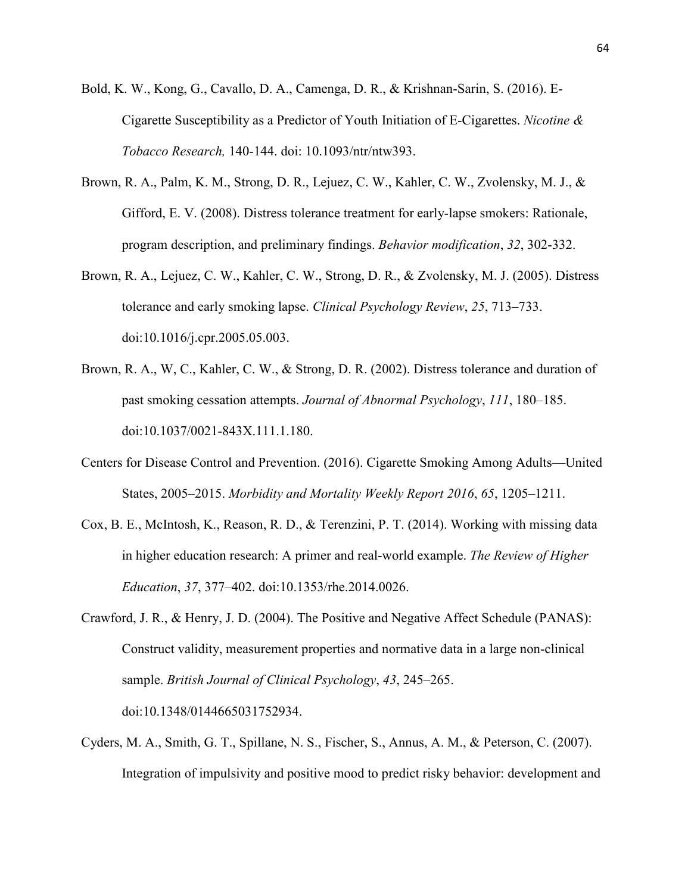- Bold, K. W., Kong, G., Cavallo, D. A., Camenga, D. R., & Krishnan-Sarin, S. (2016). E-Cigarette Susceptibility as a Predictor of Youth Initiation of E-Cigarettes. *Nicotine & Tobacco Research,* 140-144. doi: 10.1093/ntr/ntw393.
- Brown, R. A., Palm, K. M., Strong, D. R., Lejuez, C. W., Kahler, C. W., Zvolensky, M. J., & Gifford, E. V. (2008). Distress tolerance treatment for early-lapse smokers: Rationale, program description, and preliminary findings. *Behavior modification*, *32*, 302-332.
- Brown, R. A., Lejuez, C. W., Kahler, C. W., Strong, D. R., & Zvolensky, M. J. (2005). Distress tolerance and early smoking lapse. *Clinical Psychology Review*, *25*, 713–733. doi:10.1016/j.cpr.2005.05.003.
- Brown, R. A., W, C., Kahler, C. W., & Strong, D. R. (2002). Distress tolerance and duration of past smoking cessation attempts. *Journal of Abnormal Psychology*, *111*, 180–185. doi:10.1037/0021-843X.111.1.180.
- Centers for Disease Control and Prevention. (2016). Cigarette Smoking Among Adults—United States, 2005–2015. *Morbidity and Mortality Weekly Report 2016*, *65*, 1205–1211.
- Cox, B. E., McIntosh, K., Reason, R. D., & Terenzini, P. T. (2014). Working with missing data in higher education research: A primer and real-world example. *The Review of Higher Education*, *37*, 377–402. doi:10.1353/rhe.2014.0026.
- Crawford, J. R., & Henry, J. D. (2004). The Positive and Negative Affect Schedule (PANAS): Construct validity, measurement properties and normative data in a large non-clinical sample. *British Journal of Clinical Psychology*, *43*, 245–265. doi:10.1348/0144665031752934.
- Cyders, M. A., Smith, G. T., Spillane, N. S., Fischer, S., Annus, A. M., & Peterson, C. (2007). Integration of impulsivity and positive mood to predict risky behavior: development and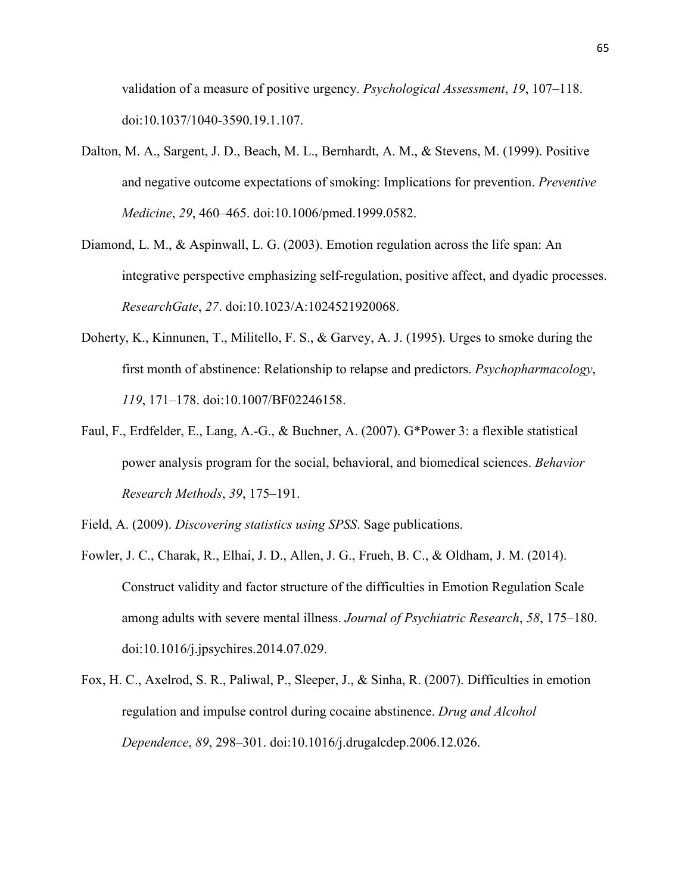validation of a measure of positive urgency. *Psychological Assessment*, *19*, 107–118. doi:10.1037/1040-3590.19.1.107.

- Dalton, M. A., Sargent, J. D., Beach, M. L., Bernhardt, A. M., & Stevens, M. (1999). Positive and negative outcome expectations of smoking: Implications for prevention. *Preventive Medicine*, *29*, 460–465. doi:10.1006/pmed.1999.0582.
- Diamond, L. M., & Aspinwall, L. G. (2003). Emotion regulation across the life span: An integrative perspective emphasizing self-regulation, positive affect, and dyadic processes. *ResearchGate*, *27*. doi:10.1023/A:1024521920068.
- Doherty, K., Kinnunen, T., Militello, F. S., & Garvey, A. J. (1995). Urges to smoke during the first month of abstinence: Relationship to relapse and predictors. *Psychopharmacology*, *119*, 171–178. doi:10.1007/BF02246158.
- Faul, F., Erdfelder, E., Lang, A.-G., & Buchner, A. (2007). G\*Power 3: a flexible statistical power analysis program for the social, behavioral, and biomedical sciences. *Behavior Research Methods*, *39*, 175–191.

Field, A. (2009). *Discovering statistics using SPSS*. Sage publications.

- Fowler, J. C., Charak, R., Elhai, J. D., Allen, J. G., Frueh, B. C., & Oldham, J. M. (2014). Construct validity and factor structure of the difficulties in Emotion Regulation Scale among adults with severe mental illness. *Journal of Psychiatric Research*, *58*, 175–180. doi:10.1016/j.jpsychires.2014.07.029.
- Fox, H. C., Axelrod, S. R., Paliwal, P., Sleeper, J., & Sinha, R. (2007). Difficulties in emotion regulation and impulse control during cocaine abstinence. *Drug and Alcohol Dependence*, *89*, 298–301. doi:10.1016/j.drugalcdep.2006.12.026.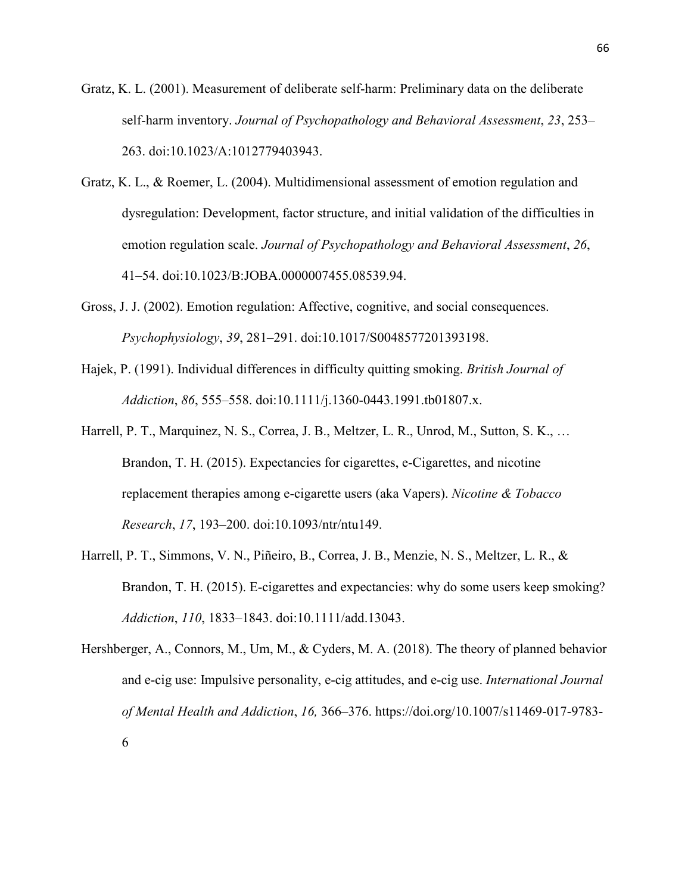Gratz, K. L. (2001). Measurement of deliberate self-harm: Preliminary data on the deliberate self-harm inventory. *Journal of Psychopathology and Behavioral Assessment*, *23*, 253– 263. doi:10.1023/A:1012779403943.

- Gratz, K. L., & Roemer, L. (2004). Multidimensional assessment of emotion regulation and dysregulation: Development, factor structure, and initial validation of the difficulties in emotion regulation scale. *Journal of Psychopathology and Behavioral Assessment*, *26*, 41–54. doi:10.1023/B:JOBA.0000007455.08539.94.
- Gross, J. J. (2002). Emotion regulation: Affective, cognitive, and social consequences. *Psychophysiology*, *39*, 281–291. doi:10.1017/S0048577201393198.
- Hajek, P. (1991). Individual differences in difficulty quitting smoking. *British Journal of Addiction*, *86*, 555–558. doi:10.1111/j.1360-0443.1991.tb01807.x.
- Harrell, P. T., Marquinez, N. S., Correa, J. B., Meltzer, L. R., Unrod, M., Sutton, S. K., … Brandon, T. H. (2015). Expectancies for cigarettes, e-Cigarettes, and nicotine replacement therapies among e-cigarette users (aka Vapers). *Nicotine & Tobacco Research*, *17*, 193–200. doi:10.1093/ntr/ntu149.
- Harrell, P. T., Simmons, V. N., Piñeiro, B., Correa, J. B., Menzie, N. S., Meltzer, L. R., & Brandon, T. H. (2015). E-cigarettes and expectancies: why do some users keep smoking? *Addiction*, *110*, 1833–1843. doi:10.1111/add.13043.
- Hershberger, A., Connors, M., Um, M., & Cyders, M. A. (2018). The theory of planned behavior and e-cig use: Impulsive personality, e-cig attitudes, and e-cig use. *International Journal of Mental Health and Addiction*, *16,* 366–376. https://doi.org/10.1007/s11469-017-9783- 6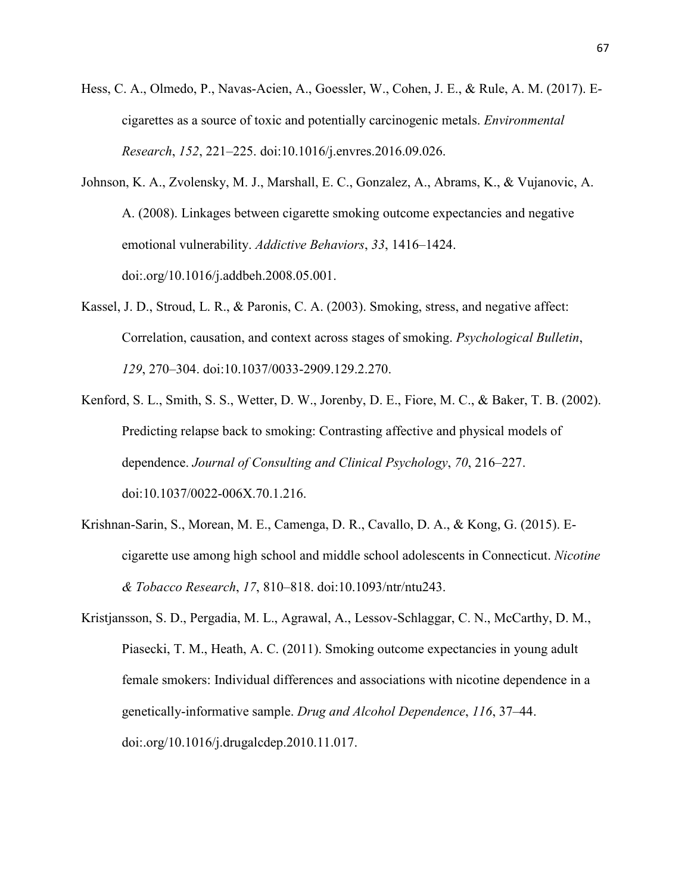- Hess, C. A., Olmedo, P., Navas-Acien, A., Goessler, W., Cohen, J. E., & Rule, A. M. (2017). Ecigarettes as a source of toxic and potentially carcinogenic metals. *Environmental Research*, *152*, 221–225. doi:10.1016/j.envres.2016.09.026.
- Johnson, K. A., Zvolensky, M. J., Marshall, E. C., Gonzalez, A., Abrams, K., & Vujanovic, A. A. (2008). Linkages between cigarette smoking outcome expectancies and negative emotional vulnerability. *Addictive Behaviors*, *33*, 1416–1424. doi:.org/10.1016/j.addbeh.2008.05.001.
- Kassel, J. D., Stroud, L. R., & Paronis, C. A. (2003). Smoking, stress, and negative affect: Correlation, causation, and context across stages of smoking. *Psychological Bulletin*, *129*, 270–304. doi:10.1037/0033-2909.129.2.270.
- Kenford, S. L., Smith, S. S., Wetter, D. W., Jorenby, D. E., Fiore, M. C., & Baker, T. B. (2002). Predicting relapse back to smoking: Contrasting affective and physical models of dependence. *Journal of Consulting and Clinical Psychology*, *70*, 216–227. doi:10.1037/0022-006X.70.1.216.
- Krishnan-Sarin, S., Morean, M. E., Camenga, D. R., Cavallo, D. A., & Kong, G. (2015). Ecigarette use among high school and middle school adolescents in Connecticut. *Nicotine & Tobacco Research*, *17*, 810–818. doi:10.1093/ntr/ntu243.
- Kristjansson, S. D., Pergadia, M. L., Agrawal, A., Lessov-Schlaggar, C. N., McCarthy, D. M., Piasecki, T. M., Heath, A. C. (2011). Smoking outcome expectancies in young adult female smokers: Individual differences and associations with nicotine dependence in a genetically-informative sample. *Drug and Alcohol Dependence*, *116*, 37–44. doi:.org/10.1016/j.drugalcdep.2010.11.017.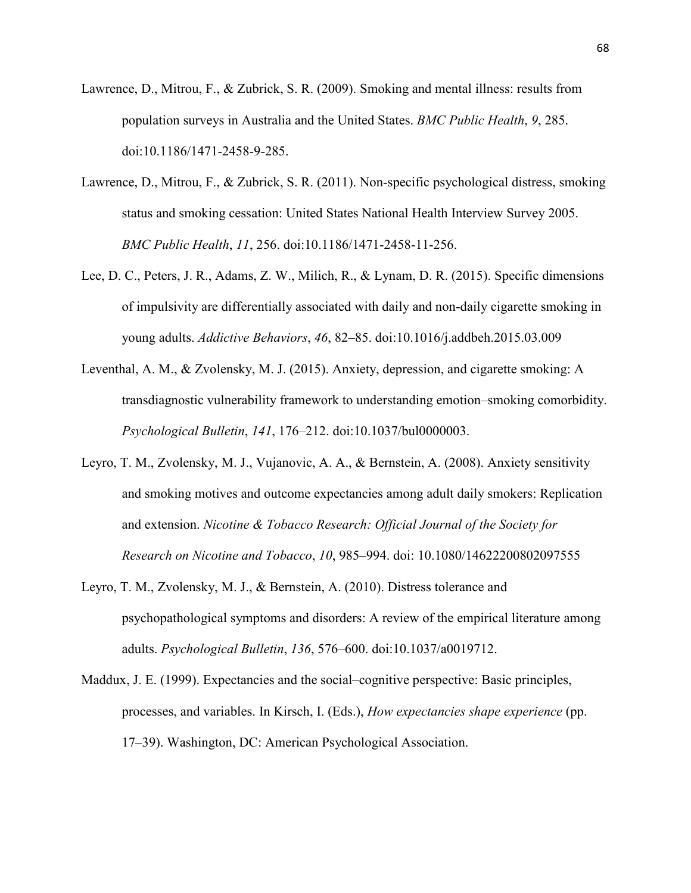- Lawrence, D., Mitrou, F., & Zubrick, S. R. (2009). Smoking and mental illness: results from population surveys in Australia and the United States. *BMC Public Health*, *9*, 285. doi:10.1186/1471-2458-9-285.
- Lawrence, D., Mitrou, F., & Zubrick, S. R. (2011). Non-specific psychological distress, smoking status and smoking cessation: United States National Health Interview Survey 2005. *BMC Public Health*, *11*, 256. doi:10.1186/1471-2458-11-256.
- Lee, D. C., Peters, J. R., Adams, Z. W., Milich, R., & Lynam, D. R. (2015). Specific dimensions of impulsivity are differentially associated with daily and non-daily cigarette smoking in young adults. *Addictive Behaviors*, *46*, 82–85. doi:10.1016/j.addbeh.2015.03.009
- Leventhal, A. M., & Zvolensky, M. J. (2015). Anxiety, depression, and cigarette smoking: A transdiagnostic vulnerability framework to understanding emotion–smoking comorbidity. *Psychological Bulletin*, *141*, 176–212. doi:10.1037/bul0000003.
- Leyro, T. M., Zvolensky, M. J., Vujanovic, A. A., & Bernstein, A. (2008). Anxiety sensitivity and smoking motives and outcome expectancies among adult daily smokers: Replication and extension. *Nicotine & Tobacco Research: Official Journal of the Society for Research on Nicotine and Tobacco*, *10*, 985–994. doi: 10.1080/14622200802097555
- Leyro, T. M., Zvolensky, M. J., & Bernstein, A. (2010). Distress tolerance and psychopathological symptoms and disorders: A review of the empirical literature among adults. *Psychological Bulletin*, *136*, 576–600. doi:10.1037/a0019712.
- Maddux, J. E. (1999). Expectancies and the social–cognitive perspective: Basic principles, processes, and variables. In Kirsch, I. (Eds.), *How expectancies shape experience* (pp. 17–39). Washington, DC: American Psychological Association.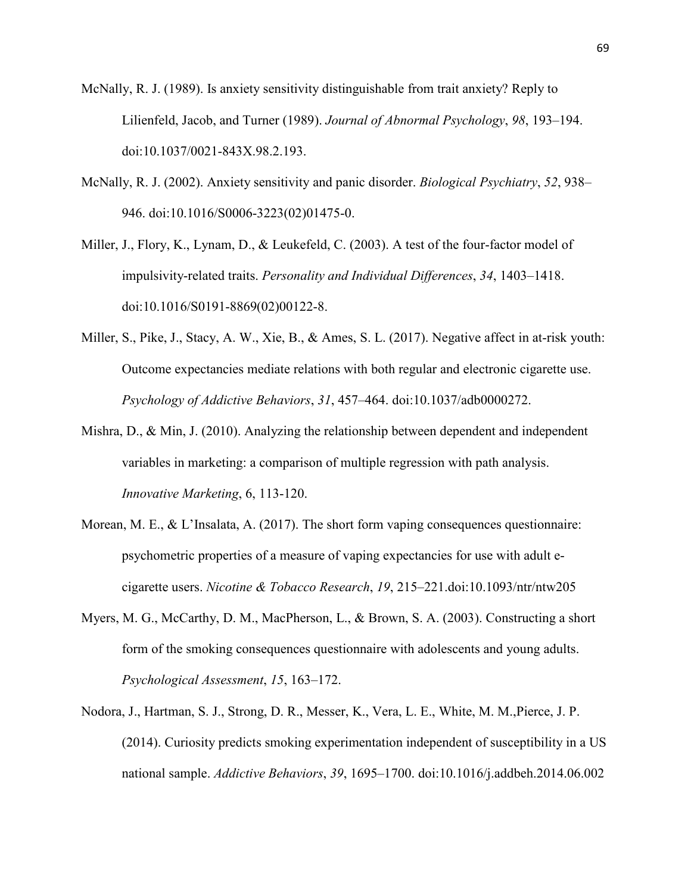McNally, R. J. (1989). Is anxiety sensitivity distinguishable from trait anxiety? Reply to Lilienfeld, Jacob, and Turner (1989). *Journal of Abnormal Psychology*, *98*, 193–194. doi:10.1037/0021-843X.98.2.193.

McNally, R. J. (2002). Anxiety sensitivity and panic disorder. *Biological Psychiatry*, *52*, 938– 946. doi:10.1016/S0006-3223(02)01475-0.

Miller, J., Flory, K., Lynam, D., & Leukefeld, C. (2003). A test of the four-factor model of impulsivity-related traits. *Personality and Individual Differences*, *34*, 1403–1418. doi:10.1016/S0191-8869(02)00122-8.

- Miller, S., Pike, J., Stacy, A. W., Xie, B., & Ames, S. L. (2017). Negative affect in at-risk youth: Outcome expectancies mediate relations with both regular and electronic cigarette use. *Psychology of Addictive Behaviors*, *31*, 457–464. doi:10.1037/adb0000272.
- Mishra, D., & Min, J. (2010). Analyzing the relationship between dependent and independent variables in marketing: a comparison of multiple regression with path analysis. *Innovative Marketing*, 6, 113-120.
- Morean, M. E., & L'Insalata, A. (2017). The short form vaping consequences questionnaire: psychometric properties of a measure of vaping expectancies for use with adult ecigarette users. *Nicotine & Tobacco Research*, *19*, 215–221.doi:10.1093/ntr/ntw205
- Myers, M. G., McCarthy, D. M., MacPherson, L., & Brown, S. A. (2003). Constructing a short form of the smoking consequences questionnaire with adolescents and young adults. *Psychological Assessment*, *15*, 163–172.
- Nodora, J., Hartman, S. J., Strong, D. R., Messer, K., Vera, L. E., White, M. M.,Pierce, J. P. (2014). Curiosity predicts smoking experimentation independent of susceptibility in a US national sample. *Addictive Behaviors*, *39*, 1695–1700. doi:10.1016/j.addbeh.2014.06.002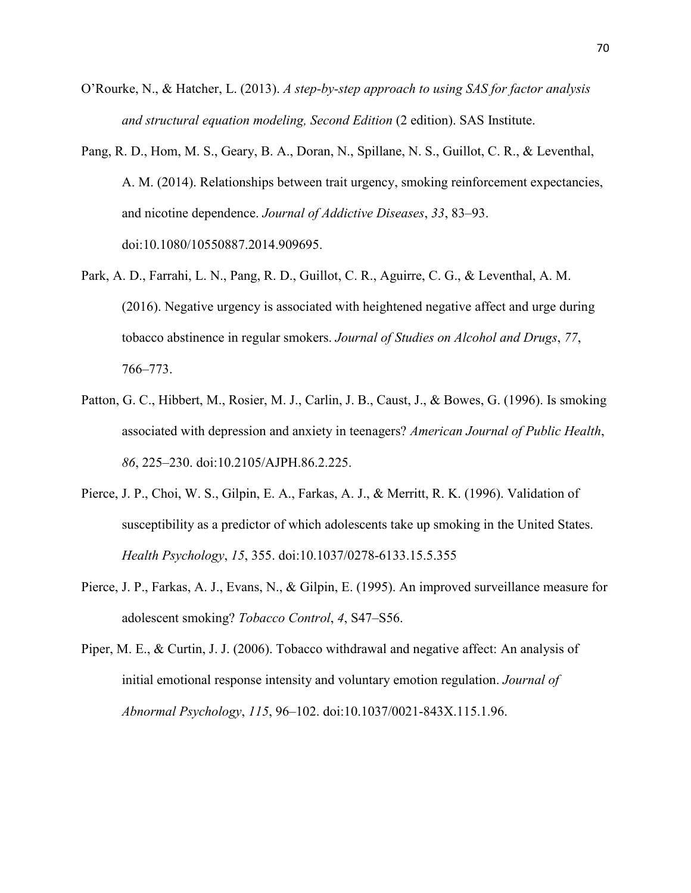- O'Rourke, N., & Hatcher, L. (2013). *A step-by-step approach to using SAS for factor analysis and structural equation modeling, Second Edition* (2 edition). SAS Institute.
- Pang, R. D., Hom, M. S., Geary, B. A., Doran, N., Spillane, N. S., Guillot, C. R., & Leventhal, A. M. (2014). Relationships between trait urgency, smoking reinforcement expectancies, and nicotine dependence. *Journal of Addictive Diseases*, *33*, 83–93. doi:10.1080/10550887.2014.909695.
- Park, A. D., Farrahi, L. N., Pang, R. D., Guillot, C. R., Aguirre, C. G., & Leventhal, A. M. (2016). Negative urgency is associated with heightened negative affect and urge during tobacco abstinence in regular smokers. *Journal of Studies on Alcohol and Drugs*, *77*, 766–773.
- Patton, G. C., Hibbert, M., Rosier, M. J., Carlin, J. B., Caust, J., & Bowes, G. (1996). Is smoking associated with depression and anxiety in teenagers? *American Journal of Public Health*, *86*, 225–230. doi:10.2105/AJPH.86.2.225.
- Pierce, J. P., Choi, W. S., Gilpin, E. A., Farkas, A. J., & Merritt, R. K. (1996). Validation of susceptibility as a predictor of which adolescents take up smoking in the United States. *Health Psychology*, *15*, 355. doi:10.1037/0278-6133.15.5.355
- Pierce, J. P., Farkas, A. J., Evans, N., & Gilpin, E. (1995). An improved surveillance measure for adolescent smoking? *Tobacco Control*, *4*, S47–S56.
- Piper, M. E., & Curtin, J. J. (2006). Tobacco withdrawal and negative affect: An analysis of initial emotional response intensity and voluntary emotion regulation. *Journal of Abnormal Psychology*, *115*, 96–102. doi:10.1037/0021-843X.115.1.96.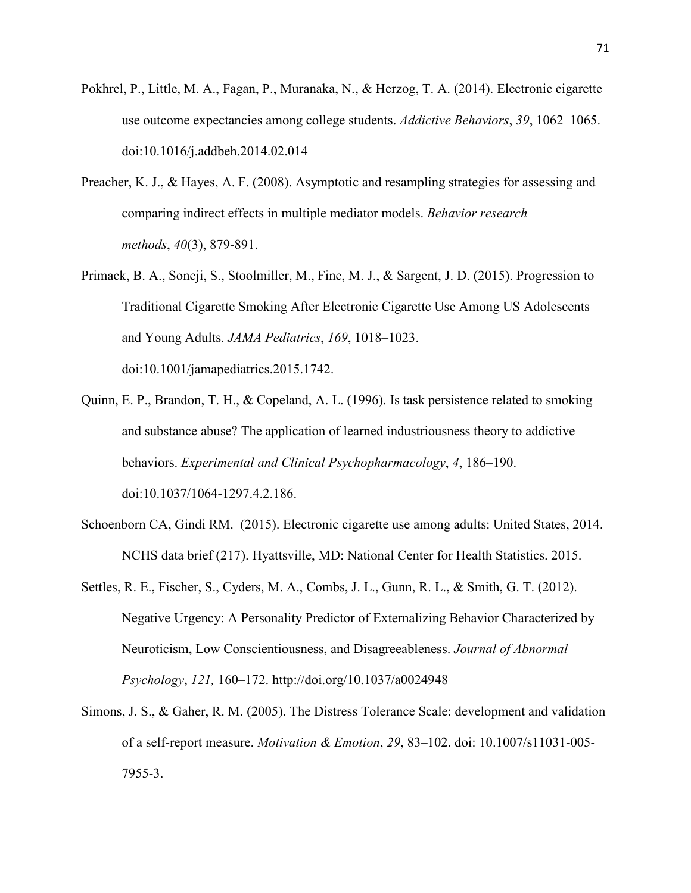- Pokhrel, P., Little, M. A., Fagan, P., Muranaka, N., & Herzog, T. A. (2014). Electronic cigarette use outcome expectancies among college students. *Addictive Behaviors*, *39*, 1062–1065. doi:10.1016/j.addbeh.2014.02.014
- Preacher, K. J., & Hayes, A. F. (2008). Asymptotic and resampling strategies for assessing and comparing indirect effects in multiple mediator models. *Behavior research methods*, *40*(3), 879-891.
- Primack, B. A., Soneji, S., Stoolmiller, M., Fine, M. J., & Sargent, J. D. (2015). Progression to Traditional Cigarette Smoking After Electronic Cigarette Use Among US Adolescents and Young Adults. *JAMA Pediatrics*, *169*, 1018–1023. doi:10.1001/jamapediatrics.2015.1742.
- Quinn, E. P., Brandon, T. H., & Copeland, A. L. (1996). Is task persistence related to smoking and substance abuse? The application of learned industriousness theory to addictive behaviors. *Experimental and Clinical Psychopharmacology*, *4*, 186–190. doi:10.1037/1064-1297.4.2.186.
- Schoenborn CA, Gindi RM. (2015). Electronic cigarette use among adults: United States, 2014. NCHS data brief (217). Hyattsville, MD: National Center for Health Statistics. 2015.
- Settles, R. E., Fischer, S., Cyders, M. A., Combs, J. L., Gunn, R. L., & Smith, G. T. (2012). Negative Urgency: A Personality Predictor of Externalizing Behavior Characterized by Neuroticism, Low Conscientiousness, and Disagreeableness. *Journal of Abnormal Psychology*, *121,* 160–172. http://doi.org/10.1037/a0024948
- Simons, J. S., & Gaher, R. M. (2005). The Distress Tolerance Scale: development and validation of a self-report measure. *Motivation & Emotion*, *29*, 83–102. doi: 10.1007/s11031-005- 7955-3.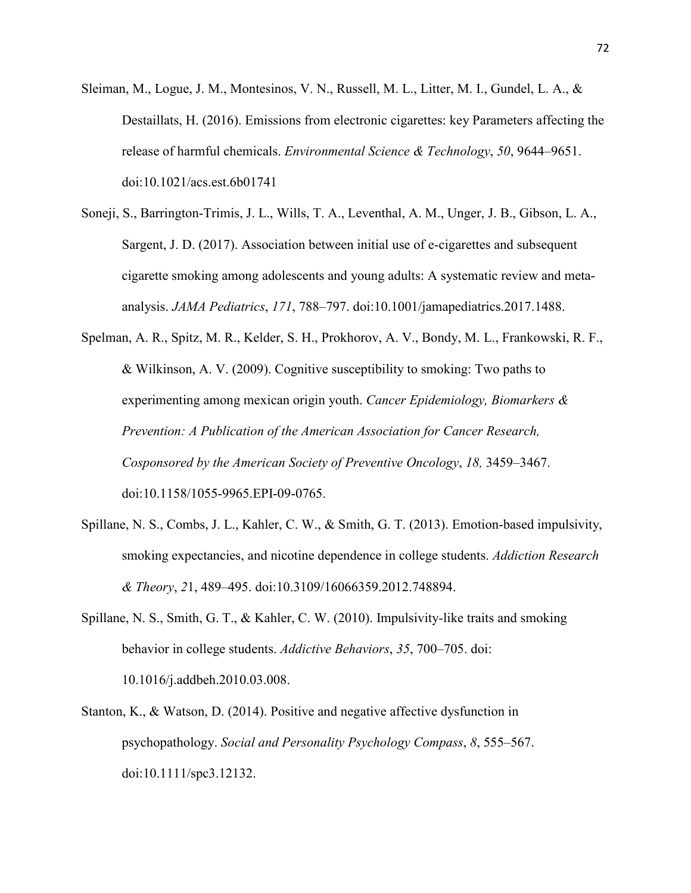- Sleiman, M., Logue, J. M., Montesinos, V. N., Russell, M. L., Litter, M. I., Gundel, L. A., & Destaillats, H. (2016). Emissions from electronic cigarettes: key Parameters affecting the release of harmful chemicals. *Environmental Science & Technology*, *50*, 9644–9651. doi:10.1021/acs.est.6b01741
- Soneji, S., Barrington-Trimis, J. L., Wills, T. A., Leventhal, A. M., Unger, J. B., Gibson, L. A., Sargent, J. D. (2017). Association between initial use of e-cigarettes and subsequent cigarette smoking among adolescents and young adults: A systematic review and metaanalysis. *JAMA Pediatrics*, *171*, 788–797. doi:10.1001/jamapediatrics.2017.1488.
- Spelman, A. R., Spitz, M. R., Kelder, S. H., Prokhorov, A. V., Bondy, M. L., Frankowski, R. F., & Wilkinson, A. V. (2009). Cognitive susceptibility to smoking: Two paths to experimenting among mexican origin youth. *Cancer Epidemiology, Biomarkers & Prevention: A Publication of the American Association for Cancer Research, Cosponsored by the American Society of Preventive Oncology*, *18,* 3459–3467. doi:10.1158/1055-9965.EPI-09-0765.
- Spillane, N. S., Combs, J. L., Kahler, C. W., & Smith, G. T. (2013). Emotion-based impulsivity, smoking expectancies, and nicotine dependence in college students. *Addiction Research & Theory*, *2*1, 489–495. doi:10.3109/16066359.2012.748894.
- Spillane, N. S., Smith, G. T., & Kahler, C. W. (2010). Impulsivity-like traits and smoking behavior in college students. *Addictive Behaviors*, *35*, 700–705. doi: 10.1016/j.addbeh.2010.03.008.
- Stanton, K., & Watson, D. (2014). Positive and negative affective dysfunction in psychopathology. *Social and Personality Psychology Compass*, *8*, 555–567. doi:10.1111/spc3.12132.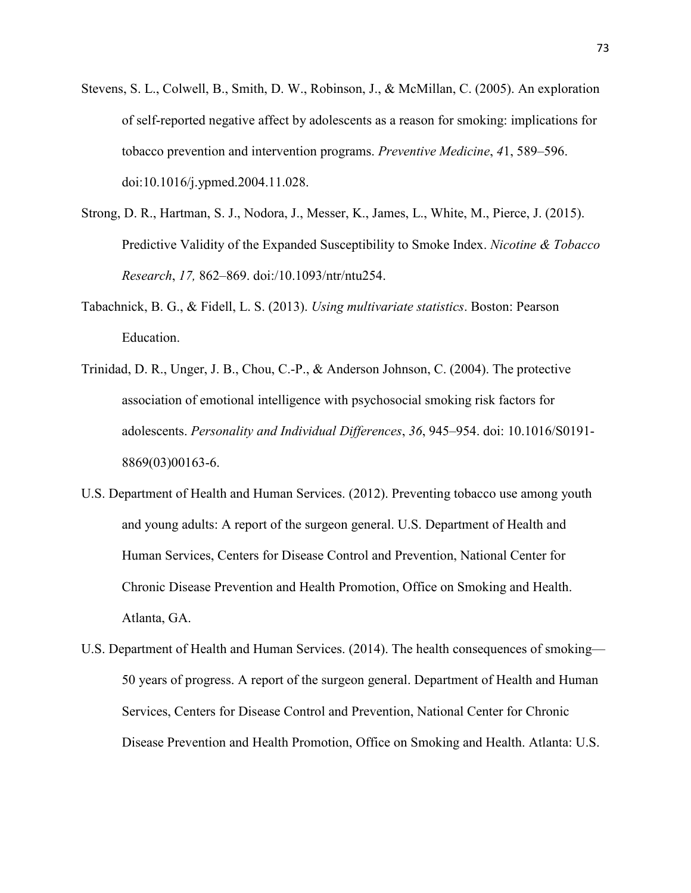- Stevens, S. L., Colwell, B., Smith, D. W., Robinson, J., & McMillan, C. (2005). An exploration of self-reported negative affect by adolescents as a reason for smoking: implications for tobacco prevention and intervention programs. *Preventive Medicine*, *4*1, 589–596. doi:10.1016/j.ypmed.2004.11.028.
- Strong, D. R., Hartman, S. J., Nodora, J., Messer, K., James, L., White, M., Pierce, J. (2015). Predictive Validity of the Expanded Susceptibility to Smoke Index. *Nicotine & Tobacco Research*, *17,* 862–869. doi:/10.1093/ntr/ntu254.
- Tabachnick, B. G., & Fidell, L. S. (2013). *Using multivariate statistics*. Boston: Pearson Education.
- Trinidad, D. R., Unger, J. B., Chou, C.-P., & Anderson Johnson, C. (2004). The protective association of emotional intelligence with psychosocial smoking risk factors for adolescents. *Personality and Individual Differences*, *36*, 945–954. doi: 10.1016/S0191- 8869(03)00163-6.
- U.S. Department of Health and Human Services. (2012). Preventing tobacco use among youth and young adults: A report of the surgeon general. U.S. Department of Health and Human Services, Centers for Disease Control and Prevention, National Center for Chronic Disease Prevention and Health Promotion, Office on Smoking and Health. Atlanta, GA.
- U.S. Department of Health and Human Services. (2014). The health consequences of smoking— 50 years of progress. A report of the surgeon general. Department of Health and Human Services, Centers for Disease Control and Prevention, National Center for Chronic Disease Prevention and Health Promotion, Office on Smoking and Health. Atlanta: U.S.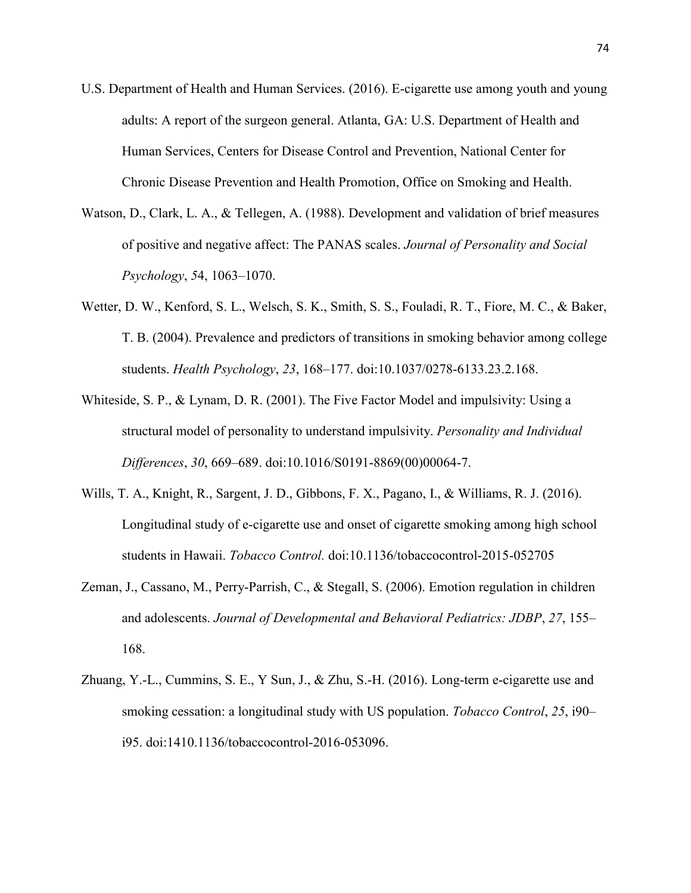- U.S. Department of Health and Human Services. (2016). E-cigarette use among youth and young adults: A report of the surgeon general. Atlanta, GA: U.S. Department of Health and Human Services, Centers for Disease Control and Prevention, National Center for Chronic Disease Prevention and Health Promotion, Office on Smoking and Health.
- Watson, D., Clark, L. A., & Tellegen, A. (1988). Development and validation of brief measures of positive and negative affect: The PANAS scales. *Journal of Personality and Social Psychology*, *5*4, 1063–1070.
- Wetter, D. W., Kenford, S. L., Welsch, S. K., Smith, S. S., Fouladi, R. T., Fiore, M. C., & Baker, T. B. (2004). Prevalence and predictors of transitions in smoking behavior among college students. *Health Psychology*, *23*, 168–177. doi:10.1037/0278-6133.23.2.168.
- Whiteside, S. P., & Lynam, D. R. (2001). The Five Factor Model and impulsivity: Using a structural model of personality to understand impulsivity. *Personality and Individual Differences*, *30*, 669–689. doi:10.1016/S0191-8869(00)00064-7.
- Wills, T. A., Knight, R., Sargent, J. D., Gibbons, F. X., Pagano, I., & Williams, R. J. (2016). Longitudinal study of e-cigarette use and onset of cigarette smoking among high school students in Hawaii. *Tobacco Control.* doi:10.1136/tobaccocontrol-2015-052705
- Zeman, J., Cassano, M., Perry-Parrish, C., & Stegall, S. (2006). Emotion regulation in children and adolescents. *Journal of Developmental and Behavioral Pediatrics: JDBP*, *27*, 155– 168.
- Zhuang, Y.-L., Cummins, S. E., Y Sun, J., & Zhu, S.-H. (2016). Long-term e-cigarette use and smoking cessation: a longitudinal study with US population. *Tobacco Control*, *25*, i90– i95. doi:1410.1136/tobaccocontrol-2016-053096.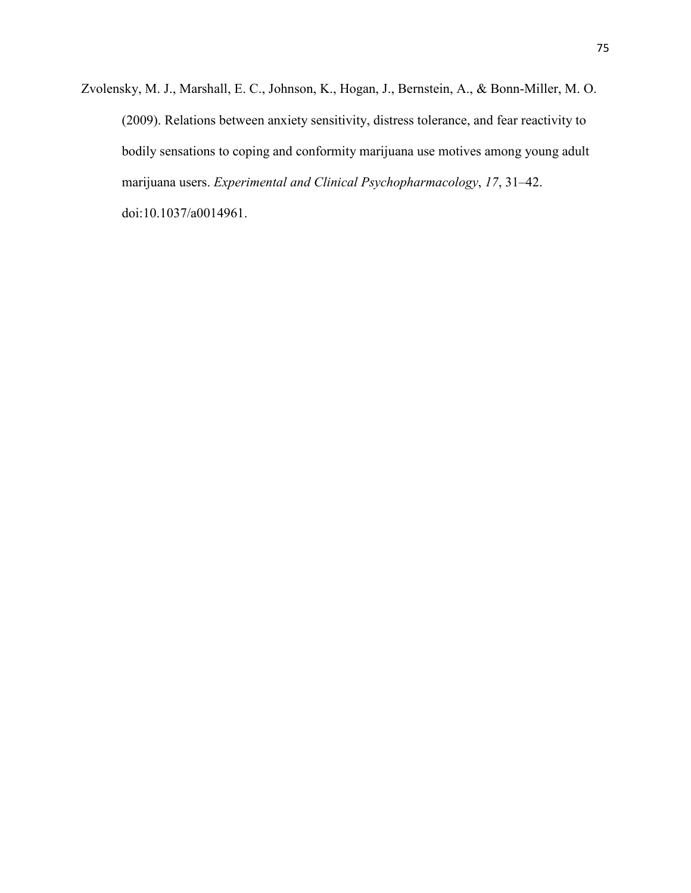Zvolensky, M. J., Marshall, E. C., Johnson, K., Hogan, J., Bernstein, A., & Bonn-Miller, M. O. (2009). Relations between anxiety sensitivity, distress tolerance, and fear reactivity to bodily sensations to coping and conformity marijuana use motives among young adult marijuana users. *Experimental and Clinical Psychopharmacology*, *17*, 31–42. doi:10.1037/a0014961.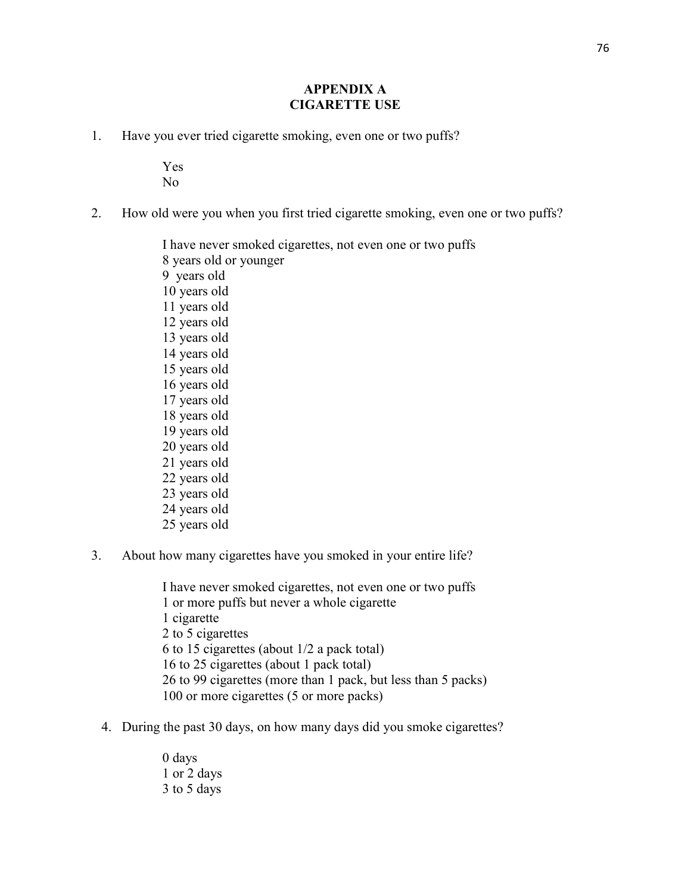# **APPENDIX A CIGARETTE USE**

1. Have you ever tried cigarette smoking, even one or two puffs?

Yes No

2. How old were you when you first tried cigarette smoking, even one or two puffs?

I have never smoked cigarettes, not even one or two puffs 8 years old or younger 9 years old 10 years old 11 years old 12 years old 13 years old 14 years old 15 years old 16 years old 17 years old 18 years old 19 years old 20 years old 21 years old 22 years old 23 years old 24 years old 25 years old

3. About how many cigarettes have you smoked in your entire life?

I have never smoked cigarettes, not even one or two puffs 1 or more puffs but never a whole cigarette 1 cigarette 2 to 5 cigarettes 6 to 15 cigarettes (about 1/2 a pack total) 16 to 25 cigarettes (about 1 pack total) 26 to 99 cigarettes (more than 1 pack, but less than 5 packs) 100 or more cigarettes (5 or more packs)

4. During the past 30 days, on how many days did you smoke cigarettes?

0 days 1 or 2 days 3 to 5 days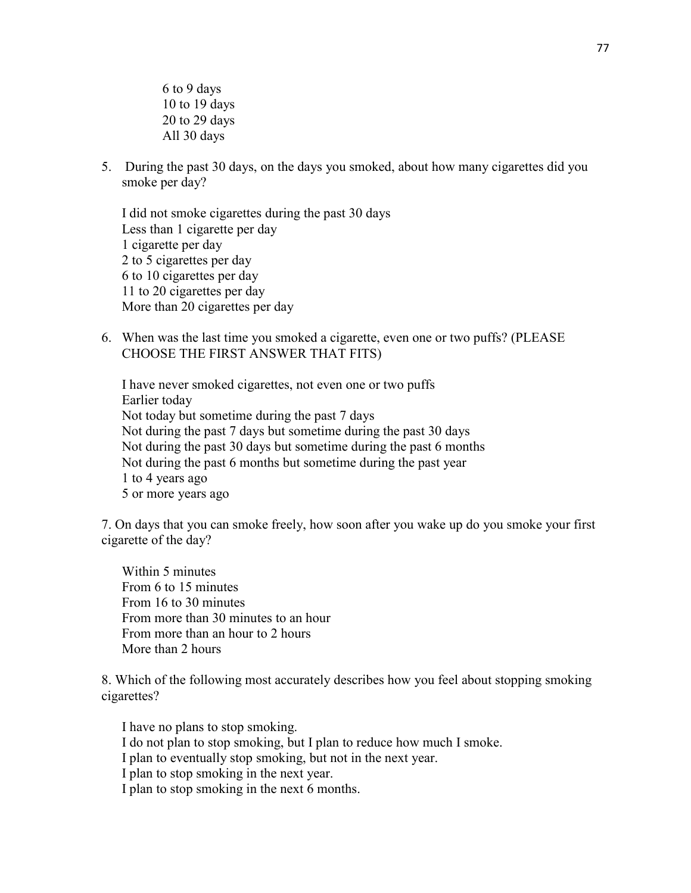6 to 9 days 10 to 19 days 20 to 29 days All 30 days

5. During the past 30 days, on the days you smoked, about how many cigarettes did you smoke per day?

I did not smoke cigarettes during the past 30 days Less than 1 cigarette per day 1 cigarette per day 2 to 5 cigarettes per day 6 to 10 cigarettes per day 11 to 20 cigarettes per day More than 20 cigarettes per day

6. When was the last time you smoked a cigarette, even one or two puffs? (PLEASE CHOOSE THE FIRST ANSWER THAT FITS)

I have never smoked cigarettes, not even one or two puffs Earlier today Not today but sometime during the past 7 days Not during the past 7 days but sometime during the past 30 days Not during the past 30 days but sometime during the past 6 months Not during the past 6 months but sometime during the past year 1 to 4 years ago 5 or more years ago

7. On days that you can smoke freely, how soon after you wake up do you smoke your first cigarette of the day?

Within 5 minutes From 6 to 15 minutes From 16 to 30 minutes From more than 30 minutes to an hour From more than an hour to 2 hours More than 2 hours

8. Which of the following most accurately describes how you feel about stopping smoking cigarettes?

I have no plans to stop smoking. I do not plan to stop smoking, but I plan to reduce how much I smoke. I plan to eventually stop smoking, but not in the next year. I plan to stop smoking in the next year. I plan to stop smoking in the next 6 months.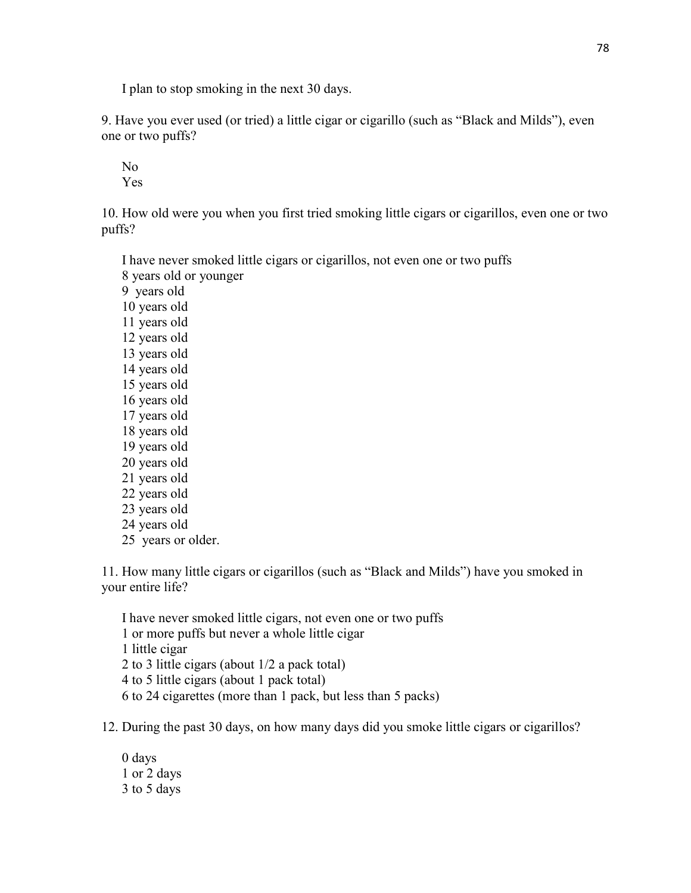I plan to stop smoking in the next 30 days.

9. Have you ever used (or tried) a little cigar or cigarillo (such as "Black and Milds"), even one or two puffs?

 No Yes

10. How old were you when you first tried smoking little cigars or cigarillos, even one or two puffs?

 I have never smoked little cigars or cigarillos, not even one or two puffs 8 years old or younger 9 years old 10 years old 11 years old 12 years old 13 years old 14 years old 15 years old 16 years old 17 years old 18 years old 19 years old 20 years old 21 years old 22 years old 23 years old 24 years old 25 years or older.

11. How many little cigars or cigarillos (such as "Black and Milds") have you smoked in your entire life?

 I have never smoked little cigars, not even one or two puffs 1 or more puffs but never a whole little cigar 1 little cigar 2 to 3 little cigars (about 1/2 a pack total) 4 to 5 little cigars (about 1 pack total) 6 to 24 cigarettes (more than 1 pack, but less than 5 packs)

12. During the past 30 days, on how many days did you smoke little cigars or cigarillos?

 0 days 1 or 2 days 3 to 5 days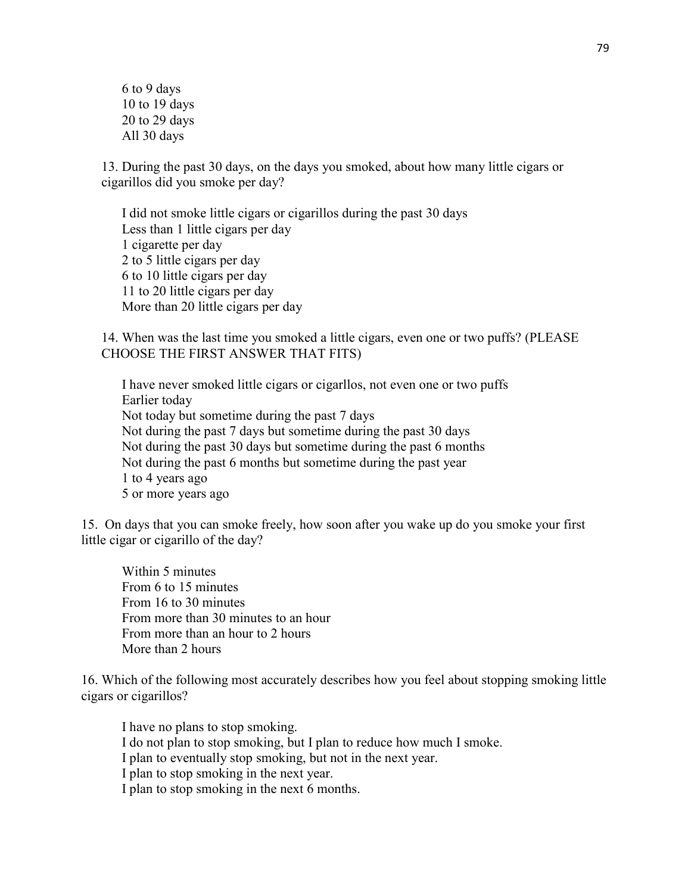6 to 9 days 10 to 19 days 20 to 29 days All 30 days

13. During the past 30 days, on the days you smoked, about how many little cigars or cigarillos did you smoke per day?

 I did not smoke little cigars or cigarillos during the past 30 days Less than 1 little cigars per day 1 cigarette per day 2 to 5 little cigars per day 6 to 10 little cigars per day 11 to 20 little cigars per day More than 20 little cigars per day

14. When was the last time you smoked a little cigars, even one or two puffs? (PLEASE CHOOSE THE FIRST ANSWER THAT FITS)

 I have never smoked little cigars or cigarllos, not even one or two puffs Earlier today Not today but sometime during the past 7 days Not during the past 7 days but sometime during the past 30 days Not during the past 30 days but sometime during the past 6 months Not during the past 6 months but sometime during the past year 1 to 4 years ago 5 or more years ago

15. On days that you can smoke freely, how soon after you wake up do you smoke your first little cigar or cigarillo of the day?

Within 5 minutes From 6 to 15 minutes From 16 to 30 minutes From more than 30 minutes to an hour From more than an hour to 2 hours More than 2 hours

16. Which of the following most accurately describes how you feel about stopping smoking little cigars or cigarillos?

I have no plans to stop smoking. I do not plan to stop smoking, but I plan to reduce how much I smoke. I plan to eventually stop smoking, but not in the next year. I plan to stop smoking in the next year. I plan to stop smoking in the next 6 months.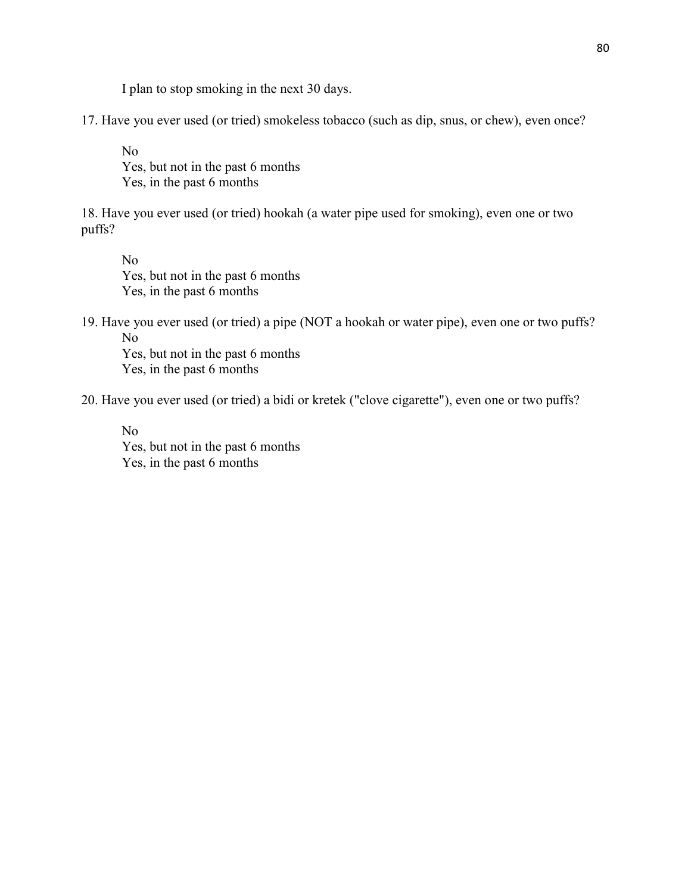I plan to stop smoking in the next 30 days.

17. Have you ever used (or tried) smokeless tobacco (such as dip, snus, or chew), even once?

No Yes, but not in the past 6 months Yes, in the past 6 months

18. Have you ever used (or tried) hookah (a water pipe used for smoking), even one or two puffs?

No Yes, but not in the past 6 months Yes, in the past 6 months

19. Have you ever used (or tried) a pipe (NOT a hookah or water pipe), even one or two puffs? No

Yes, but not in the past 6 months Yes, in the past 6 months

20. Have you ever used (or tried) a bidi or kretek ("clove cigarette"), even one or two puffs?

No Yes, but not in the past 6 months Yes, in the past 6 months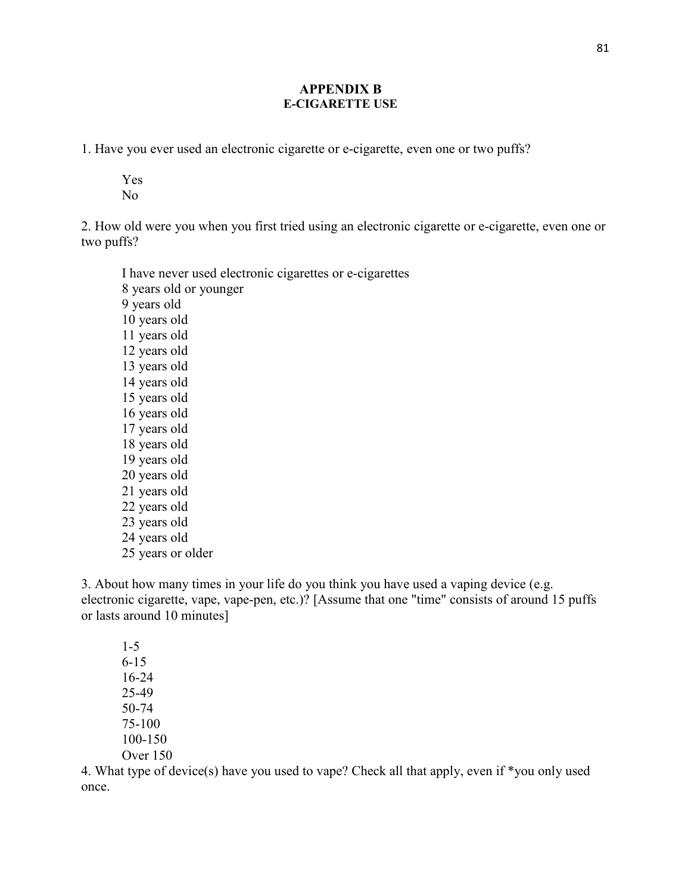## **APPENDIX B E-CIGARETTE USE**

1. Have you ever used an electronic cigarette or e-cigarette, even one or two puffs?

Yes No

2. How old were you when you first tried using an electronic cigarette or e-cigarette, even one or two puffs?

I have never used electronic cigarettes or e-cigarettes 8 years old or younger 9 years old 10 years old 11 years old 12 years old 13 years old 14 years old 15 years old 16 years old 17 years old 18 years old 19 years old 20 years old 21 years old 22 years old 23 years old 24 years old 25 years or older

3. About how many times in your life do you think you have used a vaping device (e.g. electronic cigarette, vape, vape-pen, etc.)? [Assume that one "time" consists of around 15 puffs or lasts around 10 minutes]

1-5 6-15 16-24 25-49 50-74 75-100 100-150 Over 150

4. What type of device(s) have you used to vape? Check all that apply, even if \*you only used once.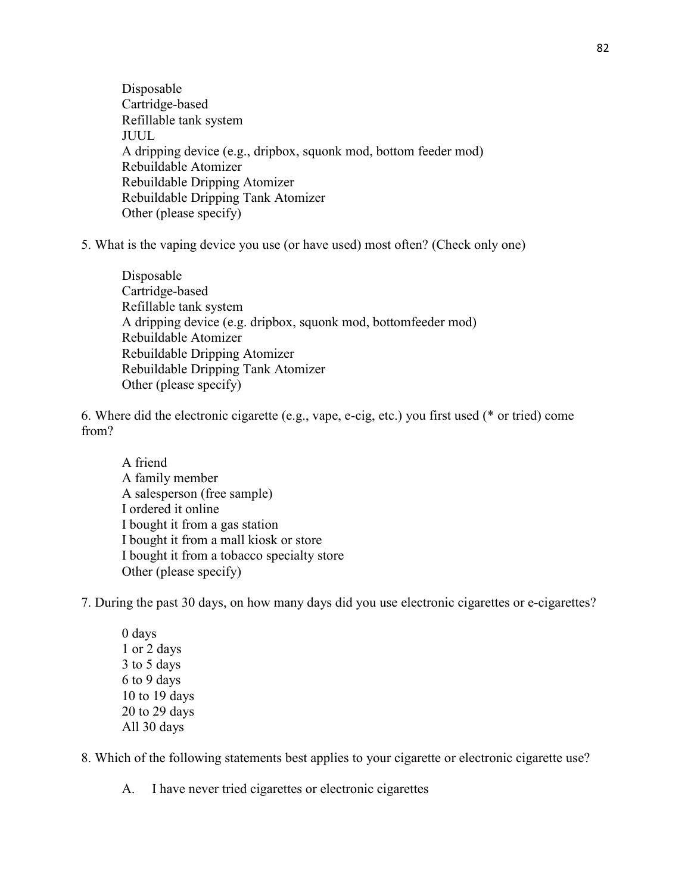Disposable Cartridge-based Refillable tank system JUUL A dripping device (e.g., dripbox, squonk mod, bottom feeder mod) Rebuildable Atomizer Rebuildable Dripping Atomizer Rebuildable Dripping Tank Atomizer Other (please specify)

5. What is the vaping device you use (or have used) most often? (Check only one)

Disposable Cartridge-based Refillable tank system A dripping device (e.g. dripbox, squonk mod, bottomfeeder mod) Rebuildable Atomizer Rebuildable Dripping Atomizer Rebuildable Dripping Tank Atomizer Other (please specify)

6. Where did the electronic cigarette (e.g., vape, e-cig, etc.) you first used (\* or tried) come from?

A friend A family member A salesperson (free sample) I ordered it online I bought it from a gas station I bought it from a mall kiosk or store I bought it from a tobacco specialty store Other (please specify)

7. During the past 30 days, on how many days did you use electronic cigarettes or e-cigarettes?

0 days 1 or 2 days 3 to 5 days 6 to 9 days 10 to 19 days 20 to 29 days All 30 days

8. Which of the following statements best applies to your cigarette or electronic cigarette use?

A. I have never tried cigarettes or electronic cigarettes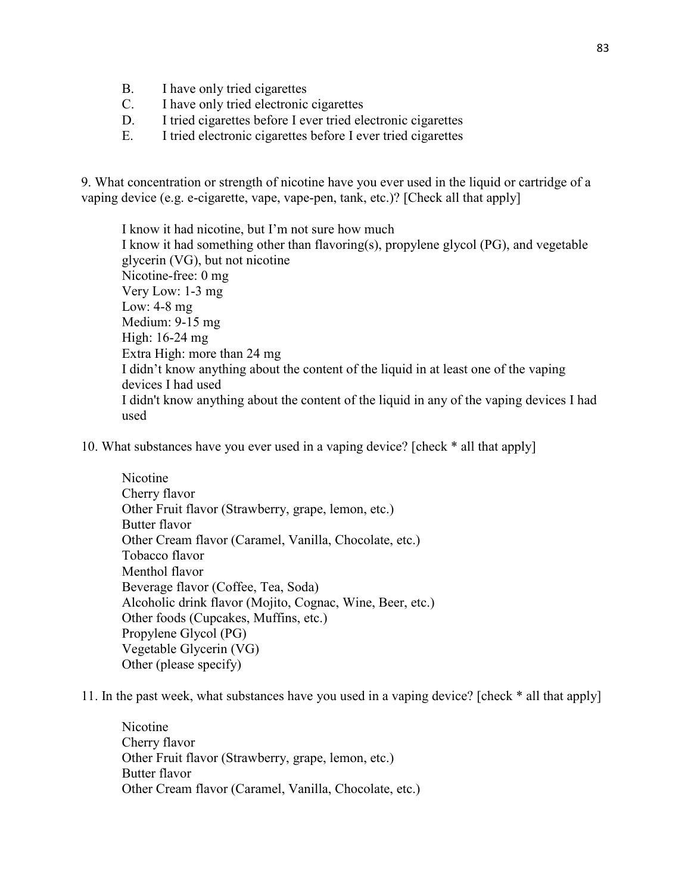- B. I have only tried cigarettes
- C. I have only tried electronic cigarettes
- D. I tried cigarettes before I ever tried electronic cigarettes
- E. I tried electronic cigarettes before I ever tried cigarettes

9. What concentration or strength of nicotine have you ever used in the liquid or cartridge of a vaping device (e.g. e-cigarette, vape, vape-pen, tank, etc.)? [Check all that apply]

I know it had nicotine, but I'm not sure how much I know it had something other than flavoring(s), propylene glycol (PG), and vegetable glycerin (VG), but not nicotine Nicotine-free: 0 mg Very Low: 1-3 mg Low: 4-8 mg Medium: 9-15 mg High: 16-24 mg Extra High: more than 24 mg I didn't know anything about the content of the liquid in at least one of the vaping devices I had used I didn't know anything about the content of the liquid in any of the vaping devices I had used

10. What substances have you ever used in a vaping device? [check \* all that apply]

Nicotine Cherry flavor Other Fruit flavor (Strawberry, grape, lemon, etc.) Butter flavor Other Cream flavor (Caramel, Vanilla, Chocolate, etc.) Tobacco flavor Menthol flavor Beverage flavor (Coffee, Tea, Soda) Alcoholic drink flavor (Mojito, Cognac, Wine, Beer, etc.) Other foods (Cupcakes, Muffins, etc.) Propylene Glycol (PG) Vegetable Glycerin (VG) Other (please specify)

11. In the past week, what substances have you used in a vaping device? [check \* all that apply]

Nicotine Cherry flavor Other Fruit flavor (Strawberry, grape, lemon, etc.) Butter flavor Other Cream flavor (Caramel, Vanilla, Chocolate, etc.)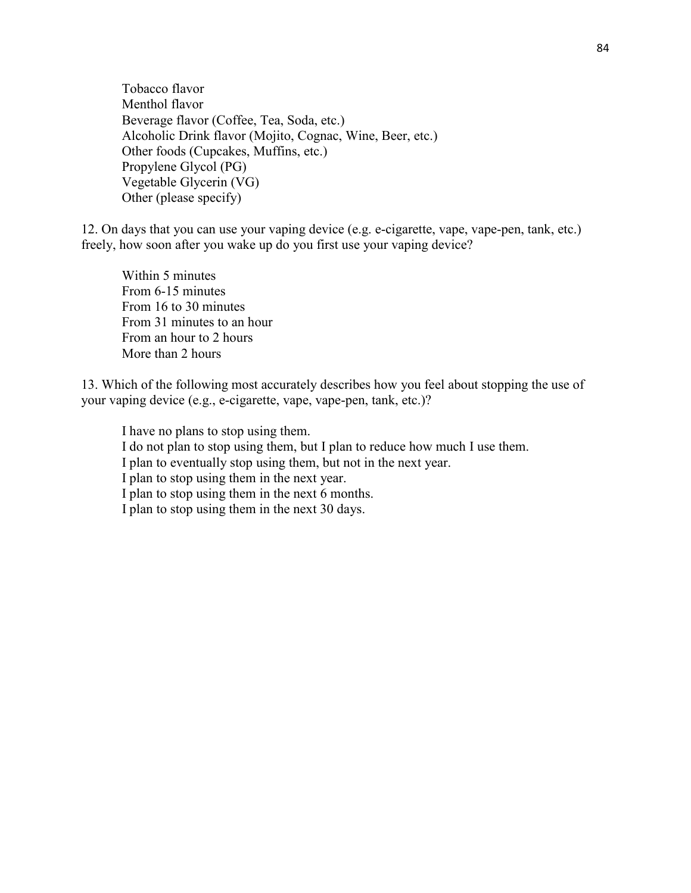Tobacco flavor Menthol flavor Beverage flavor (Coffee, Tea, Soda, etc.) Alcoholic Drink flavor (Mojito, Cognac, Wine, Beer, etc.) Other foods (Cupcakes, Muffins, etc.) Propylene Glycol (PG) Vegetable Glycerin (VG) Other (please specify)

12. On days that you can use your vaping device (e.g. e-cigarette, vape, vape-pen, tank, etc.) freely, how soon after you wake up do you first use your vaping device?

Within 5 minutes From 6-15 minutes From 16 to 30 minutes From 31 minutes to an hour From an hour to 2 hours More than 2 hours

13. Which of the following most accurately describes how you feel about stopping the use of your vaping device (e.g., e-cigarette, vape, vape-pen, tank, etc.)?

I have no plans to stop using them. I do not plan to stop using them, but I plan to reduce how much I use them. I plan to eventually stop using them, but not in the next year. I plan to stop using them in the next year. I plan to stop using them in the next 6 months. I plan to stop using them in the next 30 days.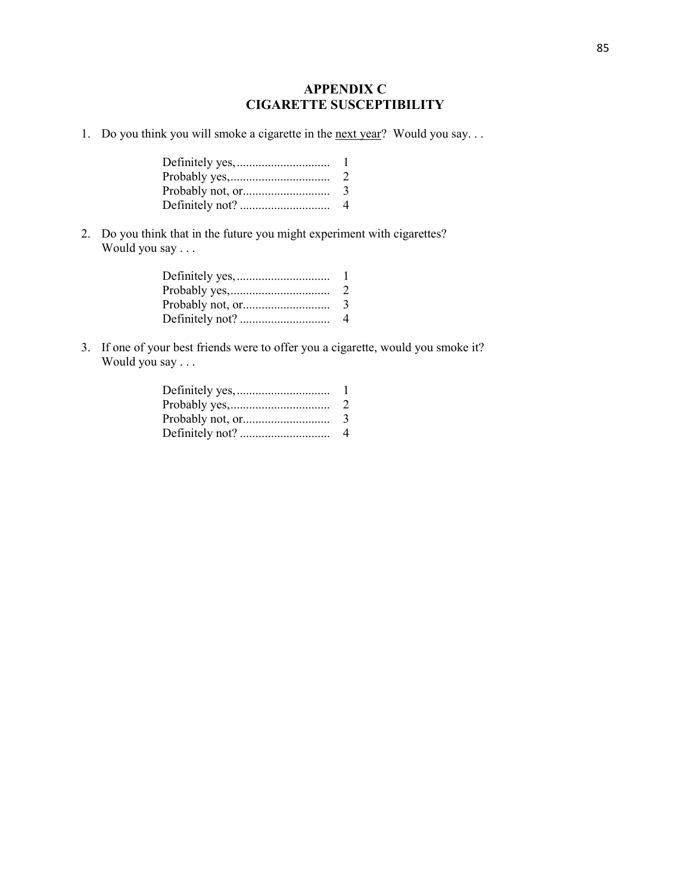# **APPENDIX C CIGARETTE SUSCEPTIBILITY**

1. Do you think you will smoke a cigarette in the <u>next year</u>? Would you say...

| $\mathbb{Z}$  |
|---------------|
| $\mathcal{L}$ |
| 4             |

2. Do you think that in the future you might experiment with cigarettes? Would you say . . .

| $\mathbf{I}$  |
|---------------|
| $\mathcal{L}$ |
| 3             |
| 4             |
|               |

3. If one of your best friends were to offer you a cigarette, would you smoke it? Would you say . . .

| 2 |
|---|
| 3 |
| 4 |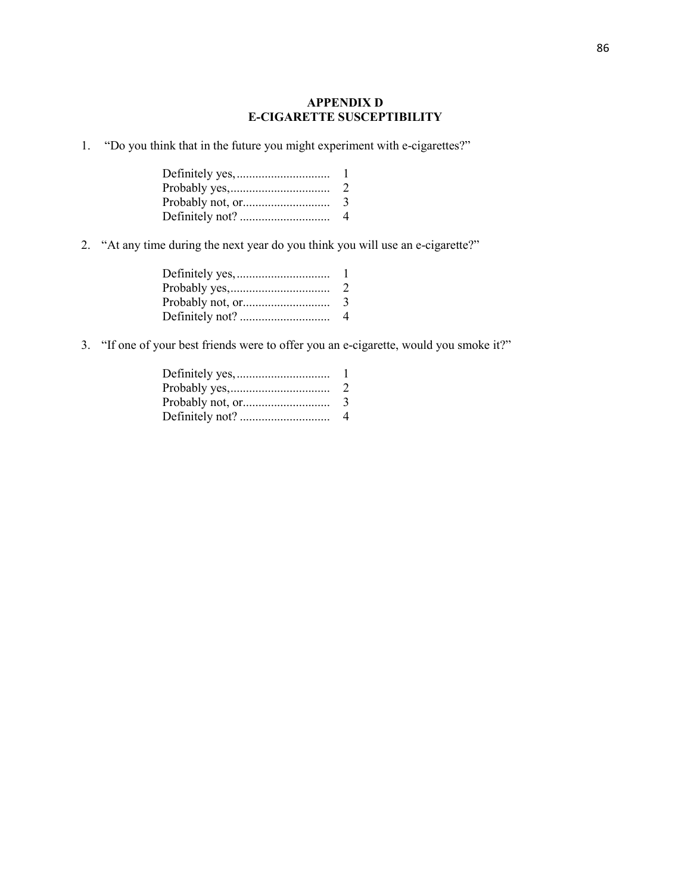## **APPENDIX D E-CIGARETTE SUSCEPTIBILITY**

1. "Do you think that in the future you might experiment with e-cigarettes?"

| -1            |
|---------------|
| $\mathcal{L}$ |
| $\mathcal{L}$ |
| 4             |

2. "At any time during the next year do you think you will use an e-cigarette?"

| $\mathbf{L}$  |
|---------------|
| $\mathcal{L}$ |
| 3             |
| $\Delta$      |

3. "If one of your best friends were to offer you an e-cigarette, would you smoke it?"

| 2 |
|---|
| 3 |
| 4 |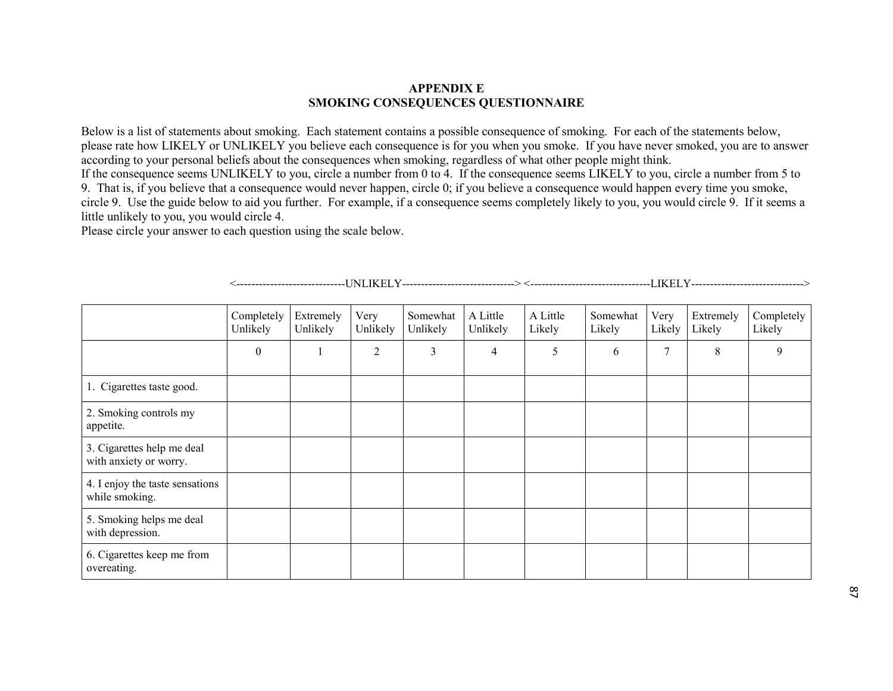#### **APPENDIX E SMOKING CONSEQUENCES QUESTIONNAIRE**

Below is a list of statements about smoking. Each statement contains a possible consequence of smoking. For each of the statements below, please rate how LIKELY or UNLIKELY you believe each consequence is for you when you smoke. If you have never smoked, you are to answer according to your personal beliefs about the consequences when smoking, regardless of what other people might think.

 If the consequence seems UNLIKELY to you, circle a number from 0 to 4. If the consequence seems LIKELY to you, circle a number from 5 to 9. That is, if you believe that a consequence would never happen, circle 0; if you believe a consequence would happen every time you smoke, circle 9. Use the guide below to aid you further. For example, if a consequence seems completely likely to you, you would circle 9. If it seems a little unlikely to you, you would circle 4.

Please circle your answer to each question using the scale below.

|                                                      | Completely<br>Unlikely | Extremely<br>Unlikely | Very<br>Unlikely | Somewhat<br>Unlikely | A Little<br>Unlikely | A Little<br>Likely | Somewhat<br>Likely | Very<br>Likely | Extremely<br>Likely | Completely<br>Likely |
|------------------------------------------------------|------------------------|-----------------------|------------------|----------------------|----------------------|--------------------|--------------------|----------------|---------------------|----------------------|
|                                                      | $\mathbf{0}$           |                       | 2                | 3                    | 4                    | 5                  | 6                  | 7              | 8                   | 9                    |
| 1. Cigarettes taste good.                            |                        |                       |                  |                      |                      |                    |                    |                |                     |                      |
| 2. Smoking controls my<br>appetite.                  |                        |                       |                  |                      |                      |                    |                    |                |                     |                      |
| 3. Cigarettes help me deal<br>with anxiety or worry. |                        |                       |                  |                      |                      |                    |                    |                |                     |                      |
| 4. I enjoy the taste sensations<br>while smoking.    |                        |                       |                  |                      |                      |                    |                    |                |                     |                      |
| 5. Smoking helps me deal<br>with depression.         |                        |                       |                  |                      |                      |                    |                    |                |                     |                      |
| 6. Cigarettes keep me from<br>overeating.            |                        |                       |                  |                      |                      |                    |                    |                |                     |                      |

<-----------------------------UNLIKELY------------------------------> <--------------------------------LIKELY------------------------------>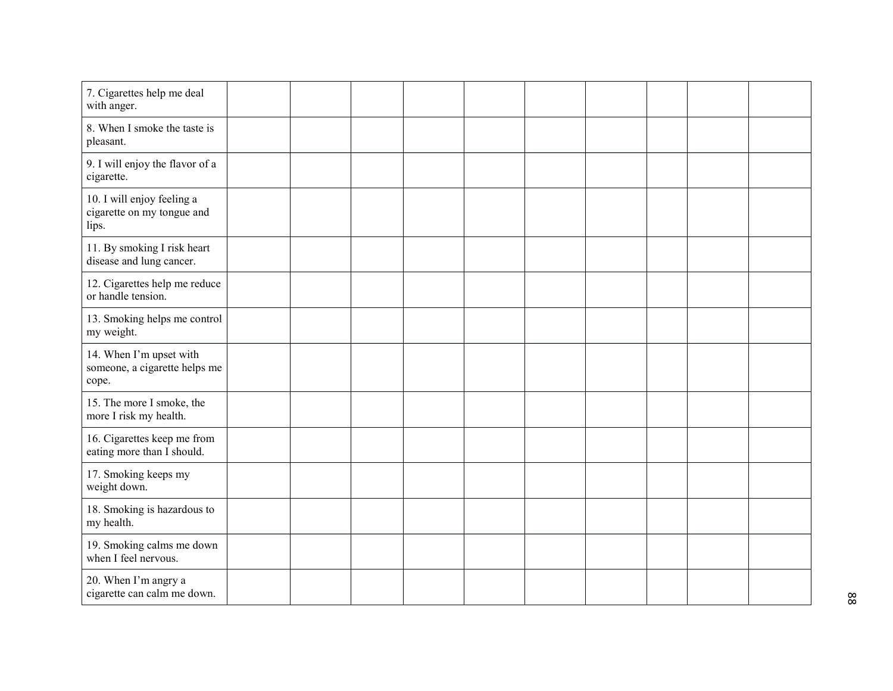| 7. Cigarettes help me deal<br>with anger.                         |  |  |  |  |  |
|-------------------------------------------------------------------|--|--|--|--|--|
| 8. When I smoke the taste is<br>pleasant.                         |  |  |  |  |  |
| 9. I will enjoy the flavor of a<br>cigarette.                     |  |  |  |  |  |
| 10. I will enjoy feeling a<br>cigarette on my tongue and<br>lips. |  |  |  |  |  |
| 11. By smoking I risk heart<br>disease and lung cancer.           |  |  |  |  |  |
| 12. Cigarettes help me reduce<br>or handle tension.               |  |  |  |  |  |
| 13. Smoking helps me control<br>my weight.                        |  |  |  |  |  |
| 14. When I'm upset with<br>someone, a cigarette helps me<br>cope. |  |  |  |  |  |
| 15. The more I smoke, the<br>more I risk my health.               |  |  |  |  |  |
| 16. Cigarettes keep me from<br>eating more than I should.         |  |  |  |  |  |
| 17. Smoking keeps my<br>weight down.                              |  |  |  |  |  |
| 18. Smoking is hazardous to<br>my health.                         |  |  |  |  |  |
| 19. Smoking calms me down<br>when I feel nervous.                 |  |  |  |  |  |
| 20. When I'm angry a<br>cigarette can calm me down.               |  |  |  |  |  |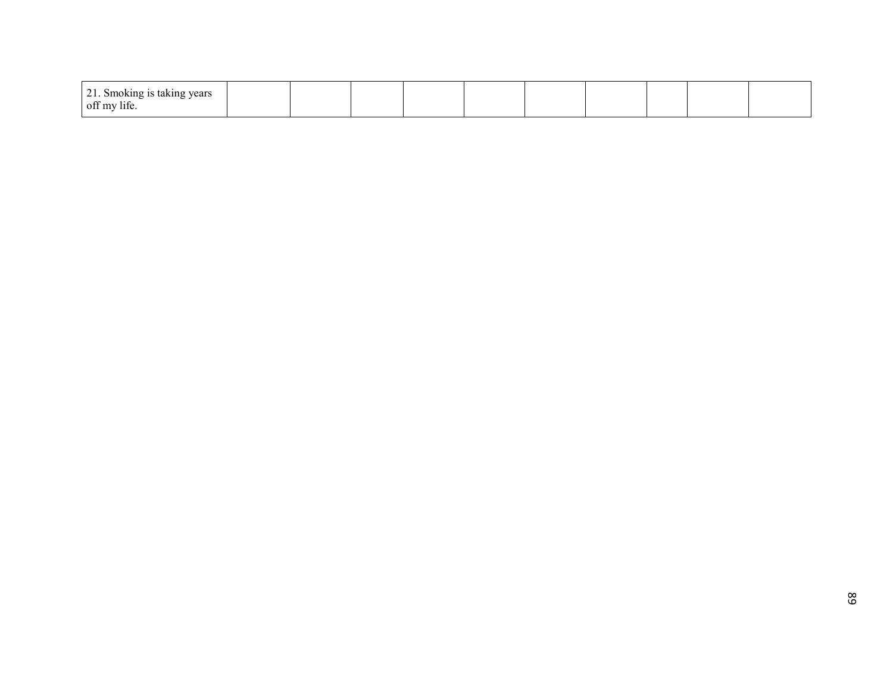| $\bigcap$ 1<br>taking years<br>Smoking is<br>$   -$<br>ر ں |  |  |  |  |  |
|------------------------------------------------------------|--|--|--|--|--|
| $\rightarrow$<br>off my<br>' Ilit                          |  |  |  |  |  |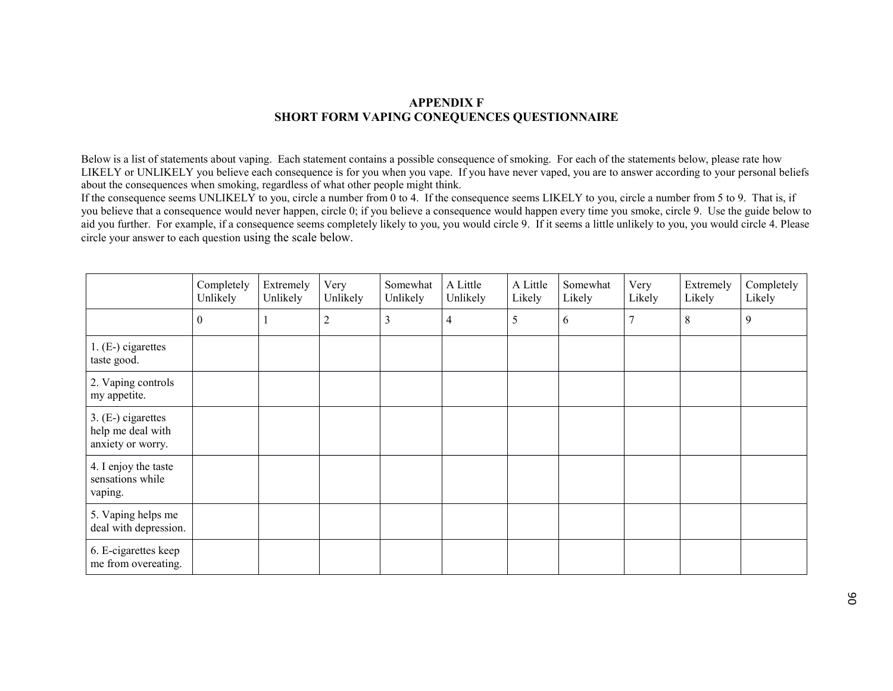## **APPENDIX F SHORT FORM VAPING CONEQUENCES QUESTIONNAIRE**

Below is a list of statements about vaping. Each statement contains a possible consequence of smoking. For each of the statements below, please rate how LIKELY or UNLIKELY you believe each consequence is for you when you vape. If you have never vaped, you are to answer according to your personal beliefs about the consequences when smoking, regardless of what other people might think.

 If the consequence seems UNLIKELY to you, circle a number from 0 to 4. If the consequence seems LIKELY to you, circle a number from 5 to 9. That is, if you believe that a consequence would never happen, circle 0; if you believe a consequence would happen every time you smoke, circle 9. Use the guide below to aid you further. For example, if a consequence seems completely likely to you, you would circle 9. If it seems a little unlikely to you, you would circle 4. Please circle your answer to each question using the scale below.

|                                                              | Completely<br>Unlikely | Extremely<br>Unlikely | Very<br>Unlikely | Somewhat<br>Unlikely | A Little<br>Unlikely | A Little<br>Likely | Somewhat<br>Likely | Very<br>Likely | Extremely<br>Likely | Completely<br>Likely |
|--------------------------------------------------------------|------------------------|-----------------------|------------------|----------------------|----------------------|--------------------|--------------------|----------------|---------------------|----------------------|
|                                                              | $\overline{0}$         |                       | $\overline{2}$   | $\mathfrak{Z}$       | $\overline{4}$       | 5                  | 6                  | $\mathbf{r}$   | 8                   | 9                    |
| $1. (E-)$ cigarettes<br>taste good.                          |                        |                       |                  |                      |                      |                    |                    |                |                     |                      |
| 2. Vaping controls<br>my appetite.                           |                        |                       |                  |                      |                      |                    |                    |                |                     |                      |
| 3. (E-) cigarettes<br>help me deal with<br>anxiety or worry. |                        |                       |                  |                      |                      |                    |                    |                |                     |                      |
| 4. I enjoy the taste<br>sensations while<br>vaping.          |                        |                       |                  |                      |                      |                    |                    |                |                     |                      |
| 5. Vaping helps me<br>deal with depression.                  |                        |                       |                  |                      |                      |                    |                    |                |                     |                      |
| 6. E-cigarettes keep<br>me from overeating.                  |                        |                       |                  |                      |                      |                    |                    |                |                     |                      |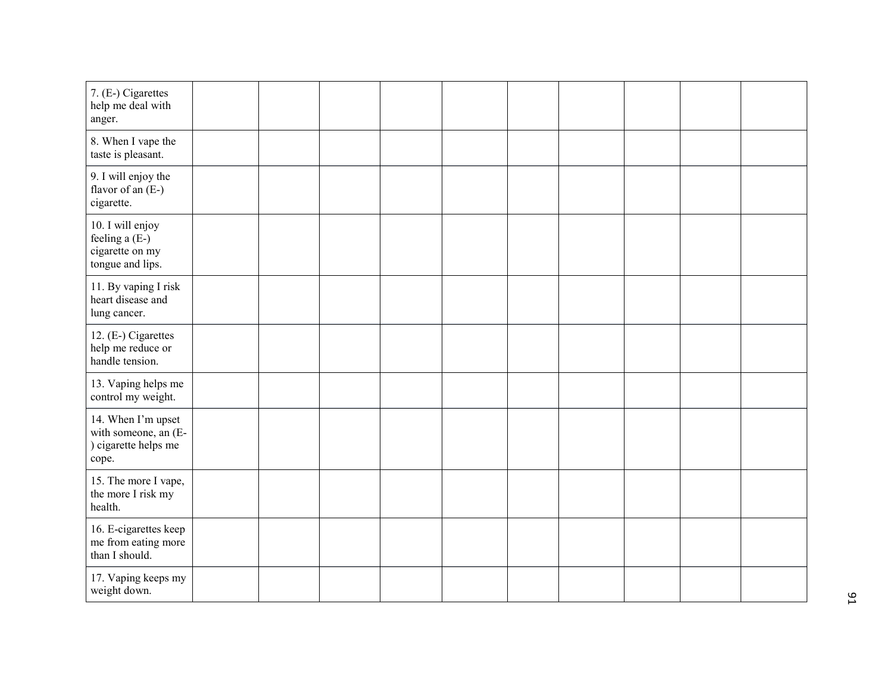| 7. (E-) Cigarettes<br>help me deal with<br>anger.                           |  |  |  |  |  |
|-----------------------------------------------------------------------------|--|--|--|--|--|
| 8. When I vape the<br>taste is pleasant.                                    |  |  |  |  |  |
| 9. I will enjoy the<br>flavor of an (E-)<br>cigarette.                      |  |  |  |  |  |
| 10. I will enjoy<br>feeling a (E-)<br>cigarette on my<br>tongue and lips.   |  |  |  |  |  |
| 11. By vaping I risk<br>heart disease and<br>lung cancer.                   |  |  |  |  |  |
| 12. (E-) Cigarettes<br>help me reduce or<br>handle tension.                 |  |  |  |  |  |
| 13. Vaping helps me<br>control my weight.                                   |  |  |  |  |  |
| 14. When I'm upset<br>with someone, an (E-<br>) cigarette helps me<br>cope. |  |  |  |  |  |
| 15. The more I vape,<br>the more I risk my<br>health.                       |  |  |  |  |  |
| 16. E-cigarettes keep<br>me from eating more<br>than I should.              |  |  |  |  |  |
| 17. Vaping keeps my<br>weight down.                                         |  |  |  |  |  |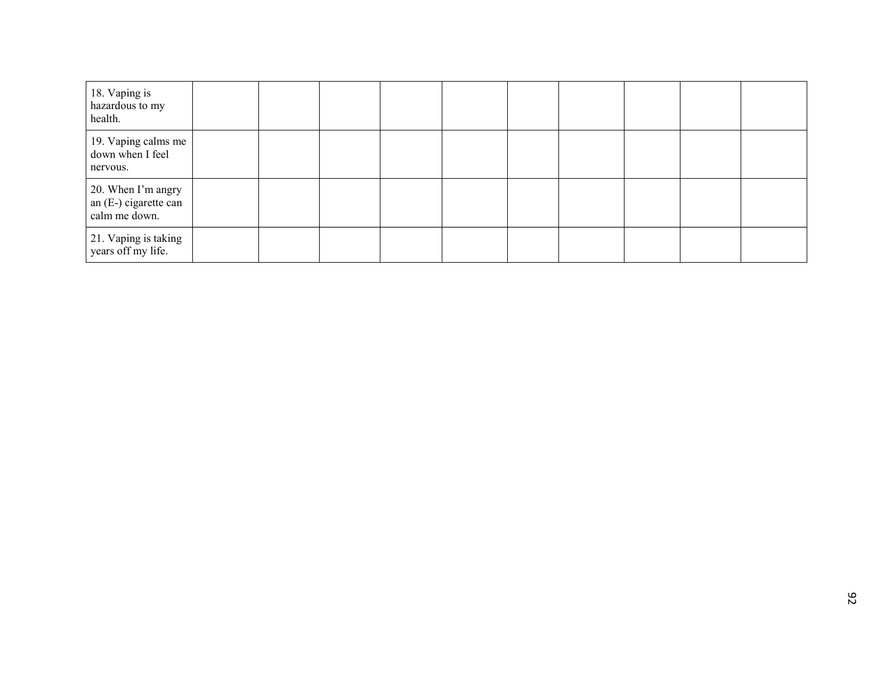| 18. Vaping is<br>hazardous to my<br>health.                    |  |  |  |  |  |
|----------------------------------------------------------------|--|--|--|--|--|
| 19. Vaping calms me<br>down when I feel<br>nervous.            |  |  |  |  |  |
| 20. When I'm angry<br>an $(E-)$ cigarette can<br>calm me down. |  |  |  |  |  |
| 21. Vaping is taking<br>years off my life.                     |  |  |  |  |  |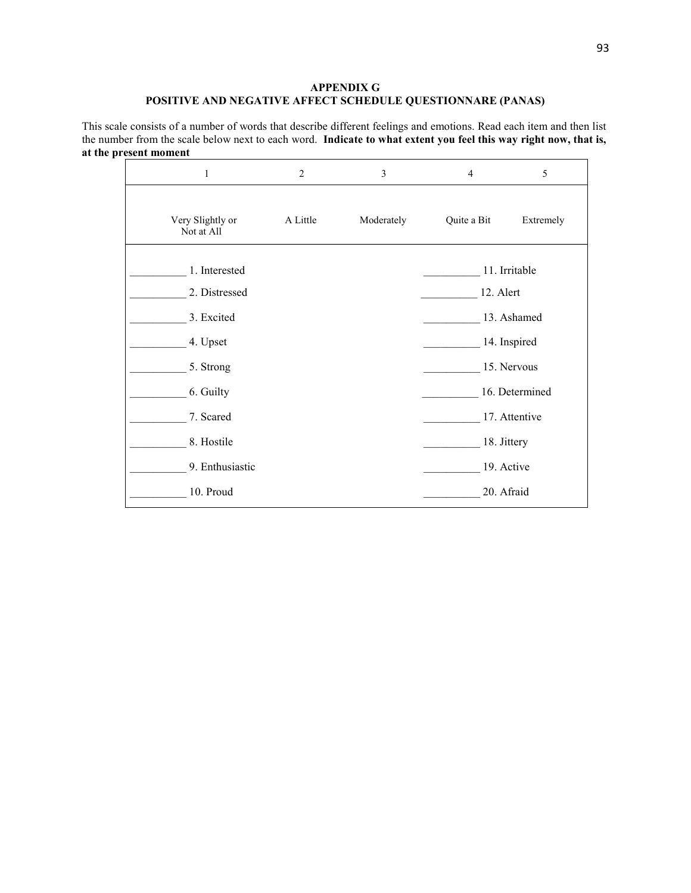#### **APPENDIX G POSITIVE AND NEGATIVE AFFECT SCHEDULE QUESTIONNARE (PANAS)**

This scale consists of a number of words that describe different feelings and emotions. Read each item and then list the number from the scale below next to each word. **Indicate to what extent you feel this way right now, that is, at the present moment**

| 1                              | $\overline{2}$              | 3          | $\overline{4}$ | 5             |  |
|--------------------------------|-----------------------------|------------|----------------|---------------|--|
| Very Slightly or<br>Not at All | A Little                    | Moderately | Quite a Bit    | Extremely     |  |
| 1. Interested<br>2. Distressed |                             |            | 12. Alert      | 11. Irritable |  |
| 3. Excited                     | 13. Ashamed                 |            |                |               |  |
| 4. Upset<br>5. Strong          | 14. Inspired<br>15. Nervous |            |                |               |  |
| 6. Guilty                      |                             |            | 16. Determined |               |  |
| 7. Scared<br>8. Hostile        | 18. Jittery                 |            |                | 17. Attentive |  |
| 9. Enthusiastic                |                             |            | 19. Active     |               |  |
| 10. Proud                      |                             |            | 20. Afraid     |               |  |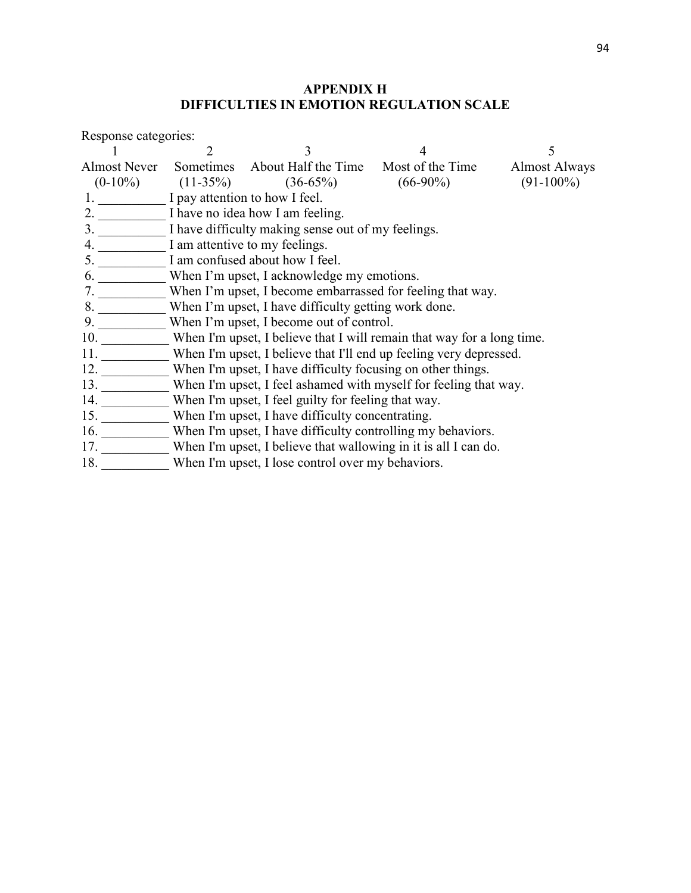# **APPENDIX H DIFFICULTIES IN EMOTION REGULATION SCALE**

| Response categories: |                                                                  |                                                                        |  |                      |  |  |  |  |
|----------------------|------------------------------------------------------------------|------------------------------------------------------------------------|--|----------------------|--|--|--|--|
|                      |                                                                  | 3                                                                      |  | 5                    |  |  |  |  |
| Almost Never         |                                                                  | Sometimes About Half the Time Most of the Time                         |  | <b>Almost Always</b> |  |  |  |  |
|                      |                                                                  | $(0-10\%)$ $(11-35\%)$ $(36-65\%)$ $(66-90\%)$                         |  | $(91-100\%)$         |  |  |  |  |
|                      | 1. I pay attention to how I feel.                                |                                                                        |  |                      |  |  |  |  |
|                      |                                                                  | 2. I have no idea how I am feeling.                                    |  |                      |  |  |  |  |
|                      |                                                                  | 3. I have difficulty making sense out of my feelings.                  |  |                      |  |  |  |  |
|                      |                                                                  | I am attentive to my feelings.                                         |  |                      |  |  |  |  |
| 5.                   |                                                                  | I am confused about how I feel.                                        |  |                      |  |  |  |  |
| 6.                   |                                                                  | When I'm upset, I acknowledge my emotions.                             |  |                      |  |  |  |  |
| 7.                   |                                                                  | When I'm upset, I become embarrassed for feeling that way.             |  |                      |  |  |  |  |
| 8.                   | When I'm upset, I have difficulty getting work done.             |                                                                        |  |                      |  |  |  |  |
| $9. -$               |                                                                  | When I'm upset, I become out of control.                               |  |                      |  |  |  |  |
| 10. $\frac{10}{100}$ |                                                                  | When I'm upset, I believe that I will remain that way for a long time. |  |                      |  |  |  |  |
| 11.                  |                                                                  | When I'm upset, I believe that I'll end up feeling very depressed.     |  |                      |  |  |  |  |
| 12.                  |                                                                  | When I'm upset, I have difficulty focusing on other things.            |  |                      |  |  |  |  |
| 13.                  | When I'm upset, I feel ashamed with myself for feeling that way. |                                                                        |  |                      |  |  |  |  |
| 14.                  | When I'm upset, I feel guilty for feeling that way.              |                                                                        |  |                      |  |  |  |  |
| 15.                  |                                                                  | When I'm upset, I have difficulty concentrating.                       |  |                      |  |  |  |  |
| 16. $\frac{1}{2}$    | When I'm upset, I have difficulty controlling my behaviors.      |                                                                        |  |                      |  |  |  |  |
|                      |                                                                  | 17. When I'm upset, I believe that wallowing in it is all I can do.    |  |                      |  |  |  |  |
| 18.                  |                                                                  | When I'm upset, I lose control over my behaviors.                      |  |                      |  |  |  |  |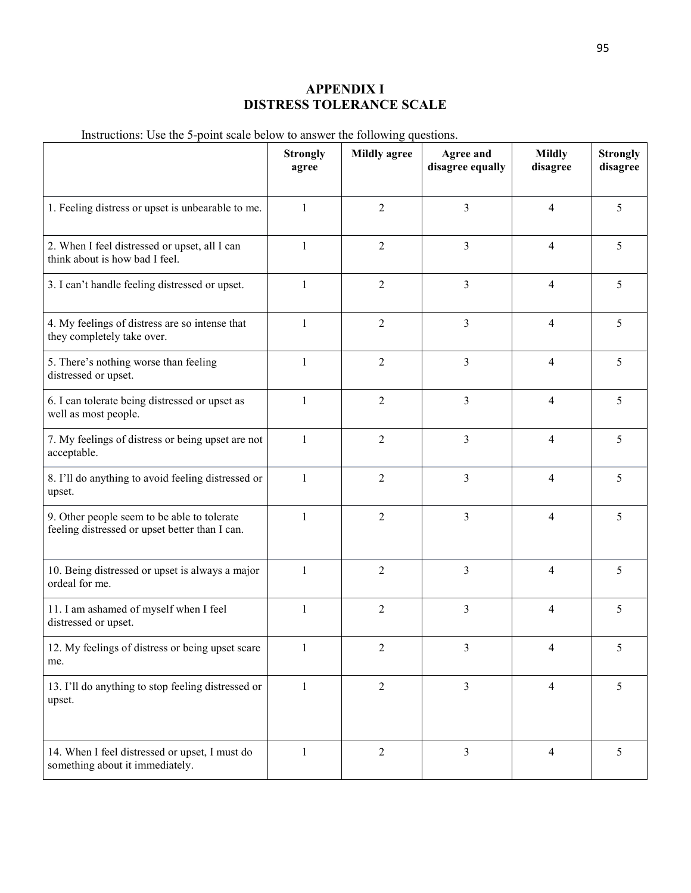# **APPENDIX I DISTRESS TOLERANCE SCALE**

Instructions: Use the 5-point scale below to answer the following questions.

|                                                                                               | <b>Strongly</b><br>agree | <b>Mildly agree</b> | <b>Agree and</b><br>disagree equally | <b>Mildly</b><br>disagree | <b>Strongly</b><br>disagree |
|-----------------------------------------------------------------------------------------------|--------------------------|---------------------|--------------------------------------|---------------------------|-----------------------------|
| 1. Feeling distress or upset is unbearable to me.                                             | $\mathbf{1}$             | $\overline{2}$      | $\overline{3}$                       | $\overline{4}$            | 5                           |
| 2. When I feel distressed or upset, all I can<br>think about is how bad I feel.               | $\mathbf{1}$             | $\overline{2}$      | 3                                    | $\overline{4}$            | 5                           |
| 3. I can't handle feeling distressed or upset.                                                | $\mathbf{1}$             | $\overline{2}$      | 3                                    | $\overline{4}$            | 5                           |
| 4. My feelings of distress are so intense that<br>they completely take over.                  | $\mathbf{1}$             | $\overline{2}$      | 3                                    | $\overline{4}$            | 5                           |
| 5. There's nothing worse than feeling<br>distressed or upset.                                 | 1                        | $\overline{2}$      | 3                                    | $\overline{4}$            | 5                           |
| 6. I can tolerate being distressed or upset as<br>well as most people.                        | $\mathbf{1}$             | $\overline{2}$      | $\mathfrak{Z}$                       | $\overline{4}$            | 5                           |
| 7. My feelings of distress or being upset are not<br>acceptable.                              | $\mathbf{1}$             | $\overline{2}$      | $\overline{3}$                       | $\overline{4}$            | 5                           |
| 8. I'll do anything to avoid feeling distressed or<br>upset.                                  | 1                        | $\overline{2}$      | $\overline{3}$                       | $\overline{4}$            | 5                           |
| 9. Other people seem to be able to tolerate<br>feeling distressed or upset better than I can. | $\mathbf{1}$             | $\overline{2}$      | $\overline{3}$                       | $\overline{4}$            | 5                           |
| 10. Being distressed or upset is always a major<br>ordeal for me.                             | $\mathbf{1}$             | $\overline{2}$      | $\mathfrak{Z}$                       | $\overline{4}$            | 5                           |
| 11. I am ashamed of myself when I feel<br>distressed or upset.                                | $\mathbf{1}$             | $\overline{2}$      | $\mathfrak{Z}$                       | $\overline{4}$            | 5                           |
| 12. My feelings of distress or being upset scare<br>me.                                       | $\perp$                  | 2                   | 3                                    | 4                         | 5                           |
| 13. I'll do anything to stop feeling distressed or<br>upset.                                  | $\mathbf{1}$             | $\overline{2}$      | $\mathfrak{Z}$                       | $\overline{4}$            | 5                           |
| 14. When I feel distressed or upset, I must do<br>something about it immediately.             | 1                        | $\overline{2}$      | $\mathfrak{Z}$                       | $\overline{4}$            | 5                           |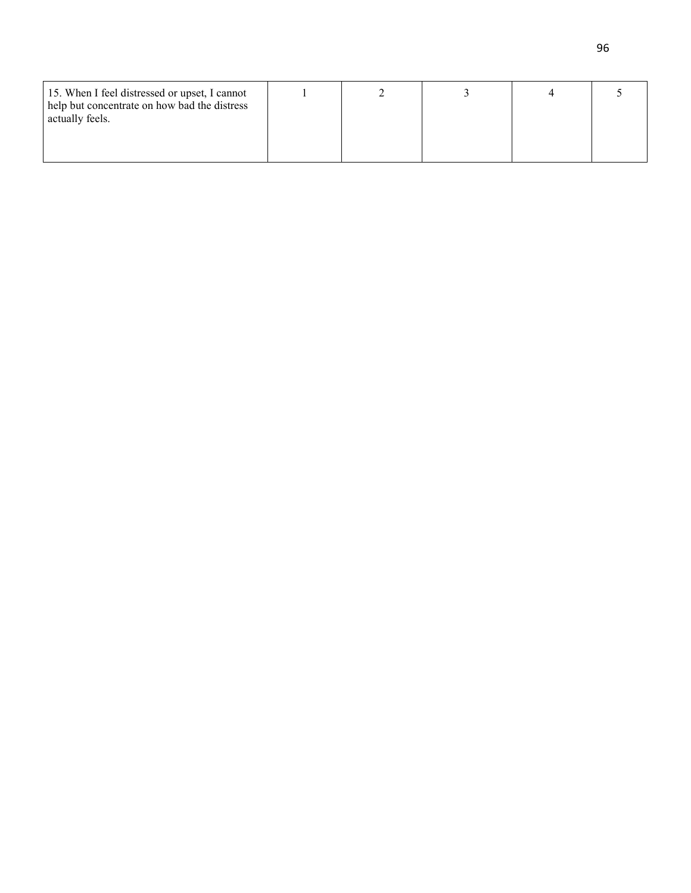| 15. When I feel distressed or upset, I cannot<br>help but concentrate on how bad the distress<br>actually feels. |  |  |  |
|------------------------------------------------------------------------------------------------------------------|--|--|--|
|                                                                                                                  |  |  |  |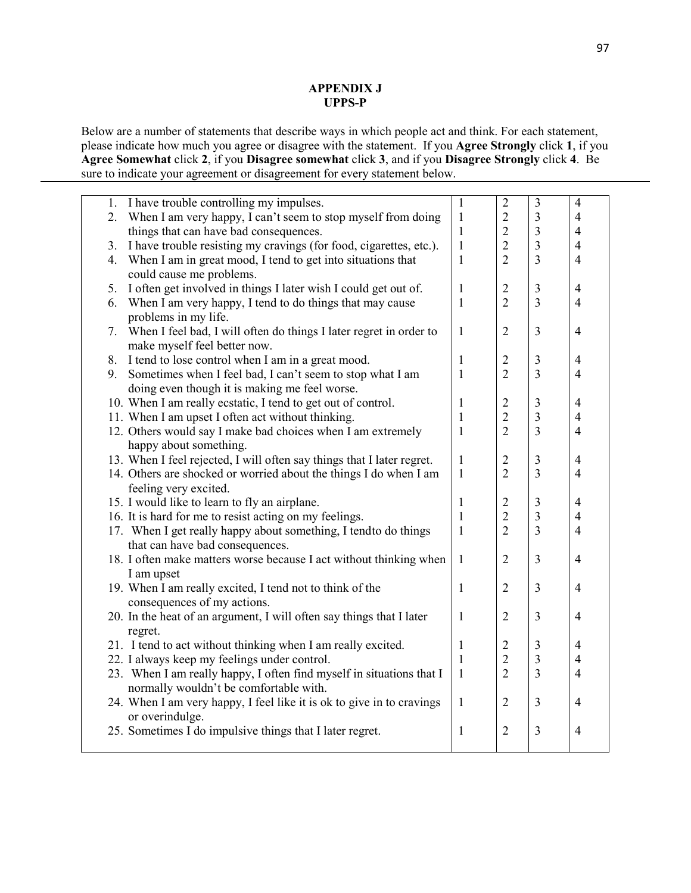#### **APPENDIX J UPPS-P**

Below are a number of statements that describe ways in which people act and think. For each statement, please indicate how much you agree or disagree with the statement. If you **Agree Strongly** click **1**, if you **Agree Somewhat** click **2**, if you **Disagree somewhat** click **3**, and if you **Disagree Strongly** click **4**. Be sure to indicate your agreement or disagreement for every statement below.

|    | 1. I have trouble controlling my impulses.                             | $\mathbf{1}$ | $\overline{2}$ | $\mathfrak{Z}$          | $\overline{4}$ |
|----|------------------------------------------------------------------------|--------------|----------------|-------------------------|----------------|
| 2. | When I am very happy, I can't seem to stop myself from doing           | $\mathbf{1}$ | $\overline{2}$ | $\mathfrak{Z}$          | $\overline{4}$ |
|    | things that can have bad consequences.                                 | 1            | $\overline{2}$ | $\overline{\mathbf{3}}$ | $\overline{4}$ |
| 3. | I have trouble resisting my cravings (for food, cigarettes, etc.).     | $\mathbf{1}$ | $\overline{2}$ | $\overline{3}$          | $\overline{4}$ |
| 4. | When I am in great mood, I tend to get into situations that            | $\mathbf{1}$ | $\overline{2}$ | $\overline{3}$          | $\overline{4}$ |
|    | could cause me problems.                                               |              |                |                         |                |
| 5. | I often get involved in things I later wish I could get out of.        | $\mathbf{1}$ | $\overline{2}$ | $\overline{3}$          | $\overline{4}$ |
| 6. | When I am very happy, I tend to do things that may cause               | $\mathbf{1}$ | $\overline{2}$ | $\overline{3}$          | $\overline{4}$ |
|    | problems in my life.                                                   |              |                |                         |                |
|    | 7. When I feel bad, I will often do things I later regret in order to  | $\mathbf{1}$ | $\overline{2}$ | $\overline{3}$          | $\overline{4}$ |
|    | make myself feel better now.                                           |              |                |                         |                |
|    | 8. I tend to lose control when I am in a great mood.                   | $\mathbf{1}$ | $\overline{2}$ | $\mathfrak{Z}$          | $\overline{4}$ |
| 9. | Sometimes when I feel bad, I can't seem to stop what I am              | $\mathbf{1}$ | $\overline{2}$ | $\overline{3}$          | $\overline{4}$ |
|    | doing even though it is making me feel worse.                          |              |                |                         |                |
|    | 10. When I am really ecstatic, I tend to get out of control.           | $\mathbf{1}$ | $\overline{c}$ | 3                       | $\overline{4}$ |
|    | 11. When I am upset I often act without thinking.                      | $\mathbf{1}$ | $\overline{2}$ | $\overline{3}$          | $\overline{4}$ |
|    | 12. Others would say I make bad choices when I am extremely            | $\mathbf{1}$ | $\overline{2}$ | $\overline{3}$          | $\overline{4}$ |
|    | happy about something.                                                 |              |                |                         |                |
|    | 13. When I feel rejected, I will often say things that I later regret. | $\mathbf{1}$ | $\overline{2}$ | $\mathfrak{Z}$          | $\overline{4}$ |
|    | 14. Others are shocked or worried about the things I do when I am      | $\mathbf{1}$ | $\overline{2}$ | $\overline{3}$          | $\overline{4}$ |
|    | feeling very excited.                                                  |              |                |                         |                |
|    | 15. I would like to learn to fly an airplane.                          | $\mathbf{1}$ | $\overline{2}$ | $\mathfrak{Z}$          | $\overline{4}$ |
|    | 16. It is hard for me to resist acting on my feelings.                 | $\mathbf{1}$ | $\overline{2}$ | $\overline{\mathbf{3}}$ | $\overline{4}$ |
|    | 17. When I get really happy about something, I tend to do things       | $\mathbf{1}$ | $\overline{2}$ | $\overline{3}$          | $\overline{4}$ |
|    | that can have bad consequences.                                        |              |                |                         |                |
|    | 18. I often make matters worse because I act without thinking when     | $\mathbf{1}$ | $\overline{2}$ | $\overline{3}$          | $\overline{4}$ |
|    | I am upset                                                             |              |                |                         |                |
|    | 19. When I am really excited, I tend not to think of the               | $\mathbf{1}$ | $\overline{2}$ | $\overline{3}$          | $\overline{4}$ |
|    | consequences of my actions.                                            |              |                |                         |                |
|    | 20. In the heat of an argument, I will often say things that I later   | $\mathbf{1}$ | $\overline{2}$ | $\mathfrak{Z}$          | $\overline{4}$ |
|    | regret.                                                                |              |                |                         |                |
|    | 21. I tend to act without thinking when I am really excited.           | 1            | $\overline{2}$ | $\mathfrak{Z}$          | $\overline{4}$ |
|    | 22. I always keep my feelings under control.                           | $\mathbf{1}$ | $\overline{2}$ | $\overline{\mathbf{3}}$ | $\overline{4}$ |
|    | 23. When I am really happy, I often find myself in situations that I   | $\mathbf{1}$ | $\overline{2}$ | $\overline{3}$          | $\overline{4}$ |
|    | normally wouldn't be comfortable with.                                 |              |                |                         |                |
|    | 24. When I am very happy, I feel like it is ok to give in to cravings  | $\mathbf{1}$ | $\overline{2}$ | $\overline{\mathbf{3}}$ | $\overline{4}$ |
|    | or overindulge.                                                        |              |                |                         |                |
|    | 25. Sometimes I do impulsive things that I later regret.               | $\mathbf{1}$ | $\overline{2}$ | $\mathfrak{Z}$          | $\overline{4}$ |
|    |                                                                        |              |                |                         |                |
|    |                                                                        |              |                |                         |                |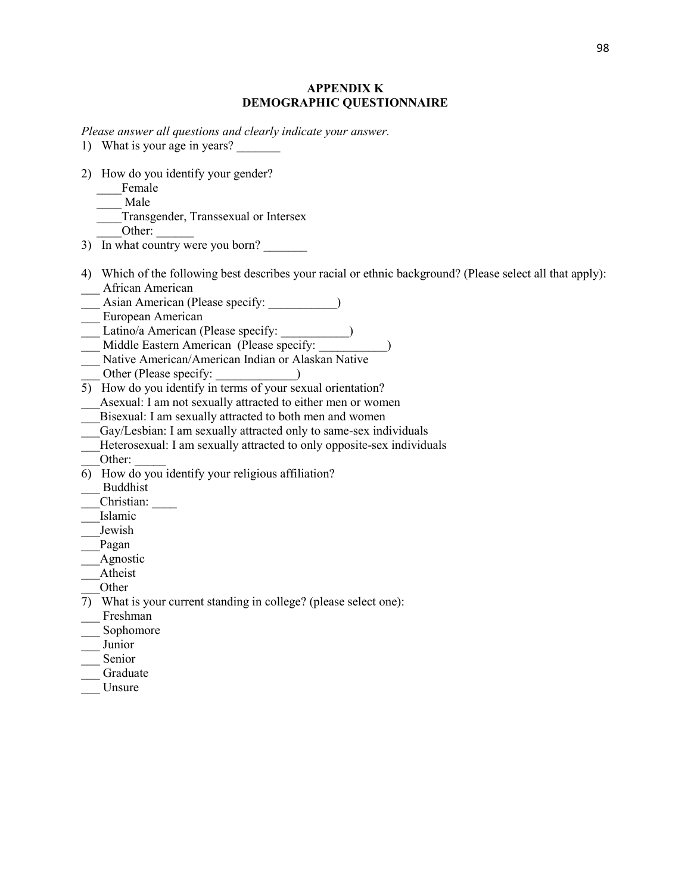#### **APPENDIX K DEMOGRAPHIC QUESTIONNAIRE**

*Please answer all questions and clearly indicate your answer.*

- 1) What is your age in years?
- 2) How do you identify your gender?
	- \_\_\_\_Female
	- \_\_\_\_ Male
	- \_\_\_\_Transgender, Transsexual or Intersex
		- Other:
- 3) In what country were you born?
- 4) Which of the following best describes your racial or ethnic background? (Please select all that apply):
- \_\_\_ African American
- Asian American (Please specify:  $\qquad \qquad$ )
- \_\_\_ European American
- \_\_\_ Latino/a American (Please specify: \_\_\_\_\_\_\_\_\_\_\_)
- \_\_\_ Middle Eastern American (Please specify: \_\_\_\_\_\_\_\_\_\_\_)
- \_\_\_ Native American/American Indian or Alaskan Native
- Other (Please specify:
- $\overline{5}$  How do you identify in terms of your sexual orientation?
- Asexual: I am not sexually attracted to either men or women
- Bisexual: I am sexually attracted to both men and women
- Gay/Lesbian: I am sexually attracted only to same-sex individuals
- Heterosexual: I am sexually attracted to only opposite-sex individuals
- Other:
- 6) How do you identify your religious affiliation?
- \_\_\_ Buddhist
- \_\_\_Christian: \_\_\_\_
- \_\_\_Islamic
- \_\_\_Jewish
- \_\_\_Pagan
- \_\_\_Agnostic
- \_\_\_Atheist
- \_\_\_Other
- 7) What is your current standing in college? (please select one):
- \_\_\_ Freshman
- Sophomore
- \_\_\_ Junior
- \_\_\_ Senior
- \_\_\_ Graduate
- \_\_\_ Unsure